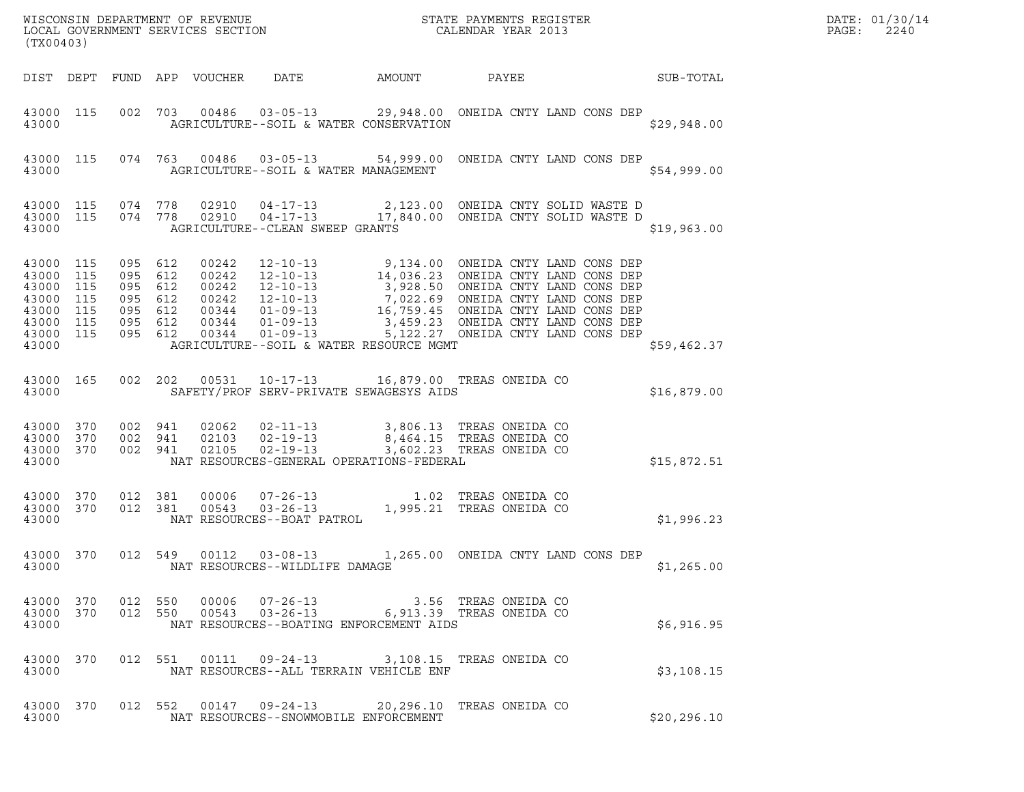| (TX00403)                                                                                        |                                |                                                                           |                            |                                                  |        |                                                                                                                                |              | DATE: 01/30/14<br>PAGE:<br>2240 |
|--------------------------------------------------------------------------------------------------|--------------------------------|---------------------------------------------------------------------------|----------------------------|--------------------------------------------------|--------|--------------------------------------------------------------------------------------------------------------------------------|--------------|---------------------------------|
|                                                                                                  |                                |                                                                           | DIST DEPT FUND APP VOUCHER | DATE                                             | AMOUNT | PAYEE                                                                                                                          | SUB-TOTAL    |                                 |
| 43000                                                                                            | 43000 115                      |                                                                           |                            | AGRICULTURE--SOIL & WATER CONSERVATION           |        | 002 703 00486 03-05-13 29,948.00 ONEIDA CNTY LAND CONS DEP                                                                     | \$29,948.00  |                                 |
| 43000                                                                                            | 43000 115                      |                                                                           |                            | AGRICULTURE--SOIL & WATER MANAGEMENT             |        | 074 763 00486 03-05-13 54,999.00 ONEIDA CNTY LAND CONS DEP                                                                     | \$54,999.00  |                                 |
| 43000                                                                                            | 43000 115 074 778<br>43000 115 | 074 778                                                                   |                            | AGRICULTURE--CLEAN SWEEP GRANTS                  |        |                                                                                                                                | \$19,963.00  |                                 |
| 43000 115<br>43000 115<br>43000 115<br>43000 115<br>43000 115<br>43000 115<br>43000 115<br>43000 |                                | 095 612<br>095 612<br>095 612<br>095 612<br>095 612<br>095 612<br>095 612 |                            | AGRICULTURE--SOIL & WATER RESOURCE MGMT          |        |                                                                                                                                | \$59,462.37  |                                 |
| 43000                                                                                            | 43000 165                      | 002 202                                                                   |                            | SAFETY/PROF SERV-PRIVATE SEWAGESYS AIDS          |        | 00531  10-17-13  16,879.00 TREAS ONEIDA CO                                                                                     | \$16,879.00  |                                 |
| 43000 370<br>43000 370<br>43000 370<br>43000                                                     |                                | 002 941<br>002 941<br>002 941                                             |                            | NAT RESOURCES-GENERAL OPERATIONS-FEDERAL         |        |                                                                                                                                | \$15,872.51  |                                 |
| 43000 370<br>43000                                                                               | 43000 370                      | 012 381<br>012 381                                                        |                            |                                                  |        | 81  00006  07-26-13   1.02   TREAS ONEIDA CO<br>81  00543  03-26-13   1,995.21   TREAS ONEIDA CO<br>NAT RESOURCES--BOAT PATROL | \$1,996.23   |                                 |
| 43000 370<br>43000                                                                               |                                | 012 549                                                                   | 00112                      | $03 - 08 - 13$<br>NAT RESOURCES--WILDLIFE DAMAGE |        | 1,265.00 ONEIDA CNTY LAND CONS DEP                                                                                             | \$1,265.00   |                                 |
| 43000                                                                                            |                                |                                                                           |                            | NAT RESOURCES--BOATING ENFORCEMENT AIDS          |        | 43000 370 012 550 00006 07-26-13 3.56 TREAS ONEIDA CO 43000 370 012 550 00543 03-26-13 6,913.39 TREAS ONEIDA CO                | \$6,916.95   |                                 |
| 43000 370<br>43000                                                                               |                                |                                                                           |                            | NAT RESOURCES--ALL TERRAIN VEHICLE ENF           |        | 012 551 00111 09-24-13 3,108.15 TREAS ONEIDA CO                                                                                | \$3,108.15   |                                 |
| 43000 370<br>43000                                                                               |                                |                                                                           |                            | NAT RESOURCES--SNOWMOBILE ENFORCEMENT            |        | 012 552 00147 09-24-13 20,296.10 TREAS ONEIDA CO                                                                               | \$20, 296.10 |                                 |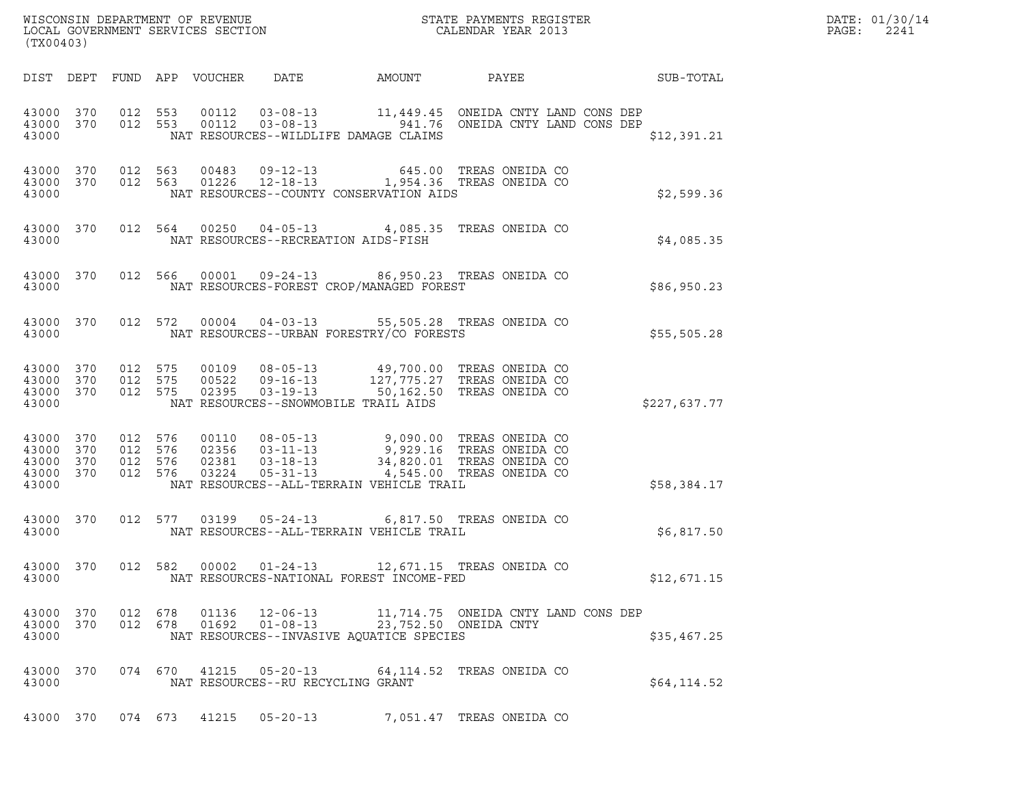| WISCONSIN DEPARTMENT OF REVENUE   | STATE PAYMENTS REGISTER | DATE: 01/30/14 |
|-----------------------------------|-------------------------|----------------|
| LOCAL GOVERNMENT SERVICES SECTION | CALENDAR YEAR 2013      | 2241<br>PAGE:  |

| (TX00403)                                        |  |       |                                   |                                                | WISCONSIN DEPARTMENT OF REVENUE<br>LOCAL GOVERNMENT SERVICES SECTION THE SERVICES OF CALENDAR YEAR 2013                                                                                                                                                                                               |                                                              | DATE: 01/30/14<br>PAGE: 2241 |
|--------------------------------------------------|--|-------|-----------------------------------|------------------------------------------------|-------------------------------------------------------------------------------------------------------------------------------------------------------------------------------------------------------------------------------------------------------------------------------------------------------|--------------------------------------------------------------|------------------------------|
|                                                  |  |       |                                   |                                                |                                                                                                                                                                                                                                                                                                       | DIST DEPT FUND APP VOUCHER DATE AMOUNT PAYEE PAYER SUB-TOTAL |                              |
| 43000                                            |  |       |                                   | NAT RESOURCES--WILDLIFE DAMAGE CLAIMS          | $\begin{array}{cccccccc} 43000 & 370 & 012 & 553 & 00112 & 03-08-13 & & 11,449.45 & \text{ONEIDA CNTY LAND CONS DEP} \\ 43000 & 370 & 012 & 553 & 00112 & 03-08-13 & & 941.76 & \text{ONEIDA CNTY LAND CONS DEP} \end{array}$                                                                         | \$12,391.21                                                  |                              |
|                                                  |  |       |                                   |                                                | $\begin{array}{cccccccc} 43000 & 370 & 012 & 563 & 00483 & 09-12-13 & & & & & & 645.00 & \text{TREAS ONEIDA CO} \\ 43000 & 370 & 012 & 563 & 01226 & 12-18-13 & & & 1,954.36 & \text{TREAS ONEIDA CO} \end{array}$<br>43000 NAT RESOURCES--COUNTY CONSERVATION AIDS                                   | \$2,599.36                                                   |                              |
|                                                  |  |       |                                   | 43000 NAT RESOURCES--RECREATION AIDS-FISH      | 43000 370 012 564 00250 04-05-13 4,085.35 TREAS ONEIDA CO                                                                                                                                                                                                                                             | \$4,085.35                                                   |                              |
|                                                  |  |       |                                   |                                                | 43000 370 012 566 00001 09-24-13 86,950.23 TREAS ONEIDA CO<br>43000 $\begin{array}{ccccccccc}\n 43000 & & & & & \\  43000 & & & & \\  \end{array}$ NAT RESOURCES-FOREST CROP/MANAGED FOREST                                                                                                           | \$86,950.23                                                  |                              |
|                                                  |  |       |                                   |                                                | 43000 370 012 572 00004 04-03-13 55,505.28 TREAS ONEIDA CO<br>$\frac{1}{2000}$<br>43000<br>MAT RESOURCES--URBAN FORESTRY/CO FORESTS                                                                                                                                                                   | \$55,505.28                                                  |                              |
|                                                  |  |       |                                   | 43000 NAT RESOURCES--SNOWMOBILE TRAIL AIDS     | $\begin{array}{cccccc} 43\,0\,00 & 3\,70 & 012 & 5\,75 & 001\,09 & 08\,0\,5\,-13 & & 4\,9\,,7\,0\,0\,.00 & \text{TREAS ONELDA CO} \\ 43\,0\,00 & 3\,70 & 012 & 5\,75 & 005\,22 & 09\,-16\,-13 & & 12\,7\,,7\,75\,.27 & \text{TREAS ONELDA CO} \\ 43\,0\,00 & 3\,70 & 012 & 5\,75 & 023\,95 & 03\,-19$ | \$227,637.77                                                 |                              |
| 43000 370<br>43000 370<br>43000 370<br>43000 370 |  |       |                                   | 43000 NAT RESOURCES--ALL-TERRAIN VEHICLE TRAIL | 012 576 00110 08-05-13 9,090.00 TREAS ONEIDA CO<br>012 576 02356 03-11-13 9,929.16 TREAS ONEIDA CO<br>012 576 02381 03-18-13 34,820.01 TREAS ONEIDA CO<br>012 576 03224 05-31-13 4,545.00 TREAS ONEIDA CO                                                                                             | \$58,384.17                                                  |                              |
|                                                  |  |       |                                   | 43000 NAT RESOURCES--ALL-TERRAIN VEHICLE TRAIL | 43000 370 012 577 03199 05-24-13 6,817.50 TREAS ONEIDA CO                                                                                                                                                                                                                                             | \$6,817.50                                                   |                              |
| 43000                                            |  |       |                                   | NAT RESOURCES-NATIONAL FOREST INCOME-FED       | 43000 370 012 582 00002 01-24-13 12,671.15 TREAS ONEIDA CO                                                                                                                                                                                                                                            | \$12,671.15                                                  |                              |
| 43000 370<br>43000 370<br>43000                  |  |       |                                   | NAT RESOURCES--INVASIVE AQUATICE SPECIES       |                                                                                                                                                                                                                                                                                                       | \$35,467.25                                                  |                              |
| 43000 370<br>43000                               |  |       | NAT RESOURCES--RU RECYCLING GRANT |                                                | 074 670 41215 05-20-13 64,114.52 TREAS ONEIDA CO                                                                                                                                                                                                                                                      | \$64,114.52                                                  |                              |
| 43000 370 074 673                                |  | 41215 | $05 - 20 - 13$                    |                                                | 7,051.47 TREAS ONEIDA CO                                                                                                                                                                                                                                                                              |                                                              |                              |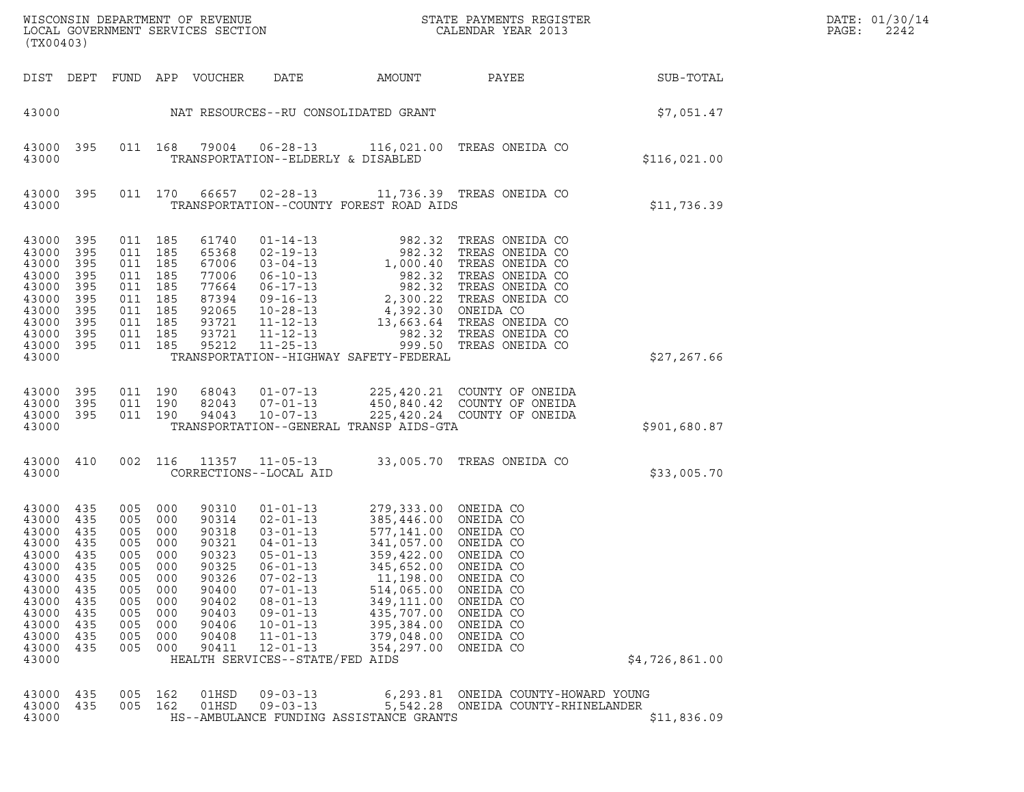| ${\tt WISCO} {\tt NSM} {\tt NEMR} {\tt NEMR} {\tt NEMR} {\tt NEMR} {\tt NEMR} {\tt NEMR} {\tt NEMR} {\tt NEMR} {\tt NEMR} {\tt NEMR} {\tt NEMR} {\tt NEMR} {\tt NEMR} {\tt NEMR} {\tt NEMR} {\tt NEMR} {\tt NEMR} {\tt NEMR} {\tt NEMR} {\tt NEMR} {\tt NEMR} {\tt NEMR} {\tt NEMR} {\tt NEMR} {\tt NEMR} {\tt NEMR} {\tt NEMR} {\tt NEMR} {\tt NEMR} {\tt NEMR} {\tt NEMR} {\tt NEMR} {\tt NEMR} {\tt NEMR} {\tt NEMR}$<br>(TX00403) |                                                                                         |                                                                                         |                                                                                         |                                                                                                                   |                                                                                                                                                                                                                                                                           |                                                                                                                                                                                                                           |                                                                                                                                                                                                                                                                                                                                 |                | DATE: 01/30/14<br>PAGE:<br>2242 |
|---------------------------------------------------------------------------------------------------------------------------------------------------------------------------------------------------------------------------------------------------------------------------------------------------------------------------------------------------------------------------------------------------------------------------------------|-----------------------------------------------------------------------------------------|-----------------------------------------------------------------------------------------|-----------------------------------------------------------------------------------------|-------------------------------------------------------------------------------------------------------------------|---------------------------------------------------------------------------------------------------------------------------------------------------------------------------------------------------------------------------------------------------------------------------|---------------------------------------------------------------------------------------------------------------------------------------------------------------------------------------------------------------------------|---------------------------------------------------------------------------------------------------------------------------------------------------------------------------------------------------------------------------------------------------------------------------------------------------------------------------------|----------------|---------------------------------|
|                                                                                                                                                                                                                                                                                                                                                                                                                                       |                                                                                         |                                                                                         |                                                                                         | DIST DEPT FUND APP VOUCHER                                                                                        | DATE                                                                                                                                                                                                                                                                      | AMOUNT                                                                                                                                                                                                                    | PAYEE                                                                                                                                                                                                                                                                                                                           | SUB-TOTAL      |                                 |
| 43000                                                                                                                                                                                                                                                                                                                                                                                                                                 |                                                                                         |                                                                                         |                                                                                         |                                                                                                                   |                                                                                                                                                                                                                                                                           | NAT RESOURCES--RU CONSOLIDATED GRANT                                                                                                                                                                                      |                                                                                                                                                                                                                                                                                                                                 | \$7,051.47     |                                 |
| 43000 395<br>43000                                                                                                                                                                                                                                                                                                                                                                                                                    |                                                                                         |                                                                                         | 011 168                                                                                 |                                                                                                                   | TRANSPORTATION--ELDERLY & DISABLED                                                                                                                                                                                                                                        |                                                                                                                                                                                                                           | 79004  06-28-13  116,021.00  TREAS ONEIDA CO                                                                                                                                                                                                                                                                                    | \$116,021.00   |                                 |
| 43000 395<br>43000                                                                                                                                                                                                                                                                                                                                                                                                                    |                                                                                         |                                                                                         | 011 170                                                                                 | 66657                                                                                                             | $02 - 28 - 13$                                                                                                                                                                                                                                                            | TRANSPORTATION--COUNTY FOREST ROAD AIDS                                                                                                                                                                                   | 11,736.39 TREAS ONEIDA CO                                                                                                                                                                                                                                                                                                       | \$11,736.39    |                                 |
| 43000<br>43000<br>43000<br>43000<br>43000<br>43000<br>43000<br>43000<br>43000<br>43000 395<br>43000                                                                                                                                                                                                                                                                                                                                   | 395<br>395<br>395<br>395<br>395<br>395<br>395<br>395<br>395                             | 011 185<br>011<br>011<br>011 185<br>011                                                 | 011 185<br>185<br>011 185<br>185<br>011 185<br>011 185<br>185<br>011 185                | 61740<br>65368<br>67006<br>77006<br>77664<br>87394<br>92065<br>93721<br>93721<br>95212                            | $01 - 14 - 13$<br>$02 - 19 - 13$<br>$11 - 12 - 13$<br>11-25-13                                                                                                                                                                                                            | 982.32<br>TRANSPORTATION--HIGHWAY SAFETY-FEDERAL                                                                                                                                                                          | TREAS ONEIDA CO<br>02-19-13<br>03-04-13<br>03-04-13<br>06-10-13<br>06-17-13<br>082.32 TREAS ONEIDA CO<br>06-17-13<br>2,300.22 TREAS ONEIDA CO<br>09-16-13<br>2,300.22 TREAS ONEIDA CO<br>10-28-13<br>4,392.30 ONEIDA CO<br>13,663.64 TREAS ONEIDA CO<br>13,663.64 TREAS ONE<br>982.32 TREAS ONEIDA CO<br>999.50 TREAS ONEIDA CO | \$27, 267.66   |                                 |
| 43000<br>43000<br>43000 395<br>43000                                                                                                                                                                                                                                                                                                                                                                                                  | 395<br>395                                                                              |                                                                                         | 011 190<br>011 190<br>011 190                                                           | 68043<br>82043<br>94043                                                                                           | $01 - 07 - 13$<br>$07 - 01 - 13$<br>$10 - 07 - 13$                                                                                                                                                                                                                        | TRANSPORTATION--GENERAL TRANSP AIDS-GTA                                                                                                                                                                                   | 225,420.21 COUNTY OF ONEIDA<br>450,840.42 COUNTY OF ONEIDA<br>225,420.24 COUNTY OF ONEIDA                                                                                                                                                                                                                                       | \$901,680.87   |                                 |
| 43000 410<br>43000                                                                                                                                                                                                                                                                                                                                                                                                                    |                                                                                         |                                                                                         | 002 116                                                                                 | 11357                                                                                                             | CORRECTIONS--LOCAL AID                                                                                                                                                                                                                                                    |                                                                                                                                                                                                                           | 11-05-13 33,005.70 TREAS ONEIDA CO                                                                                                                                                                                                                                                                                              | \$33,005.70    |                                 |
| 43000<br>43000<br>43000<br>43000<br>43000<br>43000<br>43000<br>43000<br>43000<br>43000<br>43000<br>43000<br>43000<br>43000                                                                                                                                                                                                                                                                                                            | 435<br>435<br>435<br>435<br>435<br>435<br>435<br>435<br>435<br>435<br>435<br>435<br>435 | 005<br>005<br>005<br>005<br>005<br>005<br>005<br>005<br>005<br>005<br>005<br>005<br>005 | 000<br>000<br>000<br>000<br>000<br>000<br>000<br>000<br>000<br>000<br>000<br>000<br>000 | 90310<br>90314<br>90318<br>90321<br>90323<br>90325<br>90326<br>90400<br>90402<br>90403<br>90406<br>90408<br>90411 | $01 - 01 - 13$<br>$02 - 01 - 13$<br>$03 - 01 - 13$<br>$04 - 01 - 13$<br>$05 - 01 - 13$<br>$06 - 01 - 13$<br>$07 - 02 - 13$<br>$07 - 01 - 13$<br>$08 - 01 - 13$<br>$09 - 01 - 13$<br>$10 - 01 - 13$<br>$11 - 01 - 13$<br>$12 - 01 - 13$<br>HEALTH SERVICES--STATE/FED AIDS | 279,333.00 ONEIDA CO<br>385,446.00 ONEIDA CO<br>577,141.00 ONEIDA CO<br>341,057.00 ONEIDA CO<br>359,422.00<br>345,652.00<br>11,198.00<br>514,065.00<br>349,111.00<br>435,707.00<br>395,384.00<br>379,048.00<br>354,297.00 | ONEIDA CO<br>ONEIDA CO<br>ONEIDA CO<br>ONEIDA CO<br>ONEIDA CO<br>ONEIDA CO<br>ONEIDA CO<br>ONEIDA CO<br>ONEIDA CO                                                                                                                                                                                                               | \$4,726,861.00 |                                 |
| 43000<br>43000<br>43000                                                                                                                                                                                                                                                                                                                                                                                                               | 435<br>435                                                                              | 005<br>005                                                                              | 162<br>162                                                                              | 01HSD<br>01HSD                                                                                                    | $09 - 03 - 13$<br>$09 - 03 - 13$                                                                                                                                                                                                                                          | HS--AMBULANCE FUNDING ASSISTANCE GRANTS                                                                                                                                                                                   | 6,293.81 ONEIDA COUNTY-HOWARD YOUNG<br>5,542.28 ONEIDA COUNTY-RHINELANDER                                                                                                                                                                                                                                                       | \$11,836.09    |                                 |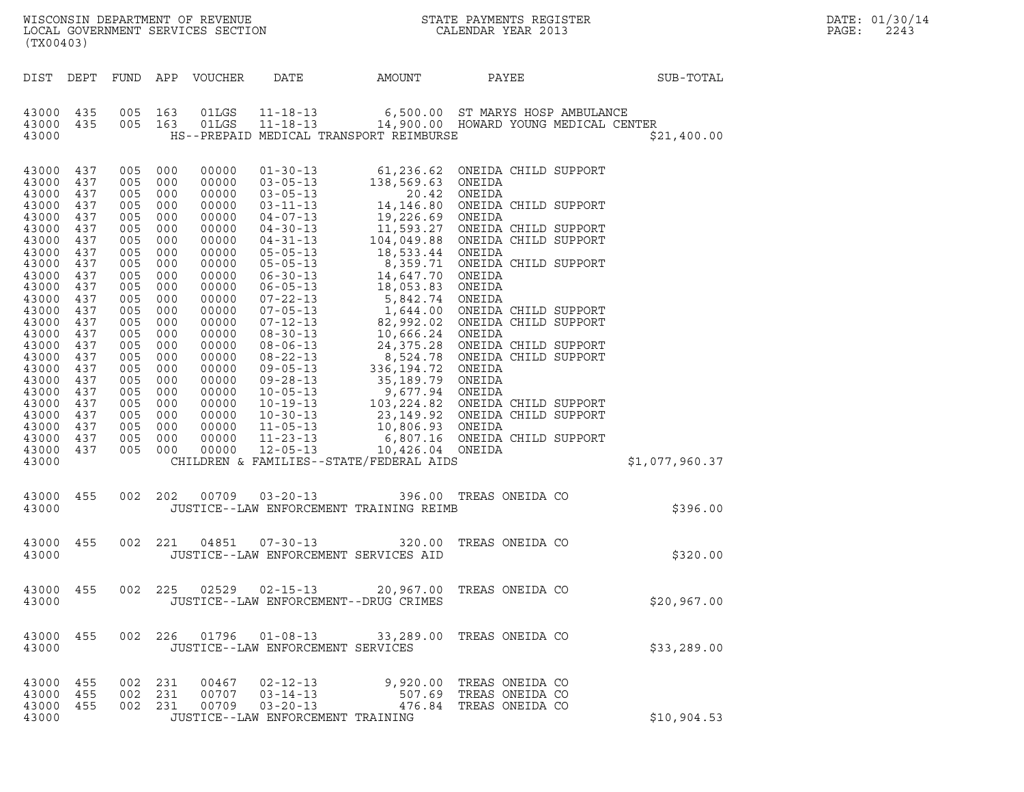| (TX00403)                                                                                                                                                                                                                                  |                                                                                                                                                                      |                                                                                                                                                                                         |                                                                                                                                                        |                                                                                                                                                                                                                               |                                                                                   |                                                             |                                                                                                                     |                | DATE: 01/30/14<br>PAGE:<br>2243 |
|--------------------------------------------------------------------------------------------------------------------------------------------------------------------------------------------------------------------------------------------|----------------------------------------------------------------------------------------------------------------------------------------------------------------------|-----------------------------------------------------------------------------------------------------------------------------------------------------------------------------------------|--------------------------------------------------------------------------------------------------------------------------------------------------------|-------------------------------------------------------------------------------------------------------------------------------------------------------------------------------------------------------------------------------|-----------------------------------------------------------------------------------|-------------------------------------------------------------|---------------------------------------------------------------------------------------------------------------------|----------------|---------------------------------|
|                                                                                                                                                                                                                                            |                                                                                                                                                                      |                                                                                                                                                                                         |                                                                                                                                                        | DIST DEPT FUND APP VOUCHER                                                                                                                                                                                                    | DATE                                                                              | AMOUNT                                                      | PAYEE                                                                                                               | SUB-TOTAL      |                                 |
| 43000 435<br>43000 435<br>43000                                                                                                                                                                                                            |                                                                                                                                                                      | 005 163<br>005 163                                                                                                                                                                      |                                                                                                                                                        |                                                                                                                                                                                                                               |                                                                                   | HS--PREPAID MEDICAL TRANSPORT REIMBURSE                     | 01LGS   11-18-13   6,500.00   ST MARYS HOSP AMBULANCE<br>01LGS   11-18-13   14,900.00   HOWARD YOUNG MEDICAL CENTER | \$21,400.00    |                                 |
| 43000<br>43000<br>43000<br>43000<br>43000<br>43000<br>43000<br>43000<br>43000<br>43000<br>43000<br>43000<br>43000<br>43000<br>43000<br>43000<br>43000<br>43000<br>43000<br>43000<br>43000<br>43000<br>43000<br>43000<br>43000 437<br>43000 | 437<br>437<br>437<br>437<br>437<br>437<br>437<br>437<br>437<br>437<br>437<br>437<br>437<br>437<br>437<br>437<br>437<br>437<br>437<br>437<br>437<br>437<br>437<br>437 | 005<br>005<br>005<br>005<br>005<br>005<br>005<br>005<br>005<br>005<br>005<br>005<br>005<br>005<br>005<br>005<br>005<br>005<br>005<br>005<br>005<br>005 000<br>005<br>005 000<br>005 000 | 000<br>000<br>000<br>000<br>000<br>000<br>000<br>000<br>000<br>000<br>000<br>000<br>000<br>000<br>000<br>000<br>000<br>000<br>000<br>000<br>000<br>000 | 00000<br>00000<br>00000<br>00000<br>00000<br>00000<br>00000<br>00000<br>00000<br>00000<br>00000<br>00000<br>00000<br>00000<br>00000<br>00000<br>00000<br>00000<br>00000<br>00000<br>00000<br>00000<br>00000<br>00000<br>00000 | $11 - 23 - 13$<br>$12 - 05 - 13$                                                  | 10,426.04 ONEIDA<br>CHILDREN & FAMILIES--STATE/FEDERAL AIDS | 6,807.16 ONEIDA CHILD SUPPORT                                                                                       | \$1,077,960.37 |                                 |
| 43000 455<br>43000                                                                                                                                                                                                                         |                                                                                                                                                                      | 002 202                                                                                                                                                                                 |                                                                                                                                                        |                                                                                                                                                                                                                               |                                                                                   | JUSTICE--LAW ENFORCEMENT TRAINING REIMB                     | 00709  03-20-13  396.00  TREAS ONEIDA CO                                                                            | \$396.00       |                                 |
| 43000 455<br>43000                                                                                                                                                                                                                         |                                                                                                                                                                      |                                                                                                                                                                                         | 002 221                                                                                                                                                |                                                                                                                                                                                                                               | JUSTICE--LAW ENFORCEMENT SERVICES AID                                             |                                                             | 04851  07-30-13  320.00 TREAS ONEIDA CO                                                                             | \$320.00       |                                 |
| 43000 455<br>43000                                                                                                                                                                                                                         |                                                                                                                                                                      |                                                                                                                                                                                         |                                                                                                                                                        |                                                                                                                                                                                                                               | JUSTICE--LAW ENFORCEMENT--DRUG CRIMES                                             |                                                             | 002  225  02529  02-15-13  20,967.00 TREAS ONEIDA CO                                                                | \$20,967.00    |                                 |
| 43000 455<br>43000                                                                                                                                                                                                                         |                                                                                                                                                                      |                                                                                                                                                                                         |                                                                                                                                                        |                                                                                                                                                                                                                               | JUSTICE--LAW ENFORCEMENT SERVICES                                                 |                                                             | 002  226  01796  01-08-13  33,289.00 TREAS ONEIDA CO                                                                | \$33, 289.00   |                                 |
| 43000 455<br>43000<br>43000<br>43000                                                                                                                                                                                                       | 455<br>455                                                                                                                                                           | 002 231<br>002 231<br>002 231                                                                                                                                                           |                                                                                                                                                        | 00467<br>00709                                                                                                                                                                                                                | 02-12-13<br>00707 03-14-13<br>$03 - 20 - 13$<br>JUSTICE--LAW ENFORCEMENT TRAINING |                                                             | 9,920.00 TREAS ONEIDA CO<br>507.69 TREAS ONEIDA CO<br>476.84 TREAS ONEIDA CO                                        | \$10,904.53    |                                 |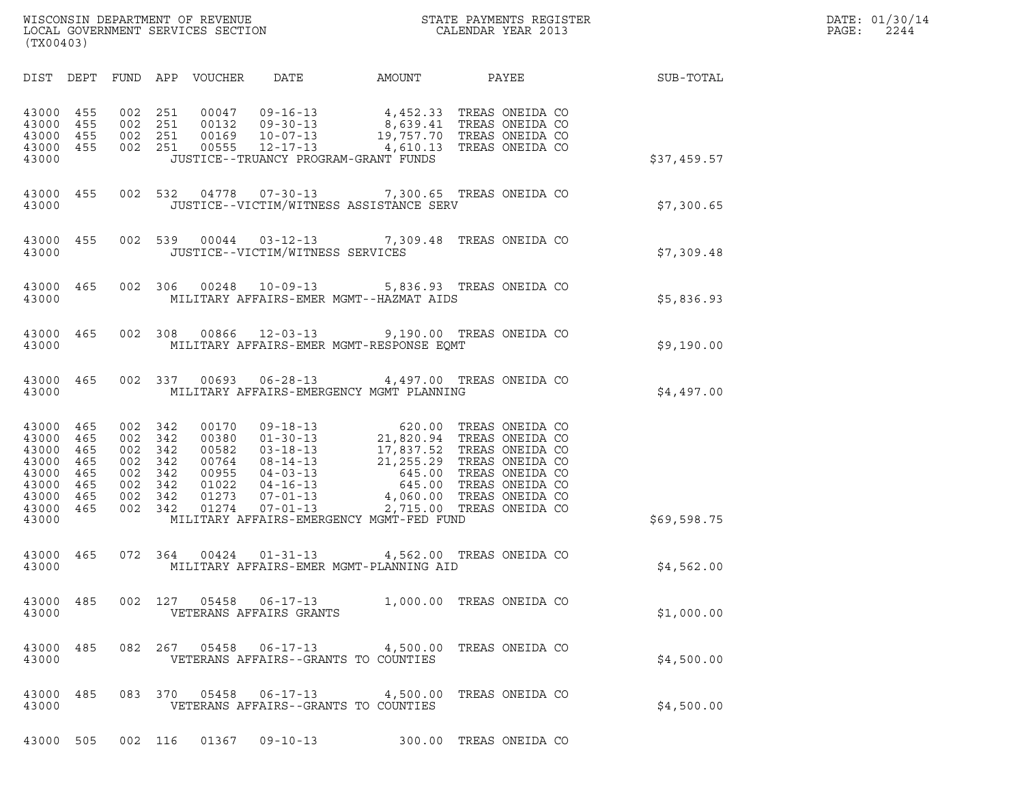| WISCONSIN DEPARTMENT OF REVENUE<br>LOCAL GOVERNMENT SERVICES SECTION<br>(TX00403) | STATE PAYMENTS REGISTER<br>CALENDAR YEAR 2013 | DATE: 01/30/14<br>PAGE:<br>2244 |
|-----------------------------------------------------------------------------------|-----------------------------------------------|---------------------------------|

| (TX00403)                                                                                                                                                                              |                                                          |                                                                                                                                                                                                                                                                                     |                                                                                                                                                      |             |
|----------------------------------------------------------------------------------------------------------------------------------------------------------------------------------------|----------------------------------------------------------|-------------------------------------------------------------------------------------------------------------------------------------------------------------------------------------------------------------------------------------------------------------------------------------|------------------------------------------------------------------------------------------------------------------------------------------------------|-------------|
| DIST DEPT<br>FUND                                                                                                                                                                      | APP<br>VOUCHER                                           |                                                                                                                                                                                                                                                                                     | DATE AMOUNT PAYEE                                                                                                                                    | SUB-TOTAL   |
| 002<br>43000<br>455<br>002<br>43000<br>455<br>002<br>43000<br>455<br>43000<br>455<br>43000                                                                                             | 251<br>251<br>251<br>002 251                             | $\begin{tabular}{cccc} 0.0047 & 09-16-13 & 4,452.33 & TREAS ONEIDA CO \\ 0.0132 & 09-30-13 & 8,639.41 & TREAS ONEIDA CO \\ 0.0169 & 10-07-13 & 19,757.70 & TREAS ONEIDA CO \\ 0.0555 & 12-17-13 & 4,610.13 & TREAS ONEIDA CO \end{tabular}$<br>JUSTICE--TRUANCY PROGRAM-GRANT FUNDS |                                                                                                                                                      | \$37,459.57 |
| 43000<br>455<br>43000                                                                                                                                                                  | 002 532<br>04778                                         | 07-30-13 7,300.65 TREAS ONEIDA CO<br>JUSTICE--VICTIM/WITNESS ASSISTANCE SERV                                                                                                                                                                                                        |                                                                                                                                                      | \$7,300.65  |
| 43000<br>455<br>43000                                                                                                                                                                  | 002 539<br>00044                                         | $03 - 12 - 13$ 7, 309.48<br>JUSTICE--VICTIM/WITNESS SERVICES                                                                                                                                                                                                                        | TREAS ONEIDA CO                                                                                                                                      | \$7,309.48  |
| 002<br>43000<br>465<br>43000                                                                                                                                                           | 306<br>00248                                             | 10-09-13 5,836.93 TREAS ONEIDA CO<br>MILITARY AFFAIRS-EMER MGMT--HAZMAT AIDS                                                                                                                                                                                                        |                                                                                                                                                      | \$5,836.93  |
| 002<br>43000<br>465<br>43000                                                                                                                                                           | 308<br>00866                                             | 12-03-13 9,190.00 TREAS ONEIDA CO<br>MILITARY AFFAIRS-EMER MGMT-RESPONSE EQMT                                                                                                                                                                                                       |                                                                                                                                                      | \$9,190.00  |
| 002<br>43000<br>465<br>43000                                                                                                                                                           | 337                                                      | 00693  06-28-13  4,497.00  TREAS ONEIDA CO<br>MILITARY AFFAIRS-EMERGENCY MGMT PLANNING                                                                                                                                                                                              |                                                                                                                                                      | \$4,497.00  |
| 43000<br>465<br>465<br>43000<br>002<br>43000<br>465<br>002<br>43000<br>465<br>002<br>43000<br>465<br>002<br>43000<br>465<br>002<br>43000<br>465<br>002<br>465<br>002<br>43000<br>43000 | 002 342<br>342<br>342<br>342<br>342<br>342<br>342<br>342 | MILITARY AFFAIRS-EMERGENCY MGMT-FED FUND                                                                                                                                                                                                                                            | TREAS ONEIDA CO<br>TREAS ONEIDA CO<br>TREAS ONEIDA CO<br>TREAS ONEIDA CO<br>TREAS ONEIDA CO<br>TREAS ONEIDA CO<br>TREAS ONEIDA CO<br>TREAS ONEIDA CO | \$69,598.75 |
| 43000<br>465<br>43000                                                                                                                                                                  | 072 364                                                  | 00424  01-31-13  4,562.00  TREAS ONEIDA CO<br>MILITARY AFFAIRS-EMER MGMT-PLANNING AID                                                                                                                                                                                               |                                                                                                                                                      | \$4,562.00  |
| 002<br>43000<br>485<br>43000                                                                                                                                                           | 127<br>05458<br>VETERANS AFFAIRS GRANTS                  | 1,000.00<br>$06 - 17 - 13$                                                                                                                                                                                                                                                          | TREAS ONEIDA CO                                                                                                                                      | \$1,000.00  |
| 485<br>082<br>43000<br>43000                                                                                                                                                           | 267<br>05458                                             | $06 - 17 - 13$<br>4,500.00<br>VETERANS AFFAIRS--GRANTS TO COUNTIES                                                                                                                                                                                                                  | TREAS ONEIDA CO                                                                                                                                      | \$4,500.00  |
| 083<br>485<br>43000<br>43000                                                                                                                                                           | 370<br>05458                                             | $06 - 17 - 13$<br>4,500.00<br>VETERANS AFFAIRS--GRANTS TO COUNTIES                                                                                                                                                                                                                  | TREAS ONEIDA CO                                                                                                                                      | \$4,500.00  |
| 43000<br>505                                                                                                                                                                           | 002 116<br>01367                                         | $09 - 10 - 13$<br>300.00                                                                                                                                                                                                                                                            | TREAS ONEIDA CO                                                                                                                                      |             |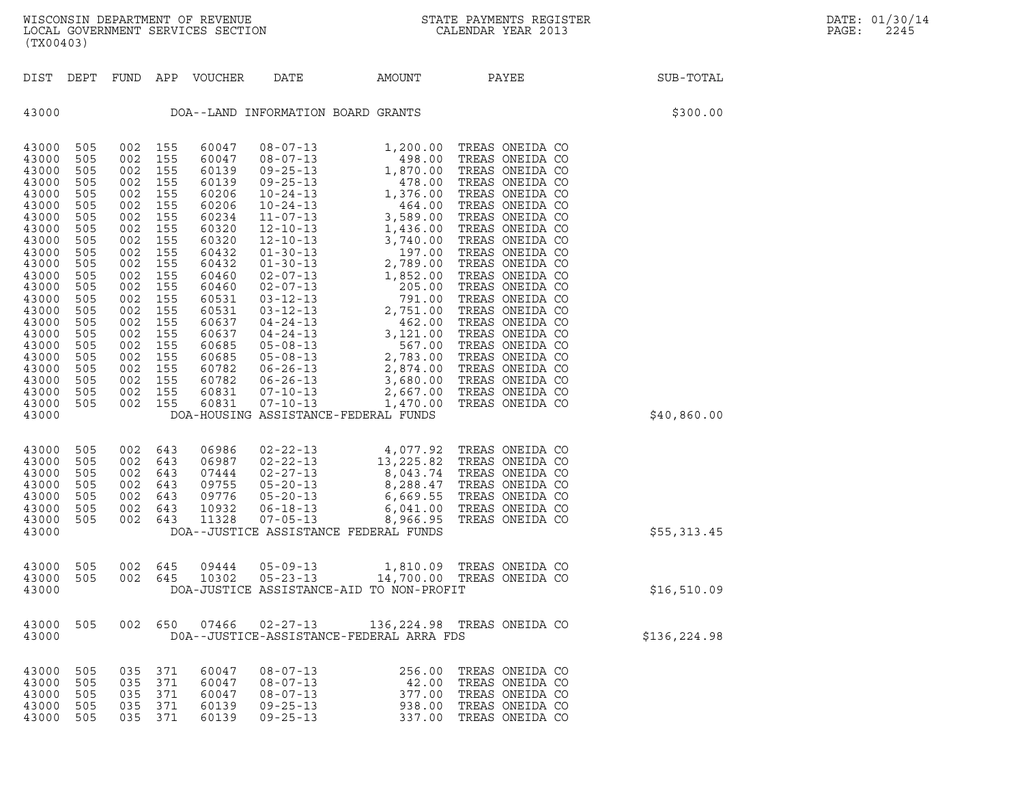| (TX00403)                                                                                                                                                                                                                                                                                                                                                                                                                                                                                                                                              |                                                                                                                                                                                                                                                                                                                                                                                                                                                                                                                                                                                                                                                                                                                                                                                                                                                    |                                                                                                                                                                                                                                                                                                                                                                                                                                                                                                                                                                                                                                                                                                                                     |              |
|--------------------------------------------------------------------------------------------------------------------------------------------------------------------------------------------------------------------------------------------------------------------------------------------------------------------------------------------------------------------------------------------------------------------------------------------------------------------------------------------------------------------------------------------------------|----------------------------------------------------------------------------------------------------------------------------------------------------------------------------------------------------------------------------------------------------------------------------------------------------------------------------------------------------------------------------------------------------------------------------------------------------------------------------------------------------------------------------------------------------------------------------------------------------------------------------------------------------------------------------------------------------------------------------------------------------------------------------------------------------------------------------------------------------|-------------------------------------------------------------------------------------------------------------------------------------------------------------------------------------------------------------------------------------------------------------------------------------------------------------------------------------------------------------------------------------------------------------------------------------------------------------------------------------------------------------------------------------------------------------------------------------------------------------------------------------------------------------------------------------------------------------------------------------|--------------|
| DEPT<br>DIST<br>FUND                                                                                                                                                                                                                                                                                                                                                                                                                                                                                                                                   | APP<br>VOUCHER<br>DATE                                                                                                                                                                                                                                                                                                                                                                                                                                                                                                                                                                                                                                                                                                                                                                                                                             | PAYEE<br>AMOUNT                                                                                                                                                                                                                                                                                                                                                                                                                                                                                                                                                                                                                                                                                                                     | SUB-TOTAL    |
| 43000                                                                                                                                                                                                                                                                                                                                                                                                                                                                                                                                                  | DOA--LAND INFORMATION BOARD GRANTS                                                                                                                                                                                                                                                                                                                                                                                                                                                                                                                                                                                                                                                                                                                                                                                                                 |                                                                                                                                                                                                                                                                                                                                                                                                                                                                                                                                                                                                                                                                                                                                     | \$300.00     |
| 43000<br>505<br>002<br>43000<br>505<br>002<br>43000<br>505<br>002<br>43000<br>505<br>002<br>43000<br>505<br>002<br>43000<br>505<br>002<br>43000<br>505<br>002<br>43000<br>505<br>002<br>43000<br>505<br>002<br>43000<br>505<br>002<br>43000<br>505<br>002<br>43000<br>505<br>002<br>43000<br>505<br>002<br>43000<br>505<br>002<br>43000<br>505<br>002<br>43000<br>505<br>002<br>43000<br>505<br>002<br>43000<br>505<br>002<br>43000<br>505<br>002<br>43000<br>505<br>002<br>43000<br>505<br>002<br>43000<br>505<br>002<br>43000<br>505<br>002<br>43000 | 155<br>60047<br>$08 - 07 - 13$<br>155<br>60047<br>$08 - 07 - 13$<br>155<br>60139<br>$09 - 25 - 13$<br>155<br>60139<br>$09 - 25 - 13$<br>155<br>60206<br>$10 - 24 - 13$<br>155<br>60206<br>$10 - 24 - 13$<br>155<br>60234<br>$11 - 07 - 13$<br>155<br>60320<br>$12 - 10 - 13$<br>155<br>60320<br>$12 - 10 - 13$<br>155<br>60432<br>$01 - 30 - 13$<br>155<br>60432<br>$01 - 30 - 13$<br>155<br>60460<br>$02 - 07 - 13$<br>155<br>60460<br>$02 - 07 - 13$<br>155<br>60531<br>$03 - 12 - 13$<br>155<br>60531<br>$03 - 12 - 13$<br>155<br>60637<br>$04 - 24 - 13$<br>155<br>60637<br>$04 - 24 - 13$<br>155<br>60685<br>$05 - 08 - 13$<br>155<br>60685<br>$05 - 08 - 13$<br>155<br>60782<br>$06 - 26 - 13$<br>155<br>60782<br>$06 - 26 - 13$<br>$07 - 10 - 13$<br>155<br>60831<br>155<br>60831<br>$07 - 10 - 13$<br>DOA-HOUSING ASSISTANCE-FEDERAL FUNDS | TREAS ONEIDA CO<br>1,200.00<br>TREAS ONEIDA CO<br>498.00<br>TREAS ONEIDA CO<br>1,870.00<br>TREAS ONEIDA CO<br>478.00<br>1,376.00<br>TREAS ONEIDA CO<br>TREAS ONEIDA CO<br>464.00<br>3,589.00<br>TREAS ONEIDA CO<br>TREAS ONEIDA CO<br>1,436.00<br>TREAS ONEIDA CO<br>3,740.00<br>TREAS ONEIDA CO<br>197.00<br>2,789.00<br>TREAS ONEIDA CO<br>1,852.00<br>TREAS ONEIDA CO<br>TREAS ONEIDA CO<br>205.00<br>TREAS ONEIDA CO<br>791.00<br>2,751.00<br>TREAS ONEIDA CO<br>TREAS ONEIDA CO<br>$462.00$<br>3 121 00<br>3,121.00<br>TREAS ONEIDA CO<br>567.00<br>TREAS ONEIDA CO<br>2,783.00<br>TREAS ONEIDA CO<br>2,874.00<br>TREAS ONEIDA CO<br>TREAS ONEIDA CO<br>3,680.00<br>2,667.00<br>TREAS ONEIDA CO<br>TREAS ONEIDA CO<br>1,470.00 | \$40,860.00  |
| 43000<br>505<br>002<br>43000<br>505<br>002<br>43000<br>505<br>002<br>43000<br>505<br>002<br>43000<br>505<br>002<br>43000<br>505<br>002<br>43000<br>505<br>002<br>43000                                                                                                                                                                                                                                                                                                                                                                                 | 643<br>06986<br>$02 - 22 - 13$<br>$02 - 22 - 13$<br>643<br>06987<br>$02 - 27 - 13$<br>643<br>07444<br>$05 - 20 - 13$<br>643<br>09755<br>$05 - 20 - 13$<br>643<br>09776<br>10932<br>643<br>$06 - 18 - 13$<br>643<br>11328<br>$07 - 05 - 13$<br>DOA--JUSTICE ASSISTANCE FEDERAL FUNDS                                                                                                                                                                                                                                                                                                                                                                                                                                                                                                                                                                | 4,077.92 TREAS ONEIDA CO<br>13,225.82 TREAS ONEIDA CO<br>8,043.74 TREAS ONEIDA CO<br>TREAS ONEIDA CO<br>8,288.47<br>6,669.55<br>TREAS ONEIDA CO<br>TREAS ONEIDA CO<br>6,041.00<br>8,966.95<br>TREAS ONEIDA CO                                                                                                                                                                                                                                                                                                                                                                                                                                                                                                                       | \$55,313.45  |
| 43000<br>505<br>002<br>43000<br>505<br>002<br>43000                                                                                                                                                                                                                                                                                                                                                                                                                                                                                                    | 645<br>09444<br>$05 - 09 - 13$<br>$05 - 23 - 13$<br>645<br>10302<br>DOA-JUSTICE ASSISTANCE-AID TO NON-PROFIT                                                                                                                                                                                                                                                                                                                                                                                                                                                                                                                                                                                                                                                                                                                                       | 1,810.09 TREAS ONEIDA CO<br>14,700.00 TREAS ONEIDA CO                                                                                                                                                                                                                                                                                                                                                                                                                                                                                                                                                                                                                                                                               | \$16,510.09  |
| 43000<br>505<br>002<br>43000                                                                                                                                                                                                                                                                                                                                                                                                                                                                                                                           | 07466<br>650<br>$02 - 27 - 13$<br>DOA--JUSTICE-ASSISTANCE-FEDERAL ARRA FDS                                                                                                                                                                                                                                                                                                                                                                                                                                                                                                                                                                                                                                                                                                                                                                         | 136,224.98 TREAS ONEIDA CO                                                                                                                                                                                                                                                                                                                                                                                                                                                                                                                                                                                                                                                                                                          | \$136,224.98 |
| 43000<br>505<br>035<br>43000<br>505<br>035<br>43000<br>505<br>035<br>43000<br>505<br>035<br>43000<br>505<br>035                                                                                                                                                                                                                                                                                                                                                                                                                                        | 371<br>60047<br>$08 - 07 - 13$<br>371<br>60047<br>$08 - 07 - 13$<br>371<br>60047<br>$08 - 07 - 13$<br>371<br>60139<br>$09 - 25 - 13$<br>371<br>60139<br>$09 - 25 - 13$                                                                                                                                                                                                                                                                                                                                                                                                                                                                                                                                                                                                                                                                             | TREAS ONEIDA CO<br>256.00<br>TREAS ONEIDA CO<br>42.00<br>377.00<br>TREAS ONEIDA CO<br>938.00<br>TREAS ONEIDA CO<br>337.00<br>TREAS ONEIDA CO                                                                                                                                                                                                                                                                                                                                                                                                                                                                                                                                                                                        |              |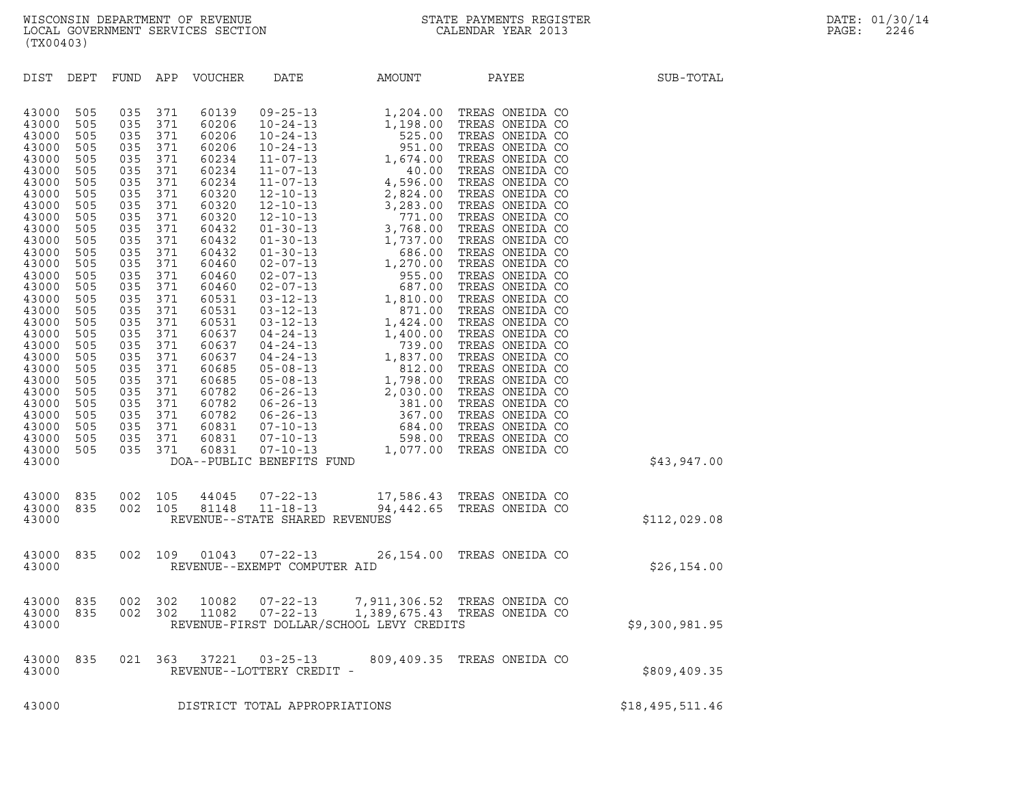| (TX00403)                                                                                                                                                                                                                                                                           |                                                                                                                                                                                                                |                                                                                                                                                                                                                |                                                                                                                                                                                                                |                                                                                                                                                                                                                                                                            |                                             |                                                                                                                                                        |                            |                 |
|-------------------------------------------------------------------------------------------------------------------------------------------------------------------------------------------------------------------------------------------------------------------------------------|----------------------------------------------------------------------------------------------------------------------------------------------------------------------------------------------------------------|----------------------------------------------------------------------------------------------------------------------------------------------------------------------------------------------------------------|----------------------------------------------------------------------------------------------------------------------------------------------------------------------------------------------------------------|----------------------------------------------------------------------------------------------------------------------------------------------------------------------------------------------------------------------------------------------------------------------------|---------------------------------------------|--------------------------------------------------------------------------------------------------------------------------------------------------------|----------------------------|-----------------|
|                                                                                                                                                                                                                                                                                     |                                                                                                                                                                                                                |                                                                                                                                                                                                                |                                                                                                                                                                                                                |                                                                                                                                                                                                                                                                            |                                             | DIST DEPT FUND APP VOUCHER DATE AMOUNT PAYEE                                                                                                           |                            | SUB-TOTAL       |
| 43000<br>43000<br>43000<br>43000<br>43000<br>43000<br>43000<br>43000<br>43000<br>43000<br>43000<br>43000<br>43000<br>43000<br>43000<br>43000<br>43000<br>43000<br>43000<br>43000<br>43000<br>43000<br>43000<br>43000<br>43000<br>43000<br>43000<br>43000<br>43000<br>43000<br>43000 | 505<br>505<br>505<br>505<br>505<br>505<br>505<br>505<br>505<br>505<br>505<br>505<br>505<br>505<br>505<br>505<br>505<br>505<br>505<br>505<br>505<br>505<br>505<br>505<br>505<br>505<br>505<br>505<br>505<br>505 | 035<br>035<br>035<br>035<br>035<br>035<br>035<br>035<br>035<br>035<br>035<br>035<br>035<br>035<br>035<br>035<br>035<br>035<br>035<br>035<br>035<br>035<br>035<br>035<br>035<br>035<br>035<br>035<br>035<br>035 | 371<br>371<br>371<br>371<br>371<br>371<br>371<br>371<br>371<br>371<br>371<br>371<br>371<br>371<br>371<br>371<br>371<br>371<br>371<br>371<br>371<br>371<br>371<br>371<br>371<br>371<br>371<br>371<br>371<br>371 | 60139<br>60206<br>60206<br>60206<br>60234<br>60234<br>60234<br>60320<br>60320<br>60320<br>60432<br>60432<br>60432<br>60460<br>60460<br>60460<br>60531<br>60531<br>60531<br>60637<br>60637<br>60637<br>60685<br>60685<br>60782<br>60782<br>60782<br>60831<br>60831<br>60831 | DOA--PUBLIC BENEFITS FUND                   |                                                                                                                                                        |                            | \$43,947.00     |
| 43000<br>43000<br>43000                                                                                                                                                                                                                                                             |                                                                                                                                                                                                                |                                                                                                                                                                                                                |                                                                                                                                                                                                                |                                                                                                                                                                                                                                                                            | REVENUE--STATE SHARED REVENUES              | 835 002 105 44045 07-22-13 17,586.43 TREAS ONEIDA CO<br>835 002 105 81148 11-18-13 94,442.65 TREAS ONEIDA CO                                           |                            | \$112,029.08    |
| 43000<br>43000                                                                                                                                                                                                                                                                      | 835                                                                                                                                                                                                            |                                                                                                                                                                                                                |                                                                                                                                                                                                                |                                                                                                                                                                                                                                                                            | REVENUE--EXEMPT COMPUTER AID                | 002 109 01043 07-22-13 26,154.00 TREAS ONEIDA CO                                                                                                       |                            | \$26, 154.00    |
| 43000<br>43000<br>43000                                                                                                                                                                                                                                                             | 835<br>835                                                                                                                                                                                                     |                                                                                                                                                                                                                |                                                                                                                                                                                                                |                                                                                                                                                                                                                                                                            |                                             | 002 302 10082 07-22-13 7,911,306.52 TREAS ONEIDA CO<br>002 302 11082 07-22-13 1,389,675.43 TREAS ONEIDA CO<br>REVENUE-FIRST DOLLAR/SCHOOL LEVY CREDITS |                            | \$9,300,981.95  |
| 43000<br>43000                                                                                                                                                                                                                                                                      | 835                                                                                                                                                                                                            | 021                                                                                                                                                                                                            | 363                                                                                                                                                                                                            | 37221                                                                                                                                                                                                                                                                      | $03 - 25 - 13$<br>REVENUE--LOTTERY CREDIT - |                                                                                                                                                        | 809,409.35 TREAS ONEIDA CO | \$809,409.35    |
| 43000                                                                                                                                                                                                                                                                               |                                                                                                                                                                                                                |                                                                                                                                                                                                                |                                                                                                                                                                                                                |                                                                                                                                                                                                                                                                            | DISTRICT TOTAL APPROPRIATIONS               |                                                                                                                                                        |                            | \$18,495,511.46 |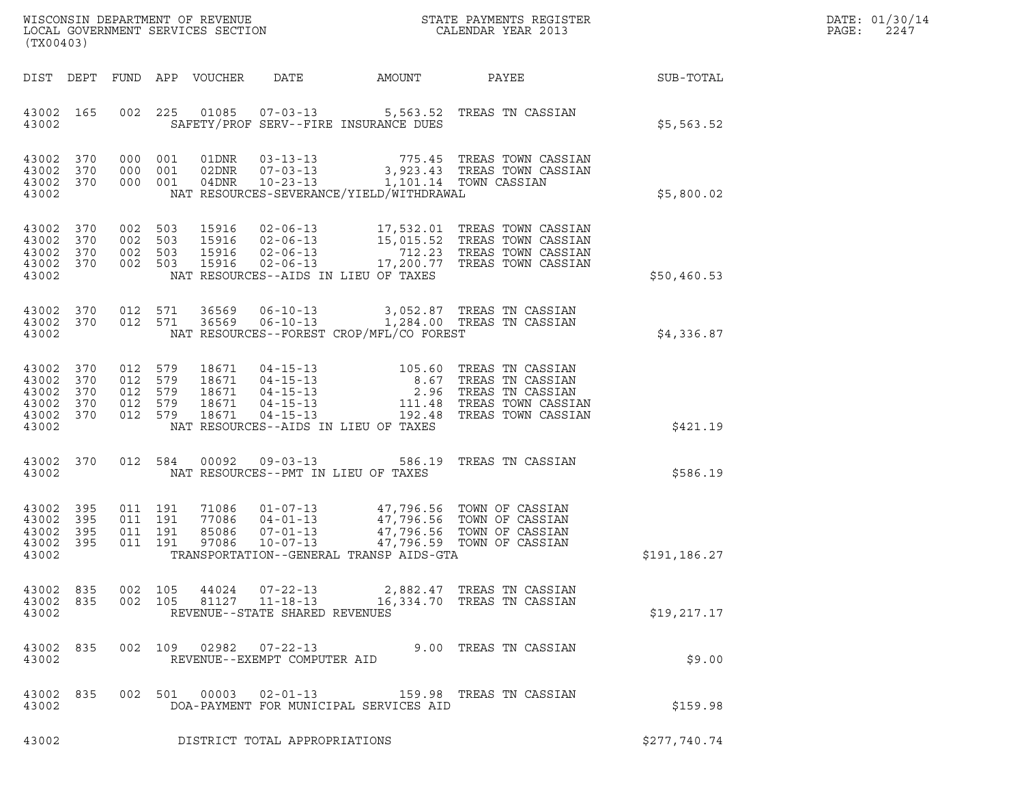| DATE: | 01/30/14 |
|-------|----------|
| PAGE: | 2247     |

| (TX00403)                                                      |            |         |                                          |               |                                |                                          |                                                                                                                                                                                                                          |              | DATE: 01/30/14<br>PAGE:<br>2247 |
|----------------------------------------------------------------|------------|---------|------------------------------------------|---------------|--------------------------------|------------------------------------------|--------------------------------------------------------------------------------------------------------------------------------------------------------------------------------------------------------------------------|--------------|---------------------------------|
|                                                                |            |         |                                          |               |                                |                                          | DIST DEPT FUND APP VOUCHER DATE AMOUNT PAYEE SUB-TOTAL                                                                                                                                                                   |              |                                 |
| 43002 165<br>43002                                             |            |         |                                          |               |                                | SAFETY/PROF SERV--FIRE INSURANCE DUES    | 002 225 01085 07-03-13 5,563.52 TREAS TN CASSIAN                                                                                                                                                                         | \$5,563.52   |                                 |
| 43002 370<br>43002<br>43002 370<br>43002                       | 370        |         |                                          |               |                                | NAT RESOURCES-SEVERANCE/YIELD/WITHDRAWAL | 000 001 01DNR 03-13-13 775.45 TREAS TOWN CASSIAN<br>000 001 02DNR 07-03-13 3,923.43 TREAS TOWN CASSIAN<br>000 001 04DNR 10-23-13 1,101.14 TOWN CASSIAN                                                                   | \$5,800.02   |                                 |
| 43002 370<br>43002<br>43002 370<br>43002 370<br>43002          | 370        |         |                                          |               |                                | NAT RESOURCES--AIDS IN LIEU OF TAXES     | 002 503 15916 02-06-13 17,532.01 TREAS TOWN CASSIAN<br>002 503 15916 02-06-13 15,015.52 TREAS TOWN CASSIAN<br>002 503 15916 02-06-13 712.23 TREAS TOWN CASSIAN<br>002 503 15916 02-06-13 17,200.77 TREAS TOWN CASSIAN    | \$50,460.53  |                                 |
| 43002 370<br>43002 370<br>43002                                |            |         |                                          |               |                                | NAT RESOURCES--FOREST CROP/MFL/CO FOREST | 012 571 36569 06-10-13 3,052.87 TREAS TN CASSIAN<br>012 571 36569 06-10-13 1,284.00 TREAS TN CASSIAN                                                                                                                     | \$4,336.87   |                                 |
| 43002 370<br>43002<br>43002<br>43002 370<br>43002 370<br>43002 | 370<br>370 | 012 579 | 012 579<br>012 579<br>012 579<br>012 579 |               |                                | NAT RESOURCES--AIDS IN LIEU OF TAXES     | 18671  04-15-13  105.60 TREAS TN CASSIAN<br>18671  04-15-13  8.67 TREAS TN CASSIAN<br>18671  04-15-13  2.96 TREAS TN CASSIAN<br>18671  04-15-13  111.48 TREAS TOWN CASSIAN<br>18671  04-15-13  192.48 TREAS TOWN CASSIAN | \$421.19     |                                 |
| 43002 370<br>43002                                             |            |         |                                          | 012 584 00092 |                                | NAT RESOURCES--PMT IN LIEU OF TAXES      | 09-03-13 586.19 TREAS TN CASSIAN                                                                                                                                                                                         | \$586.19     |                                 |
| 43002 395<br>43002<br>43002 395<br>43002 395<br>43002          | 395        |         | 011 191<br>011 191<br>011 191<br>011 191 |               |                                | TRANSPORTATION--GENERAL TRANSP AIDS-GTA  | 71086  01-07-13  47,796.56  TOWN OF CASSIAN<br>77086 04-01-13 47,796.56 TOWN OF CASSIAN<br>85086 07-01-13 47,796.56 TOWN OF CASSIAN<br>97086 10-07-13 47,796.59 TOWN OF CASSIAN                                          | \$191,186.27 |                                 |
| 43002 835<br>43002 835<br>43002                                |            |         |                                          |               | REVENUE--STATE SHARED REVENUES |                                          | 002 105 44024 07-22-13 2,882.47 TREAS TN CASSIAN<br>002 105 81127 11-18-13 16,334.70 TREAS TN CASSIAN                                                                                                                    | \$19, 217.17 |                                 |
| 43002 835<br>43002                                             |            |         |                                          |               | REVENUE--EXEMPT COMPUTER AID   |                                          | 002 109 02982 07-22-13 9.00 TREAS TN CASSIAN                                                                                                                                                                             | \$9.00       |                                 |
| 43002 835<br>43002                                             |            |         |                                          | 002 501 00003 |                                | DOA-PAYMENT FOR MUNICIPAL SERVICES AID   |                                                                                                                                                                                                                          | \$159.98     |                                 |
| 43002                                                          |            |         |                                          |               | DISTRICT TOTAL APPROPRIATIONS  |                                          |                                                                                                                                                                                                                          | \$277,740.74 |                                 |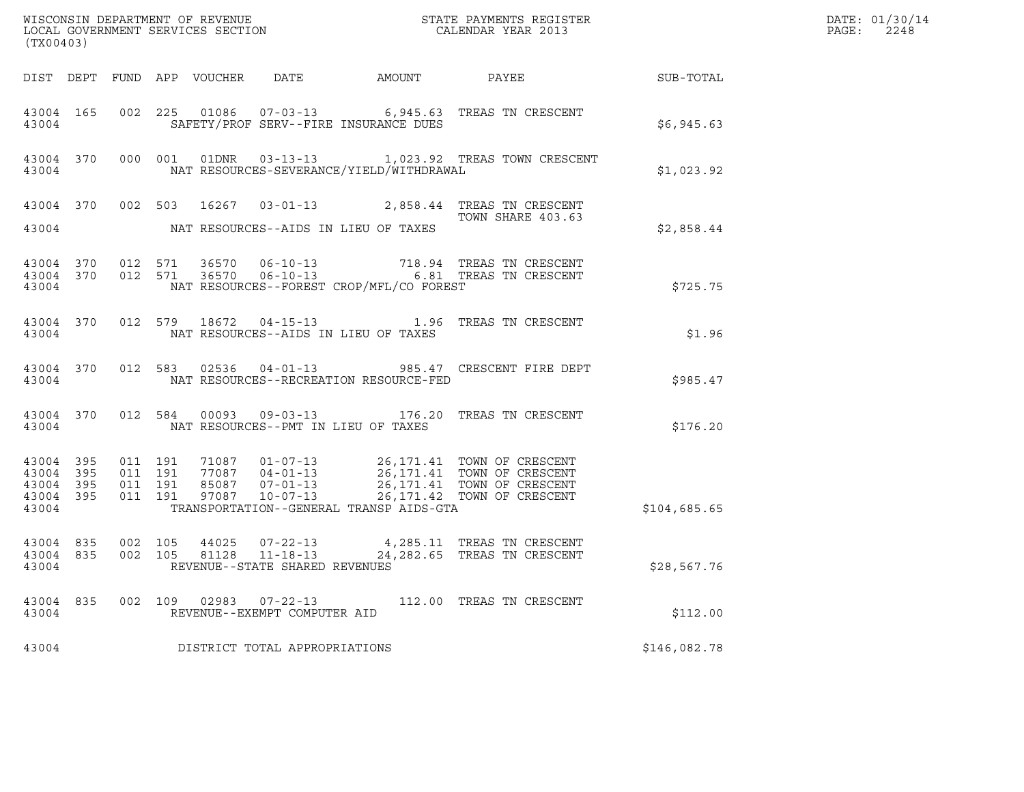| (TX00403)                                                |                    |  |                                                 |                                                |                                                                                                                                                                                                                                                                   |              | DATE: 01/30/14<br>PAGE:<br>2248 |
|----------------------------------------------------------|--------------------|--|-------------------------------------------------|------------------------------------------------|-------------------------------------------------------------------------------------------------------------------------------------------------------------------------------------------------------------------------------------------------------------------|--------------|---------------------------------|
|                                                          |                    |  |                                                 |                                                | DIST DEPT FUND APP VOUCHER DATE AMOUNT PAYEE SUB-TOTAL                                                                                                                                                                                                            |              |                                 |
| 43004                                                    |                    |  |                                                 | SAFETY/PROF SERV--FIRE INSURANCE DUES          | 43004 165 002 225 01086 07-03-13 6,945.63 TREAS TN CRESCENT                                                                                                                                                                                                       | \$6,945.63   |                                 |
|                                                          |                    |  |                                                 | 43004 NAT RESOURCES-SEVERANCE/YIELD/WITHDRAWAL | 43004 370 000 001 01DNR 03-13-13 1,023.92 TREAS TOWN CRESCENT                                                                                                                                                                                                     | \$1,023.92   |                                 |
|                                                          |                    |  |                                                 |                                                | 43004 370 002 503 16267 03-01-13 2,858.44 TREAS TN CRESCENT<br>TOWN SHARE 403.63                                                                                                                                                                                  |              |                                 |
|                                                          |                    |  |                                                 | 43004 NAT RESOURCES--AIDS IN LIEU OF TAXES     |                                                                                                                                                                                                                                                                   | \$2,858.44   |                                 |
|                                                          |                    |  |                                                 | 43004 NAT RESOURCES--FOREST CROP/MFL/CO FOREST |                                                                                                                                                                                                                                                                   | \$725.75     |                                 |
|                                                          |                    |  |                                                 | 43004 NAT RESOURCES--AIDS IN LIEU OF TAXES     | 43004 370 012 579 18672 04-15-13 1.96 TREAS TN CRESCENT                                                                                                                                                                                                           | \$1.96       |                                 |
|                                                          |                    |  |                                                 | 43004 NAT RESOURCES--RECREATION RESOURCE-FED   | 43004 370 012 583 02536 04-01-13 985.47 CRESCENT FIRE DEPT                                                                                                                                                                                                        | \$985.47     |                                 |
|                                                          |                    |  |                                                 | 43004 NAT RESOURCES--PMT IN LIEU OF TAXES      | 43004 370 012 584 00093 09-03-13 176.20 TREAS TN CRESCENT                                                                                                                                                                                                         | \$176.20     |                                 |
| 43004 395 011 191<br>43004 395<br>43004 395<br>43004 395 |                    |  |                                                 |                                                | 011 191 71087 01-07-13 26,171.41 TOWN OF CRESCENT<br>011 191 77087 04-01-13 26,171.41 TOWN OF CRESCENT<br>011 191 85087 07-01-13 26,171.41 TOWN OF CRESCENT<br>011 191 97087 10-07-13 26,171.42 TOWN OF CRESCENT<br>43004 TRANSPORTATION--GENERAL TRANSP AIDS-GTA | \$104,685.65 |                                 |
| 43004 835<br>43004 835<br>43004                          | 002 105<br>002 105 |  | REVENUE--STATE SHARED REVENUES                  |                                                | 44025   07-22-13   4,285.11   TREAS TN CRESCENT<br>81128   11-18-13   24,282.65   TREAS TN CRESCENT                                                                                                                                                               | \$28,567.76  |                                 |
| 43004 835<br>43004                                       | 002 109            |  | 02983  07-22-13<br>REVENUE--EXEMPT COMPUTER AID |                                                | 112.00 TREAS TN CRESCENT                                                                                                                                                                                                                                          | \$112.00     |                                 |
| 43004                                                    |                    |  | DISTRICT TOTAL APPROPRIATIONS                   |                                                |                                                                                                                                                                                                                                                                   | \$146,082.78 |                                 |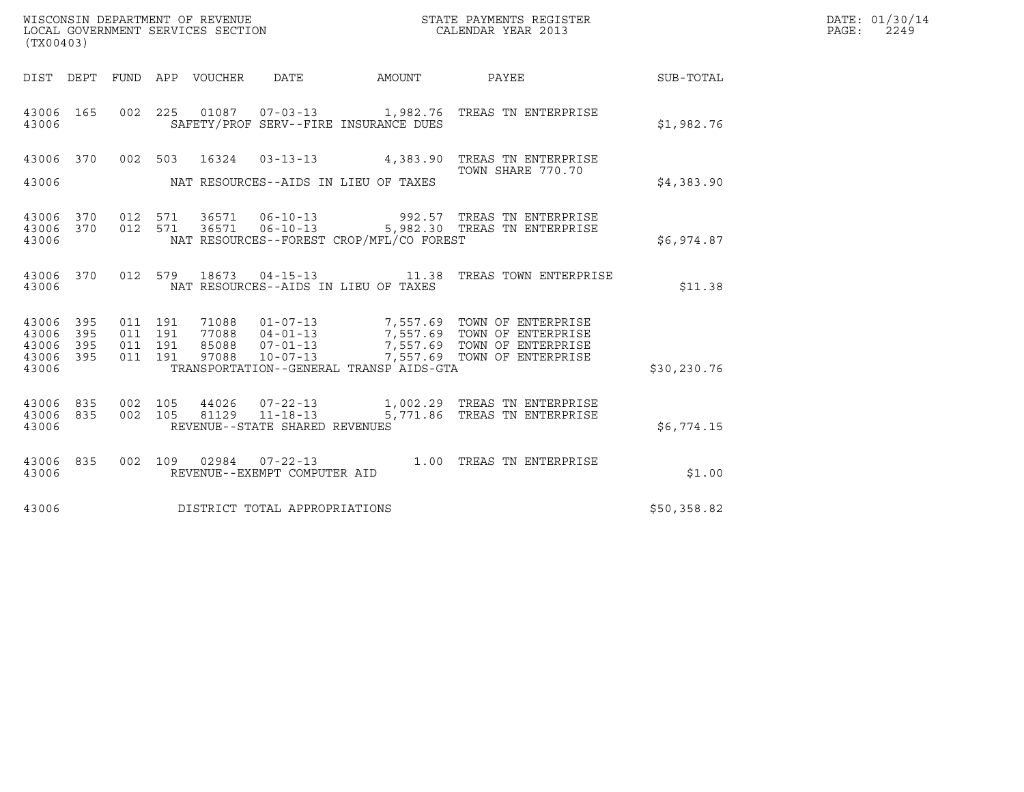| (TX00403)                                 |                          |                                          |         | WISCONSIN DEPARTMENT OF REVENUE<br>LOCAL GOVERNMENT SERVICES SECTION |                                                  |                                          | STATE PAYMENTS REGISTER<br>CALENDAR YEAR 2013                                                                                                                                                    |             | DATE: 01/30/14<br>$\mathtt{PAGE:}$<br>2249 |
|-------------------------------------------|--------------------------|------------------------------------------|---------|----------------------------------------------------------------------|--------------------------------------------------|------------------------------------------|--------------------------------------------------------------------------------------------------------------------------------------------------------------------------------------------------|-------------|--------------------------------------------|
| DIST DEPT                                 |                          |                                          |         | FUND APP VOUCHER DATE                                                |                                                  | AMOUNT                                   | PAYEE                                                                                                                                                                                            | SUB-TOTAL   |                                            |
| 43006 165<br>43006                        |                          |                                          |         |                                                                      |                                                  | SAFETY/PROF SERV--FIRE INSURANCE DUES    | 002  225  01087  07-03-13   1,982.76  TREAS TN ENTERPRISE                                                                                                                                        | \$1,982.76  |                                            |
| 43006 370                                 |                          | 002 503                                  |         | 16324                                                                |                                                  |                                          | 03-13-13 4,383.90 TREAS TN ENTERPRISE                                                                                                                                                            |             |                                            |
| 43006                                     |                          |                                          |         |                                                                      |                                                  | NAT RESOURCES--AIDS IN LIEU OF TAXES     | TOWN SHARE 770.70                                                                                                                                                                                | \$4,383.90  |                                            |
| 43006 370<br>43006 370<br>43006           |                          | 012 571                                  | 012 571 |                                                                      |                                                  | NAT RESOURCES--FOREST CROP/MFL/CO FOREST | 36571   06-10-13   992.57   TREAS TN ENTERPRISE<br>36571   06-10-13   5,982.30   TREAS TN ENTERPRISE                                                                                             | \$6.974.87  |                                            |
| 43006 370<br>43006                        |                          |                                          | 012 579 |                                                                      |                                                  | NAT RESOURCES--AIDS IN LIEU OF TAXES     | 18673  04-15-13    11.38    TREAS TOWN ENTERPRISE                                                                                                                                                | \$11.38     |                                            |
| 43006<br>43006<br>43006<br>43006<br>43006 | 395<br>395<br>395<br>395 | 011 191<br>011 191<br>011 191<br>011 191 |         |                                                                      |                                                  | TRANSPORTATION--GENERAL TRANSP AIDS-GTA  | 71088  01-07-13  7,557.69  TOWN OF ENTERPRISE<br>77088  04-01-13  7,557.69  TOWN OF ENTERPRISE<br>85088  07-01-13  7,557.69  TOWN OF ENTERPRISE<br>97088  10-07-13  7,557.69  TOWN OF ENTERPRISE | \$30,230.76 |                                            |
| 43006<br>43006<br>43006                   | 835<br>835               | 002 105<br>002 105                       |         | 44026                                                                | 81129 11-18-13<br>REVENUE--STATE SHARED REVENUES |                                          | 07-22-13 1,002.29 TREAS TN ENTERPRISE<br>5,771.86 TREAS TN ENTERPRISE                                                                                                                            | \$6,774.15  |                                            |
| 43006 835<br>43006                        |                          |                                          |         |                                                                      | REVENUE--EXEMPT COMPUTER AID                     |                                          | 002 109 02984 07-22-13 1.00 TREAS TN ENTERPRISE                                                                                                                                                  | \$1.00      |                                            |
| 43006                                     |                          |                                          |         |                                                                      | DISTRICT TOTAL APPROPRIATIONS                    |                                          |                                                                                                                                                                                                  | \$50,358.82 |                                            |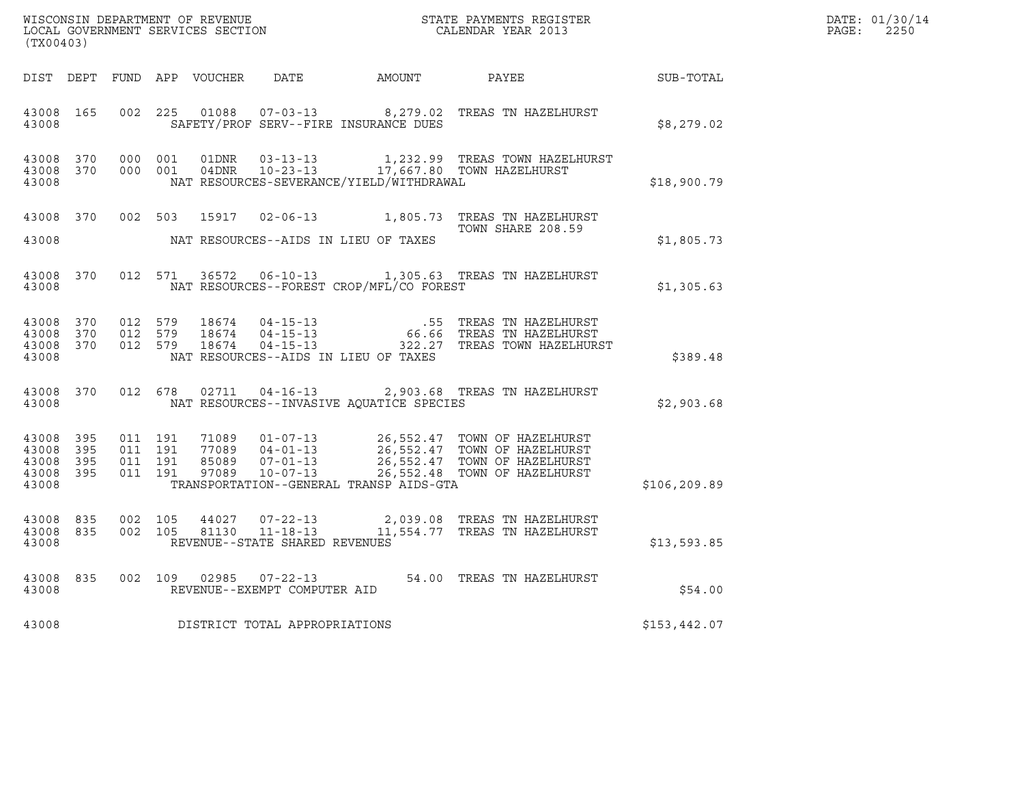| (TX00403)                                 |                          |                    | WISCONSIN DEPARTMENT OF REVENUE<br>LOCAL GOVERNMENT SERVICES SECTION |                                | STATE PAYMENTS REGISTER                  |                                                                                                                                                                                                                                                                                                                                   |              | DATE: 01/30/14<br>$\mathtt{PAGE:}$<br>2250 |
|-------------------------------------------|--------------------------|--------------------|----------------------------------------------------------------------|--------------------------------|------------------------------------------|-----------------------------------------------------------------------------------------------------------------------------------------------------------------------------------------------------------------------------------------------------------------------------------------------------------------------------------|--------------|--------------------------------------------|
|                                           |                          |                    |                                                                      |                                |                                          | DIST DEPT FUND APP VOUCHER DATE AMOUNT PAYEE                                                                                                                                                                                                                                                                                      | SUB-TOTAL    |                                            |
| 43008                                     | 43008 165                |                    |                                                                      |                                | SAFETY/PROF SERV--FIRE INSURANCE DUES    | 002 225 01088 07-03-13 8,279.02 TREAS TN HAZELHURST                                                                                                                                                                                                                                                                               | \$8,279.02   |                                            |
| 43008 370<br>43008                        | 43008 370 000 001        | 000 001            |                                                                      |                                | NAT RESOURCES-SEVERANCE/YIELD/WITHDRAWAL | 1,232.99 TREAS TOWN HAZELHURST                                                                                                                                                                                                                                                                                                    | \$18,900.79  |                                            |
| 43008                                     |                          |                    |                                                                      |                                | NAT RESOURCES--AIDS IN LIEU OF TAXES     | 43008 370 002 503 15917 02-06-13 1,805.73 TREAS TN HAZELHURST<br>TOWN SHARE 208.59                                                                                                                                                                                                                                                | \$1,805.73   |                                            |
| 43008 370<br>43008                        |                          |                    |                                                                      |                                | NAT RESOURCES--FOREST CROP/MFL/CO FOREST | 012 571 36572 06-10-13 1,305.63 TREAS TN HAZELHURST                                                                                                                                                                                                                                                                               | \$1,305.63   |                                            |
| 43008                                     |                          |                    |                                                                      |                                | NAT RESOURCES--AIDS IN LIEU OF TAXES     | $\begin{array}{cccc} 4\,3\,0\,0\,8\quad \ 3\,7\,0\qquad \quad 0\,1\,2\quad \ 5\,7\,9\qquad \quad 1\,8\,6\,7\,4\qquad \quad 0\,4\,-1\,5\,-1\,3\qquad \qquad 6\,6\,6\,6\qquad \text{TREAS TN HAZELHURST} \\ 4\,3\,0\,0\,8\quad \ 3\,7\,0\qquad \quad 0\,1\,2\qquad \,5\,7\,9\qquad \quad 1\,8\,6\,7\,4\qquad \quad 0\,4\,-1\,5\,-1$ | \$389.48     |                                            |
| 43008                                     | 43008 370                |                    |                                                                      |                                | NAT RESOURCES--INVASIVE AOUATICE SPECIES | 012 678 02711 04-16-13 2,903.68 TREAS TN HAZELHURST                                                                                                                                                                                                                                                                               | \$2,903.68   |                                            |
| 43008<br>43008<br>43008<br>43008<br>43008 | 395<br>395<br>395<br>395 |                    |                                                                      |                                | TRANSPORTATION--GENERAL TRANSP AIDS-GTA  | 011 191 71089 01-07-13 26,552.47 TOWN OF HAZELHURST<br>011 191 77089 04-01-13 26,552.47 TOWN OF HAZELHURST<br>011 191 97089 07-01-13 26,552.47 TOWN OF HAZELHURST<br>011 191 97089 10-07-13 26,552.48 TOWN OF HAZELHURST                                                                                                          | \$106,209.89 |                                            |
| 43008 835<br>43008                        | 43008 835                | 002 105<br>002 105 |                                                                      | REVENUE--STATE SHARED REVENUES |                                          | $44027$ $07-22-13$ $2,039.08$ TREAS TN HAZELHURST 81130 11-18-13 11,554.77 TREAS TN HAZELHURST                                                                                                                                                                                                                                    | \$13,593.85  |                                            |
| 43008                                     | 43008 835                |                    |                                                                      | REVENUE--EXEMPT COMPUTER AID   |                                          | 002 109 02985 07-22-13 54.00 TREAS TN HAZELHURST                                                                                                                                                                                                                                                                                  | \$54.00      |                                            |
| 43008                                     |                          |                    |                                                                      | DISTRICT TOTAL APPROPRIATIONS  |                                          |                                                                                                                                                                                                                                                                                                                                   | \$153,442.07 |                                            |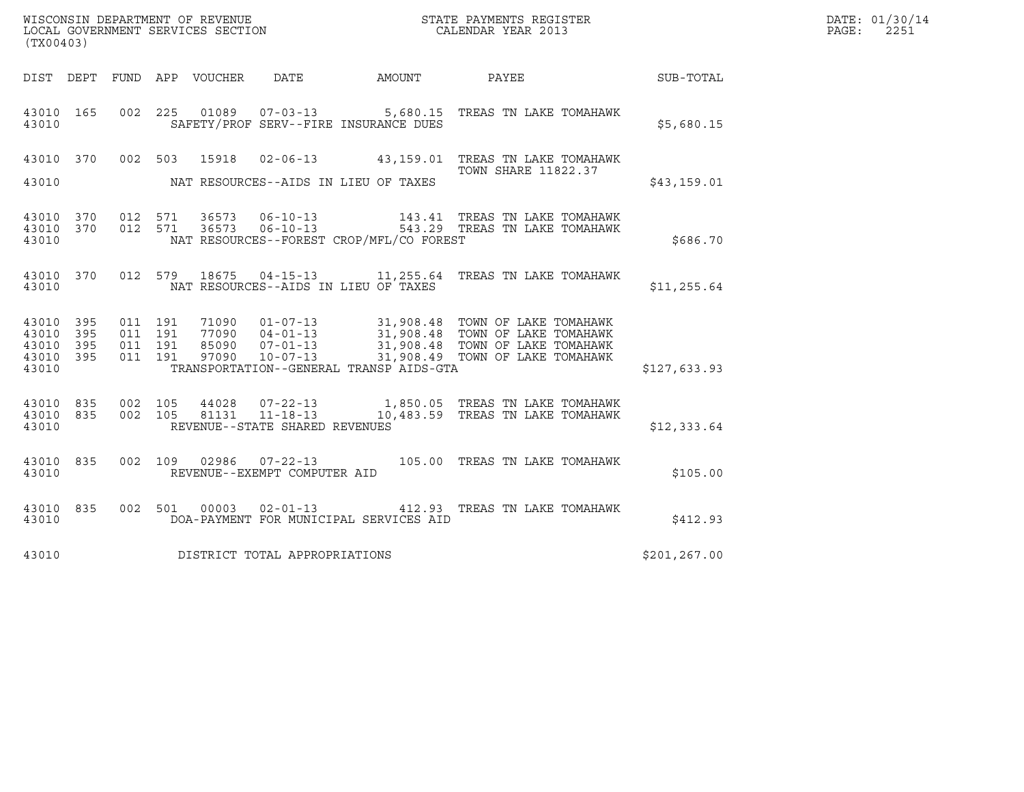|                                                       |                                                                                                                                                                                                                                                                                                                                       |                               |         |                |                                                  |                                              |                                                                              |                  | DATE: 01/30/14 |
|-------------------------------------------------------|---------------------------------------------------------------------------------------------------------------------------------------------------------------------------------------------------------------------------------------------------------------------------------------------------------------------------------------|-------------------------------|---------|----------------|--------------------------------------------------|----------------------------------------------|------------------------------------------------------------------------------|------------------|----------------|
|                                                       | ${\tt WISCOONSIM} \begin{tabular}{lcccc} DEPARTMENT OF REVENUE & & & & & & \begin{tabular}{l} \bf STATE} & \bf PAYMENTS \textit{ REGISTER} \\ \hline \textit{LOCAL GOVERNMENT} & \textit{SEVICES} & \textit{SECTION} \end{tabular} & & & & & \begin{tabular}{l} \bf CALENDAR \textit{ YEAR} \end{tabular} \end{tabular}$<br>(TX00403) |                               |         |                |                                                  |                                              |                                                                              |                  | PAGE:<br>2251  |
|                                                       |                                                                                                                                                                                                                                                                                                                                       |                               |         |                |                                                  | DIST DEPT FUND APP VOUCHER DATE AMOUNT PAYEE |                                                                              | <b>SUB-TOTAL</b> |                |
| 43010 165<br>43010                                    |                                                                                                                                                                                                                                                                                                                                       |                               |         |                |                                                  | SAFETY/PROF SERV--FIRE INSURANCE DUES        | 002 225 01089 07-03-13 5,680.15 TREAS TN LAKE TOMAHAWK                       | \$5,680.15       |                |
| 43010 370<br>43010                                    |                                                                                                                                                                                                                                                                                                                                       | 002 503                       |         | 15918          |                                                  | NAT RESOURCES--AIDS IN LIEU OF TAXES         | 02-06-13 43,159.01 TREAS TN LAKE TOMAHAWK<br><b>TOWN SHARE 11822.37</b>      | \$43,159.01      |                |
| 43010 370 012 571<br>43010 370<br>43010               |                                                                                                                                                                                                                                                                                                                                       | 012 571                       |         |                | 36573 06-10-13<br>$36573$ $06-10-13$             | NAT RESOURCES--FOREST CROP/MFL/CO FOREST     | 143.41 TREAS TN LAKE TOMAHAWK<br>543.29 TREAS TN LAKE TOMAHAWK               | \$686.70         |                |
| 43010 370<br>43010                                    |                                                                                                                                                                                                                                                                                                                                       |                               |         |                |                                                  | NAT RESOURCES--AIDS IN LIEU OF TAXES         | 012 579 18675 04-15-13 11,255.64 TREAS TN LAKE TOMAHAWK                      | \$11, 255.64     |                |
| 43010 395<br>43010 395<br>43010<br>43010 395<br>43010 | - 395                                                                                                                                                                                                                                                                                                                                 | 011 191<br>011 191<br>011 191 | 011 191 |                |                                                  | TRANSPORTATION--GENERAL TRANSP AIDS-GTA      |                                                                              | \$127,633.93     |                |
| 43010 835<br>43010 835<br>43010                       |                                                                                                                                                                                                                                                                                                                                       | 002 105<br>002 105            |         | 44028<br>81131 | $11 - 18 - 13$<br>REVENUE--STATE SHARED REVENUES |                                              | 07-22-13 1,850.05 TREAS TN LAKE TOMAHAWK<br>10,483.59 TREAS TN LAKE TOMAHAWK | \$12,333.64      |                |
| 43010 835<br>43010                                    |                                                                                                                                                                                                                                                                                                                                       |                               |         | 002 109 02986  | REVENUE--EXEMPT COMPUTER AID                     |                                              |                                                                              | \$105.00         |                |
| 43010 835<br>43010                                    |                                                                                                                                                                                                                                                                                                                                       |                               |         |                | 002 501 00003 02-01-13                           | DOA-PAYMENT FOR MUNICIPAL SERVICES AID       | 412.93 TREAS TN LAKE TOMAHAWK                                                | \$412.93         |                |
| 43010                                                 |                                                                                                                                                                                                                                                                                                                                       |                               |         |                | DISTRICT TOTAL APPROPRIATIONS                    |                                              |                                                                              | \$201, 267.00    |                |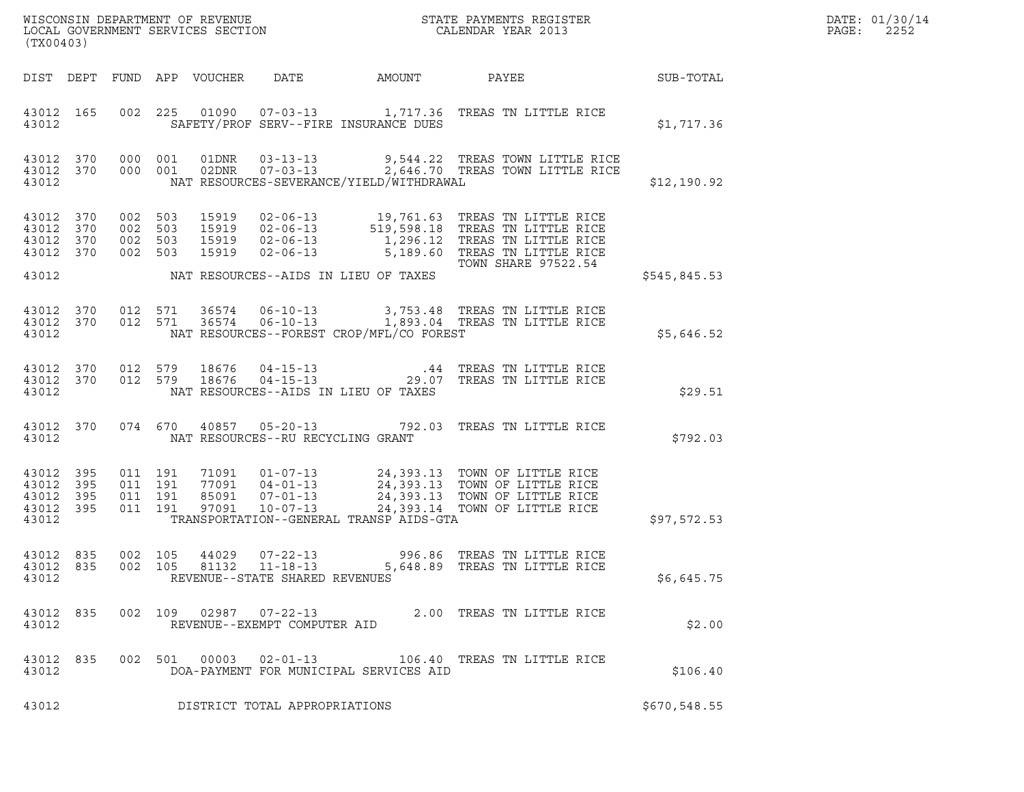| DATE: | 01/30/14 |
|-------|----------|
| PAGE: | 2252     |

| (TX00403)                                         |                        |                                          |         |                            |                                                  |                                          |                                                                                                                                                                                                                |                  | DATE: 01/30/14<br>PAGE:<br>2252 |
|---------------------------------------------------|------------------------|------------------------------------------|---------|----------------------------|--------------------------------------------------|------------------------------------------|----------------------------------------------------------------------------------------------------------------------------------------------------------------------------------------------------------------|------------------|---------------------------------|
|                                                   |                        |                                          |         | DIST DEPT FUND APP VOUCHER | DATE                                             | AMOUNT                                   | PAYEE                                                                                                                                                                                                          | <b>SUB-TOTAL</b> |                                 |
| 43012                                             | 43012 165              |                                          |         |                            |                                                  | SAFETY/PROF SERV--FIRE INSURANCE DUES    | 002 225 01090 07-03-13 1,717.36 TREAS TN LITTLE RICE                                                                                                                                                           | \$1,717.36       |                                 |
| 43012 370<br>43012                                | 43012 370              | 000 001                                  | 000 001 |                            |                                                  | NAT RESOURCES-SEVERANCE/YIELD/WITHDRAWAL |                                                                                                                                                                                                                | \$12,190.92      |                                 |
| 43012 370<br>43012 370<br>43012 370<br>43012 370  |                        | 002 503<br>002 503<br>002 503<br>002 503 |         | 15919<br>15919             | $02 - 06 - 13$                                   |                                          | 15919 02-06-13 19,761.63 TREAS TN LITTLE RICE<br>15919 02-06-13 519,598.18 TREAS TN LITTLE RICE<br>15919 02-06-13 1,296.12 TREAS TN LITTLE RICE<br>5,189.60 TREAS TN LITTLE RICE<br><b>TOWN SHARE 97522.54</b> |                  |                                 |
| 43012                                             |                        |                                          |         |                            |                                                  | NAT RESOURCES--AIDS IN LIEU OF TAXES     |                                                                                                                                                                                                                | \$545,845.53     |                                 |
| 43012                                             | 43012 370<br>43012 370 |                                          |         |                            |                                                  | NAT RESOURCES--FOREST CROP/MFL/CO FOREST | 012 571 36574 06-10-13 3,753.48 TREAS TN LITTLE RICE<br>012 571 36574 06-10-13 1,893.04 TREAS TN LITTLE RICE                                                                                                   | \$5,646.52       |                                 |
| 43012 370<br>43012                                | 43012 370              | 012 579                                  |         | 012 579 18676<br>18676     |                                                  | NAT RESOURCES--AIDS IN LIEU OF TAXES     | 04-15-13 19.07 TREAS TN LITTLE RICE<br>04-15-13 29.07 TREAS TN LITTLE RICE                                                                                                                                     | \$29.51          |                                 |
| 43012                                             | 43012 370              |                                          | 074 670 |                            | NAT RESOURCES--RU RECYCLING GRANT                |                                          | 40857  05-20-13  792.03  TREAS TN LITTLE RICE                                                                                                                                                                  | \$792.03         |                                 |
| 43012<br>43012 395<br>43012<br>43012 395<br>43012 | 395<br>395             | 011 191<br>011 191<br>011 191            | 011 191 |                            |                                                  | TRANSPORTATION--GENERAL TRANSP AIDS-GTA  | 71091  01-07-13  24,393.13  TOWN OF LITTLE RICE<br>77091  04-01-13  24,393.13  TOWN OF LITTLE RICE<br>85091  07-01-13  24,393.13  TOWN OF LITTLE RICE<br>97091  10-07-13  24,393.14  TOWN OF LITTLE RICE       | \$97,572.53      |                                 |
| 43012 835<br>43012                                |                        | 002 105                                  |         | 44029                      | $07 - 22 - 13$<br>REVENUE--STATE SHARED REVENUES |                                          | 996.86 TREAS TN LITTLE RICE<br>43012 835 002 105 81132 11-18-13 5,648.89 TREAS TN LITTLE RICE                                                                                                                  | \$6,645.75       |                                 |
| 43012 835<br>43012                                |                        |                                          |         |                            | REVENUE--EXEMPT COMPUTER AID                     |                                          | 002 109 02987 07-22-13 2.00 TREAS TN LITTLE RICE                                                                                                                                                               | \$2.00           |                                 |
| 43012 835<br>43012                                |                        |                                          |         |                            |                                                  | DOA-PAYMENT FOR MUNICIPAL SERVICES AID   | 002 501 00003 02-01-13 106.40 TREAS TN LITTLE RICE                                                                                                                                                             | \$106.40         |                                 |
| 43012                                             |                        |                                          |         |                            | DISTRICT TOTAL APPROPRIATIONS                    |                                          |                                                                                                                                                                                                                | \$670,548.55     |                                 |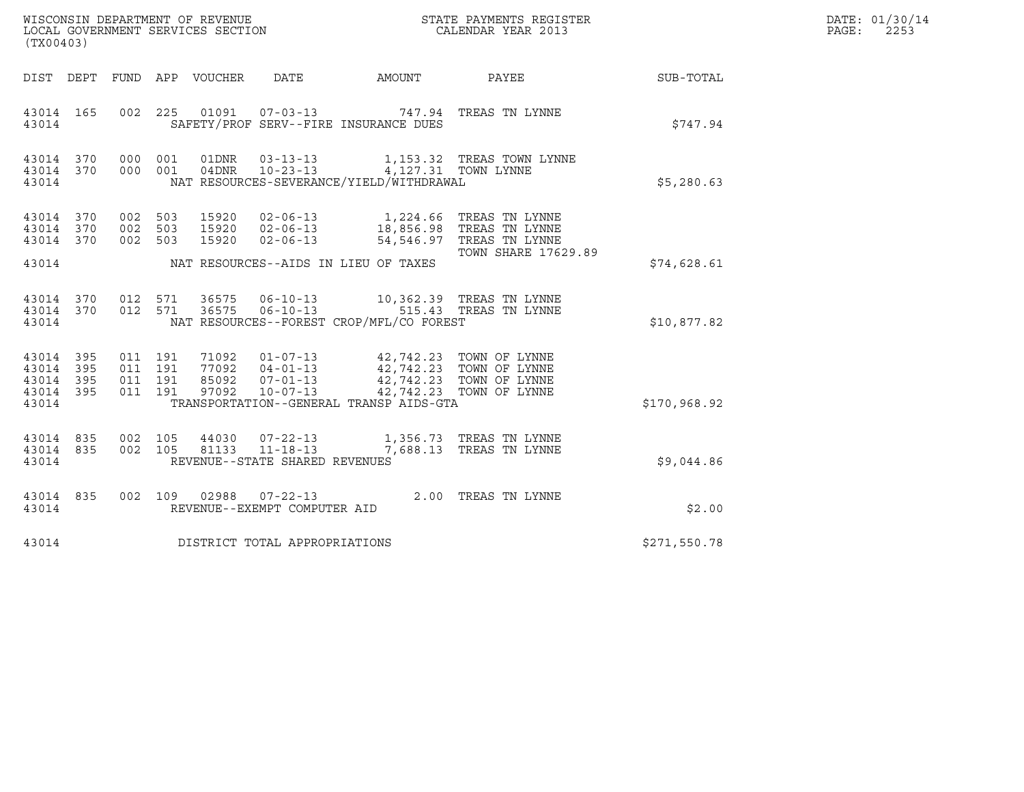| WISCONSIN DEPARTMENT OF REVENUE   | STATE PAYMENTS REGISTER | DATE: 01/30/14 |
|-----------------------------------|-------------------------|----------------|
| LOCAL GOVERNMENT SERVICES SECTION | CALENDAR YEAR 2013      | 2253<br>PAGE:  |

| (TX00403)                                                 |  |  |                                      |                                                                                                                                                                                                                                                                                                                                  | WISCONSIN DEPARTMENT OF REVENUE<br>LOCAL GOVERNMENT SERVICES SECTION TERMS OF CALENDAR YEAR 2013                                                                                                                                                                                                 | $\mathbb{R}^n$        | DATE: 01/30/14<br>$\mathtt{PAGE:}$<br>2253 |
|-----------------------------------------------------------|--|--|--------------------------------------|----------------------------------------------------------------------------------------------------------------------------------------------------------------------------------------------------------------------------------------------------------------------------------------------------------------------------------|--------------------------------------------------------------------------------------------------------------------------------------------------------------------------------------------------------------------------------------------------------------------------------------------------|-----------------------|--------------------------------------------|
|                                                           |  |  |                                      |                                                                                                                                                                                                                                                                                                                                  | DIST DEPT FUND APP VOUCHER DATE AMOUNT PAYEE PAYEE SUB-TOTAL                                                                                                                                                                                                                                     |                       |                                            |
|                                                           |  |  |                                      | 43014 165 002 225 01091 07-03-13 747.94 TREAS TN LYNNE<br>43014 SAFETY/PROF SERV--FIRE INSURANCE DUES                                                                                                                                                                                                                            |                                                                                                                                                                                                                                                                                                  | \$747.94              |                                            |
|                                                           |  |  |                                      | 43014 NAT RESOURCES-SEVERANCE/YIELD/WITHDRAWAL                                                                                                                                                                                                                                                                                   | $\begin{array}{cccccc} 4\,3\,0\,14 & 3\,7\,0 & 0\,0\,0 & 0\,01 & 0\,1\, \text{DNR} & 0\,3\,{-}\,1\,3\,{-}\,1\,3 & 1 & 1 & 1\,5\,3\,.\,3\,2 & \text{TREAS TOWN LYNNE} \\ 4\,3\,0\,1\,4 & 3\,7\,0 & 0\,0\,0 & 0\,0\,1 & 0\,4\, \text{DNR} & 1\,0\,{-}\,2\,3\,{-}\,1\,3 & 4 & 1\,2\,7\,.\,3\,1 & \$ | N LYNNE<br>\$5,280.63 |                                            |
| 43014 370<br>43014 370<br>43014 370                       |  |  |                                      |                                                                                                                                                                                                                                                                                                                                  | 002 503 15920 02-06-13 1,224.66 TREAS TN LYNNE<br>002 503 15920 02-06-13 18,856.98 TREAS TN LYNNE<br>002 503 15920 02-06-13 54,546.97 TREAS TN LYNNE                                                                                                                                             |                       |                                            |
|                                                           |  |  |                                      | 43014 NAT RESOURCES--AIDS IN LIEU OF TAXES                                                                                                                                                                                                                                                                                       | TOWN SHARE 17629.89                                                                                                                                                                                                                                                                              | \$74,628.61           |                                            |
|                                                           |  |  |                                      | 43014 NAT RESOURCES--FOREST CROP/MFL/CO FOREST                                                                                                                                                                                                                                                                                   | $\begin{array}{cccccccc} 43014 & 370 & 012 & 571 & 36575 & 06-10-13 & & 10,362.39 & \text{TREAS TN LYNNE} \\ 43014 & 370 & 012 & 571 & 36575 & 06-10-13 & & 515.43 & \text{TREAS TN LYNNE} \end{array}$                                                                                          | \$10,877.82           |                                            |
| 43014 395<br>43014 395<br>43014 395<br>43014 395<br>43014 |  |  |                                      | $\begin{tabular}{cccc} 011 & 191 & 71092 & 01-07-13 & 42,742.23 & TOWN OF LYNNE \\ 011 & 191 & 77092 & 04-01-13 & 42,742.23 & TOWN OF LYNNE \\ 011 & 191 & 85092 & 07-01-13 & 42,742.23 & TOWN OF LYNNE \\ 011 & 191 & 97092 & 10-07-13 & 42,742.23 & TOWN OF LYNNE \\ \end{tabular}$<br>TRANSPORTATION--GENERAL TRANSP AIDS-GTA |                                                                                                                                                                                                                                                                                                  | \$170,968.92          |                                            |
| 43014 835<br>43014 835                                    |  |  | 43014 REVENUE--STATE SHARED REVENUES | 002 105 44030 07-22-13 1,356.73 TREAS TN LYNNE<br>002 105 81133 11-18-13 7,688.13 TREAS TN LYNNE                                                                                                                                                                                                                                 |                                                                                                                                                                                                                                                                                                  | \$9,044.86            |                                            |
| 43014                                                     |  |  | REVENUE--EXEMPT COMPUTER AID         | 43014 835 002 109 02988 07-22-13 2.00 TREAS TN LYNNE                                                                                                                                                                                                                                                                             |                                                                                                                                                                                                                                                                                                  | \$2.00                |                                            |
|                                                           |  |  | 43014 DISTRICT TOTAL APPROPRIATIONS  |                                                                                                                                                                                                                                                                                                                                  |                                                                                                                                                                                                                                                                                                  | \$271,550.78          |                                            |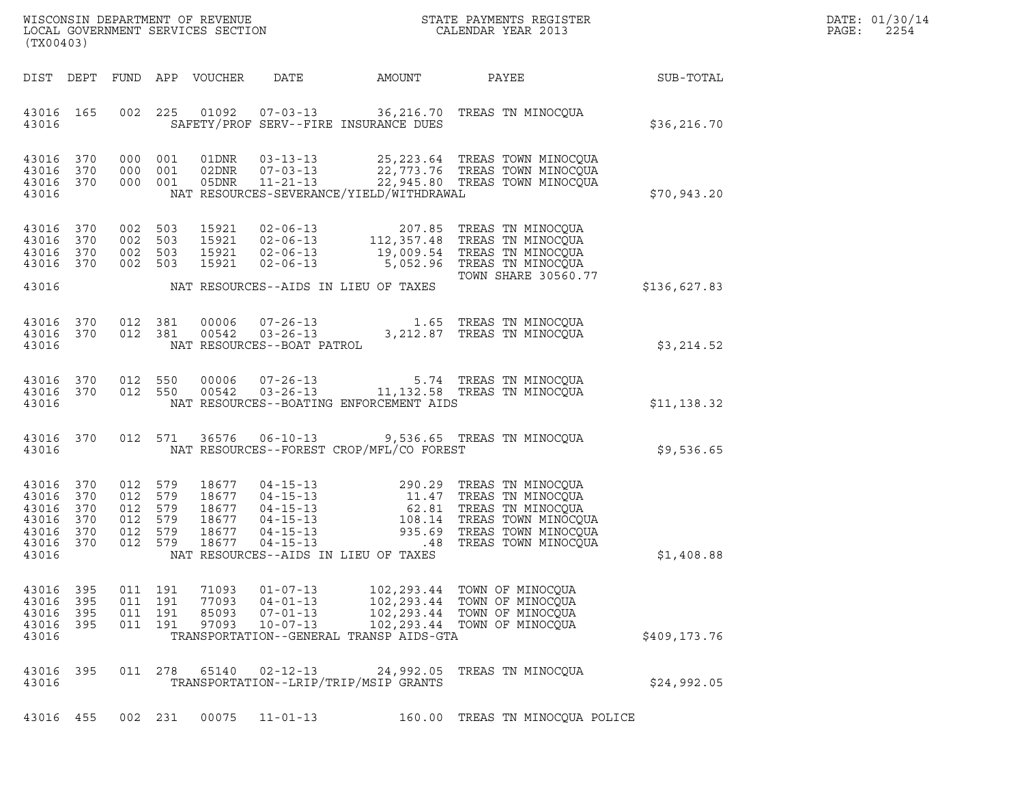| DATE: | 01/30/14 |
|-------|----------|
| PAGE: | 2254     |

| WISCONSIN DEPARTMENT OF REVENUE<br>LOCAL GOVERNMENT SERVICES SECTION<br>(TX00403)                                                                                                                                                                                                                         |                                      | STATE PAYMENTS REGISTER<br>CALENDAR YEAR 2013                                                                                                                                                                                                                                                                                                               |              | DATE: 01/30/14<br>PAGE:<br>2254 |
|-----------------------------------------------------------------------------------------------------------------------------------------------------------------------------------------------------------------------------------------------------------------------------------------------------------|--------------------------------------|-------------------------------------------------------------------------------------------------------------------------------------------------------------------------------------------------------------------------------------------------------------------------------------------------------------------------------------------------------------|--------------|---------------------------------|
| DIST DEPT<br>FUND APP VOUCHER<br>DATE                                                                                                                                                                                                                                                                     | AMOUNT                               | PAYEE                                                                                                                                                                                                                                                                                                                                                       | SUB-TOTAL    |                                 |
| 01092  07-03-13  36,216.70  TREAS TN MINOCQUA<br>43016 165<br>002 225<br>43016<br>SAFETY/PROF SERV--FIRE INSURANCE DUES                                                                                                                                                                                   |                                      |                                                                                                                                                                                                                                                                                                                                                             | \$36, 216.70 |                                 |
| 43016 370<br>000 001<br>01DNR<br>$03 - 13 - 13$<br>43016 370<br>001<br>$07 - 03 - 13$<br>000<br>02DNR<br>$11 - 21 - 13$<br>43016 370<br>000 001<br>05DNR<br>NAT RESOURCES-SEVERANCE/YIELD/WITHDRAWAL<br>43016                                                                                             |                                      | 25, 223.64 TREAS TOWN MINOCQUA<br>22,773.76 TREAS TOWN MINOCQUA<br>22,945.80 TREAS TOWN MINOCQUA                                                                                                                                                                                                                                                            | \$70,943.20  |                                 |
| 43016 370<br>002 503<br>15921<br>$02 - 06 - 13$<br>43016<br>002<br>503<br>15921<br>$02 - 06 - 13$<br>370<br>002 503<br>15921<br>43016 370<br>$02 - 06 - 13$<br>43016 370<br>002 503<br>15921<br>$02 - 06 - 13$                                                                                            | 112, 357.48<br>19,009.54<br>5,052.96 | 207.85 TREAS TN MINOCQUA<br>TREAS TN MINOCQUA<br>TREAS TN MINOCQUA<br>TREAS TN MINOCQUA<br><b>TOWN SHARE 30560.77</b>                                                                                                                                                                                                                                       |              |                                 |
| 43016<br>NAT RESOURCES--AIDS IN LIEU OF TAXES                                                                                                                                                                                                                                                             |                                      |                                                                                                                                                                                                                                                                                                                                                             | \$136,627.83 |                                 |
| 43016 370<br>012 381<br>00006<br>$07 - 26 - 13$<br>$03 - 26 - 13$<br>43016 370<br>012 381<br>00542<br>43016<br>NAT RESOURCES--BOAT PATROL                                                                                                                                                                 |                                      | 1.65 TREAS TN MINOCOUA<br>3,212.87 TREAS TN MINOCQUA                                                                                                                                                                                                                                                                                                        | \$3,214.52   |                                 |
| 43016 370<br>012<br>550<br>00006<br>012 550<br>00542<br>43016 370<br>NAT RESOURCES--BOATING ENFORCEMENT AIDS<br>43016                                                                                                                                                                                     |                                      | 07-26-13 5.74 TREAS TN MINOCQUA<br>03-26-13 11,132.58 TREAS TN MINOCQUA                                                                                                                                                                                                                                                                                     | \$11,138.32  |                                 |
| 43016 370<br>012 571<br>36576<br>$06 - 10 - 13$<br>43016<br>NAT RESOURCES--FOREST CROP/MFL/CO FOREST                                                                                                                                                                                                      |                                      | 9,536.65 TREAS TN MINOCQUA                                                                                                                                                                                                                                                                                                                                  | \$9,536.65   |                                 |
| 43016 370<br>012<br>579<br>18677<br>43016<br>012<br>370<br>579<br>18677<br>579<br>43016 370<br>012<br>18677<br>579<br>43016 370<br>012<br>18677<br>579<br>43016 370<br>012<br>18677<br>$04 - 15 - 13$<br>012 579<br>$04 - 15 - 13$<br>43016 370<br>18677<br>43016<br>NAT RESOURCES--AIDS IN LIEU OF TAXES | 935.69<br>.48                        | 04-15-13<br>04-15-13<br>04-15-13<br>04-15-13<br>04-15-13<br>04-15-13<br>04-15-13<br>08.14<br>08.14<br>08.14<br>08.14<br>08.14<br>08.14<br>08.14<br>08.14<br>08.28<br>08.14<br>08.20<br>08.14<br>08.20<br>08.14<br>08.20<br>08.00<br>08.00<br>08.00<br>08.00<br>08.00<br>08.00<br>08.00<br>TREAS TOWN MINOCQUA<br>TREAS TOWN MINOCOUA<br>TREAS TOWN MINOCQUA | \$1,408.88   |                                 |
| 43016 395<br>011 191<br>71093<br>$01 - 07 - 13$<br>011 191<br>$04 - 01 - 13$<br>43016 395<br>77093<br>$07 - 01 - 13$<br>43016 395<br>011 191<br>85093<br>$10 - 07 - 13$<br>43016 395<br>011 191<br>97093<br>TRANSPORTATION--GENERAL TRANSP AIDS-GTA<br>43016                                              | 102,293.44                           | 102,293.44 TOWN OF MINOCQUA<br>102,293.44 TOWN OF MINOCOUA<br>TOWN OF MINOCQUA<br>102,293.44 TOWN OF MINOCQUA                                                                                                                                                                                                                                               | \$409,173.76 |                                 |
| 43016 395<br>011 278<br>65140<br>$02 - 12 - 13$<br>TRANSPORTATION--LRIP/TRIP/MSIP GRANTS<br>43016                                                                                                                                                                                                         | 24,992.05                            | TREAS TN MINOCOUA                                                                                                                                                                                                                                                                                                                                           | \$24,992.05  |                                 |
| 002 231<br>00075<br>$11 - 01 - 13$<br>43016 455                                                                                                                                                                                                                                                           |                                      | 160.00 TREAS TN MINOCQUA POLICE                                                                                                                                                                                                                                                                                                                             |              |                                 |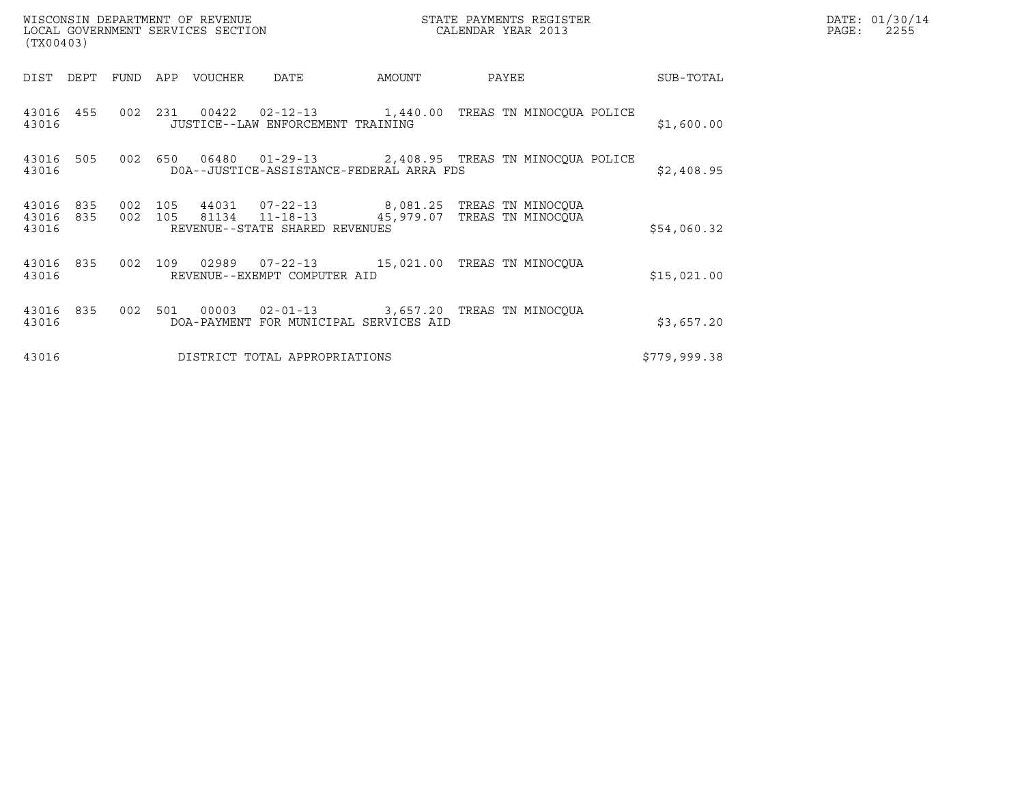| (TX00403)               |            |                    | WISCONSIN DEPARTMENT OF REVENUE<br>LOCAL GOVERNMENT SERVICES SECTION |                                          | STATE PAYMENTS REGISTER<br>CALENDAR YEAR 2013 |                                                                                               |              | DATE: 01/30/14<br>PAGE:<br>2255 |
|-------------------------|------------|--------------------|----------------------------------------------------------------------|------------------------------------------|-----------------------------------------------|-----------------------------------------------------------------------------------------------|--------------|---------------------------------|
| DIST DEPT               |            | FUND               | APP VOUCHER                                                          | DATE                                     | AMOUNT                                        | PAYEE                                                                                         | SUB-TOTAL    |                                 |
| 43016                   | 43016 455  |                    |                                                                      | JUSTICE--LAW ENFORCEMENT TRAINING        |                                               | 002 231 00422 02-12-13 1,440.00 TREAS TN MINOCOUA POLICE                                      | \$1,600.00   |                                 |
| 43016 505<br>43016      |            | 002 650            |                                                                      | DOA--JUSTICE-ASSISTANCE-FEDERAL ARRA FDS |                                               | 06480  01-29-13  2,408.95  TREAS TN MINOCQUA POLICE                                           | \$2,408.95   |                                 |
| 43016<br>43016<br>43016 | 835<br>835 | 002 105<br>002 105 |                                                                      | REVENUE--STATE SHARED REVENUES           |                                               | 44031  07-22-13  8,081.25  TREAS TN MINOCQUA<br>81134  11-18-13  45,979.07  TREAS TN MINOCQUA | \$54,060.32  |                                 |
| 43016 835<br>43016      |            | 002 109            |                                                                      | REVENUE--EXEMPT COMPUTER AID             |                                               | 02989  07-22-13  15,021.00 TREAS TN MINOCOUA                                                  | \$15,021.00  |                                 |
| 43016<br>43016          | 835        | 002 501            |                                                                      | DOA-PAYMENT FOR MUNICIPAL SERVICES AID   |                                               | 00003  02-01-13  3,657.20 TREAS TN MINOCQUA                                                   | \$3,657.20   |                                 |
| 43016                   |            |                    |                                                                      | DISTRICT TOTAL APPROPRIATIONS            |                                               |                                                                                               | \$779,999.38 |                                 |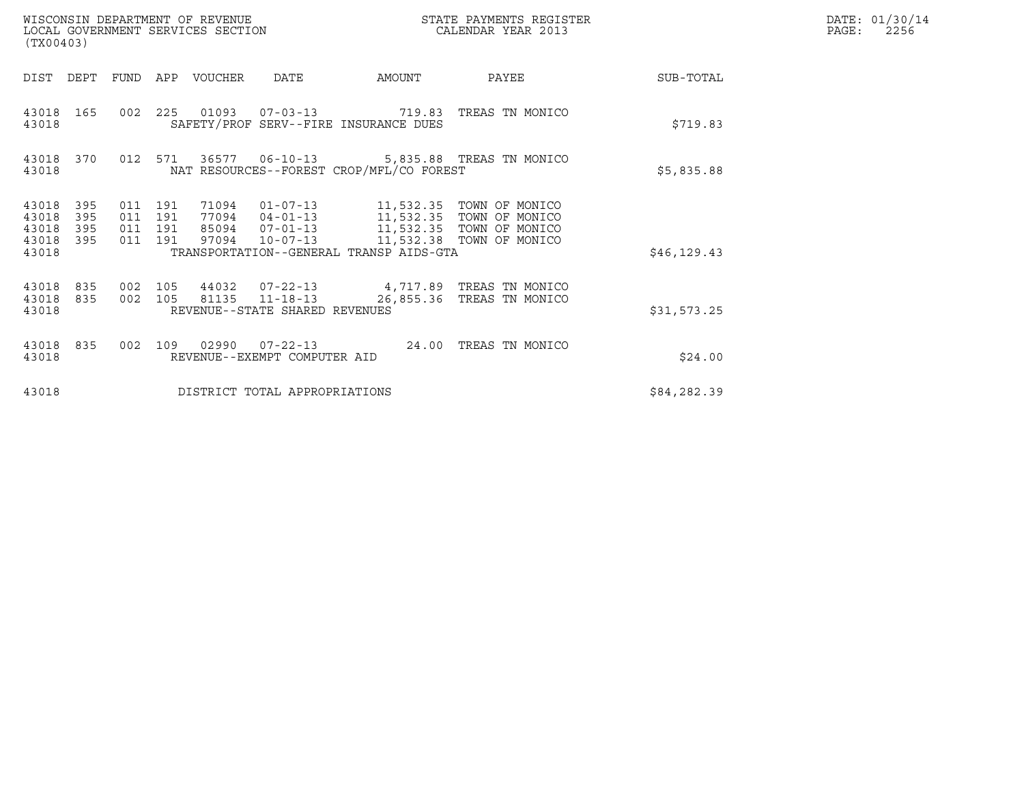| (TX00403)                                                             |                                          | WISCONSIN DEPARTMENT OF REVENUE<br>LOCAL GOVERNMENT SERVICES SECTION |                                                                    | STATE PAYMENTS REGISTER<br>CALENDAR YEAR 2013 |                                                                                                                                                                    |              | DATE: 01/30/14<br>PAGE:<br>2256 |
|-----------------------------------------------------------------------|------------------------------------------|----------------------------------------------------------------------|--------------------------------------------------------------------|-----------------------------------------------|--------------------------------------------------------------------------------------------------------------------------------------------------------------------|--------------|---------------------------------|
| DIST<br>DEPT                                                          | FUND                                     | APP<br>VOUCHER                                                       | <b>DATE</b>                                                        | AMOUNT                                        | PAYEE                                                                                                                                                              | SUB-TOTAL    |                                 |
| 43018<br>165<br>43018                                                 |                                          |                                                                      | SAFETY/PROF SERV--FIRE INSURANCE DUES                              |                                               | 002  225  01093  07-03-13  719.83  TREAS TN MONICO                                                                                                                 | \$719.83     |                                 |
| 43018<br>370<br>43018                                                 | 012 571                                  |                                                                      | NAT RESOURCES--FOREST CROP/MFL/CO FOREST                           |                                               | 36577   06-10-13   5,835.88   TREAS TN MONICO                                                                                                                      | \$5,835.88   |                                 |
| 43018<br>395<br>43018<br>395<br>395<br>43018<br>395<br>43018<br>43018 | 011 191<br>011 191<br>011 191<br>011 191 | 97094                                                                | $10 - 07 - 13$<br>TRANSPORTATION--GENERAL TRANSP AIDS-GTA          |                                               | 71094  01-07-13  11,532.35  TOWN OF MONICO<br>77094  04-01-13  11,532.35  TOWN OF MONICO<br>85094  07-01-13  11,532.35  TOWN OF MONICO<br>11,532.38 TOWN OF MONICO | \$46, 129.43 |                                 |
| 43018<br>835<br>43018<br>835<br>43018                                 | 002 105<br>002 105                       |                                                                      | 44032 07-22-13<br>81135 11-18-13<br>REVENUE--STATE SHARED REVENUES |                                               | 4,717.89 TREAS TN MONICO<br>26,855.36 TREAS TN MONICO                                                                                                              | \$31,573.25  |                                 |
| 43018<br>835<br>43018                                                 | 002                                      | 109                                                                  | REVENUE--EXEMPT COMPUTER AID                                       | 24.00                                         | TREAS TN MONICO                                                                                                                                                    | \$24.00      |                                 |
| 43018                                                                 |                                          |                                                                      | DISTRICT TOTAL APPROPRIATIONS                                      |                                               |                                                                                                                                                                    | \$84,282.39  |                                 |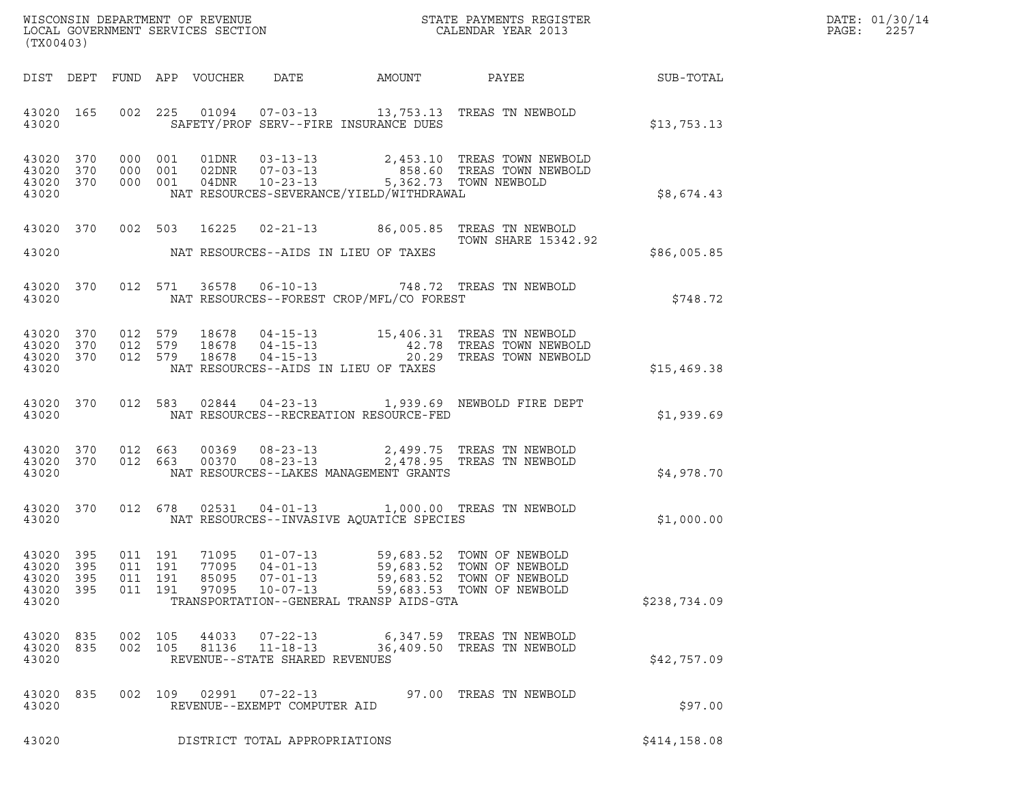| DATE: | 01/30/14 |
|-------|----------|
| PAGE: | 2257     |

| % WISCONSIN DEPARTMENT OF REVENUE $$\tt STATE~PAYMENTS~REGISTER$ LOCAL GOVERNMENT SERVICES SECTION $$\tt CALENDAR~YEAR~2013$$<br>(TX00403) |                    |  |                               |                         |                                                                                  |                                                                   |                                                                                                                                                         |              | DATE: 01/30/14<br>PAGE:<br>2257 |
|--------------------------------------------------------------------------------------------------------------------------------------------|--------------------|--|-------------------------------|-------------------------|----------------------------------------------------------------------------------|-------------------------------------------------------------------|---------------------------------------------------------------------------------------------------------------------------------------------------------|--------------|---------------------------------|
|                                                                                                                                            |                    |  |                               |                         |                                                                                  |                                                                   |                                                                                                                                                         |              |                                 |
|                                                                                                                                            | 43020 165<br>43020 |  |                               |                         |                                                                                  | SAFETY/PROF SERV--FIRE INSURANCE DUES                             | 002 225 01094 07-03-13 13,753.13 TREAS TN NEWBOLD                                                                                                       | \$13,753.13  |                                 |
| 43020 370<br>43020 370<br>43020 370<br>43020                                                                                               |                    |  |                               |                         |                                                                                  | NAT RESOURCES-SEVERANCE/YIELD/WITHDRAWAL                          | 000 001 01DNR 03-13-13 2,453.10 TREAS TOWN NEWBOLD<br>000 001 02DNR 07-03-13 858.60 TREAS TOWN NEWBOLD<br>000 001 04DNR 10-23-13 5,362.73 TOWN NEWBOLD  | \$8,674.43   |                                 |
|                                                                                                                                            |                    |  |                               |                         |                                                                                  |                                                                   | 43020 370 002 503 16225 02-21-13 86,005.85 TREAS TN NEWBOLD<br>TOWN SHARE 15342.92                                                                      |              |                                 |
|                                                                                                                                            |                    |  |                               |                         |                                                                                  | 43020 NAT RESOURCES--AIDS IN LIEU OF TAXES                        |                                                                                                                                                         | \$86,005.85  |                                 |
| 43020 370<br>43020                                                                                                                         |                    |  |                               |                         |                                                                                  | NAT RESOURCES--FOREST CROP/MFL/CO FOREST                          | 012 571 36578 06-10-13 748.72 TREAS TN NEWBOLD                                                                                                          | \$748.72     |                                 |
| 43020 370<br>43020 370<br>43020 370<br>43020                                                                                               |                    |  |                               |                         |                                                                                  | NAT RESOURCES--AIDS IN LIEU OF TAXES                              | 012 579 18678 04-15-13 15,406.31 TREAS TN NEWBOLD<br>012 579 18678 04-15-13 42.78 TREAS TOWN NEWBOLD<br>012 579 18678 04-15-13 20.29 TREAS TOWN NEWBOLD | \$15,469.38  |                                 |
|                                                                                                                                            | 43020 370          |  |                               |                         |                                                                                  |                                                                   | 012 583 02844 04-23-13 1,939.69 NEWBOLD FIRE DEPT                                                                                                       | \$1,939.69   |                                 |
| 43020 370<br>43020 370<br>43020                                                                                                            |                    |  |                               |                         |                                                                                  | NAT RESOURCES--LAKES MANAGEMENT GRANTS                            | 012 663 00369 08-23-13 2,499.75 TREAS TN NEWBOLD<br>012 663 00370 08-23-13 2,478.95 TREAS TN NEWBOLD                                                    | \$4,978.70   |                                 |
| 43020                                                                                                                                      |                    |  |                               |                         |                                                                                  | NAT RESOURCES--INVASIVE AQUATICE SPECIES                          | 43020 370 012 678 02531 04-01-13 1,000.00 TREAS TN NEWBOLD                                                                                              | \$1,000.00   |                                 |
| 43020<br>43020 395<br>43020 395<br>43020                                                                                                   | 395                |  | 011 191<br>011 191<br>011 191 | 77095<br>85095<br>97095 | 43020 395 011 191 71095 01-07-13<br>04-01-13<br>$07 - 01 - 13$<br>$10 - 07 - 13$ | 59,683.52<br>59,683.52<br>TRANSPORTATION--GENERAL TRANSP AIDS-GTA | 59,683.52 TOWN OF NEWBOLD<br>TOWN OF NEWBOLD<br>TOWN OF NEWBOLD<br>59,683.53 TOWN OF NEWBOLD                                                            | \$238,734.09 |                                 |
| 43020 835<br>43020 835<br>43020                                                                                                            |                    |  | 002 105<br>002 105            | 44033<br>81136          | $07 - 22 - 13$<br>$11 - 18 - 13$<br>REVENUE--STATE SHARED REVENUES               |                                                                   | 6,347.59 TREAS TN NEWBOLD<br>36,409.50 TREAS TN NEWBOLD                                                                                                 | \$42,757.09  |                                 |
| 43020 835<br>43020                                                                                                                         |                    |  |                               |                         | 002 109 02991 07-22-13<br>REVENUE--EXEMPT COMPUTER AID                           |                                                                   | 97.00 TREAS TN NEWBOLD                                                                                                                                  | \$97.00      |                                 |
| 43020                                                                                                                                      |                    |  |                               |                         | DISTRICT TOTAL APPROPRIATIONS                                                    |                                                                   |                                                                                                                                                         | \$414,158.08 |                                 |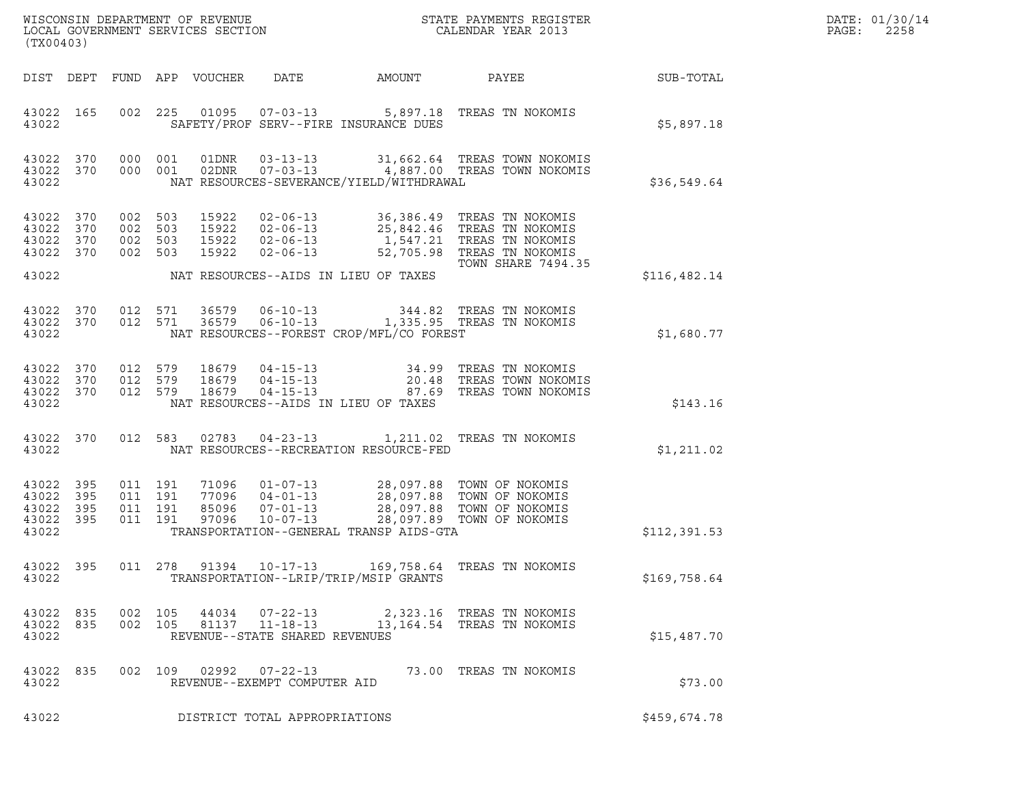| DATE: | 01/30/14 |
|-------|----------|
| PAGE: | 2258     |

| (TX00403)                                         |                   |                                          |     |                                  |                                                                    |                                          | ${\tt WISCOONSIM\ DEPARTMENT\ OF\ REVENUE}\ {\tt LOCALENDAR\ VERA}$ LOCAL GOVERNMENT SERVICES SECTION ${\tt LOCALENDAR\ VERAR\ 2013}$ |                  | DATE: 01/30/14<br>$\mathtt{PAGE:}$<br>2258 |
|---------------------------------------------------|-------------------|------------------------------------------|-----|----------------------------------|--------------------------------------------------------------------|------------------------------------------|---------------------------------------------------------------------------------------------------------------------------------------|------------------|--------------------------------------------|
|                                                   |                   |                                          |     | DIST DEPT FUND APP VOUCHER       | DATE                                                               | <b>AMOUNT</b>                            | PAYEE                                                                                                                                 | <b>SUB-TOTAL</b> |                                            |
| 43022 165<br>43022                                |                   |                                          |     |                                  |                                                                    | SAFETY/PROF SERV--FIRE INSURANCE DUES    | 002 225 01095 07-03-13 5,897.18 TREAS TN NOKOMIS                                                                                      | \$5,897.18       |                                            |
| 43022 370<br>43022                                | 43022 370         | 000 001<br>000 001                       |     |                                  |                                                                    | NAT RESOURCES-SEVERANCE/YIELD/WITHDRAWAL | 01DNR  03-13-13  31,662.64 TREAS TOWN NOKOMIS<br>02DNR  07-03-13  4,887.00 TREAS TOWN NOKOMIS                                         | \$36,549.64      |                                            |
| 43022<br>43022<br>43022<br>43022 370              | 370<br>370<br>370 | 002<br>002 503<br>002 503<br>002 503     | 503 | 15922<br>15922<br>15922<br>15922 | $02 - 06 - 13$                                                     |                                          | 52,705.98 TREAS TN NOKOMIS                                                                                                            |                  |                                            |
| 43022                                             |                   |                                          |     |                                  |                                                                    | NAT RESOURCES--AIDS IN LIEU OF TAXES     | <b>TOWN SHARE 7494.35</b>                                                                                                             | \$116,482.14     |                                            |
| 43022 370<br>43022                                | 43022 370         | 012<br>012 571                           | 571 | 36579<br>36579                   |                                                                    | NAT RESOURCES--FOREST CROP/MFL/CO FOREST | 06-10-13 344.82 TREAS TN NOKOMIS<br>06-10-13 1,335.95 TREAS TN NOKOMIS                                                                | \$1,680.77       |                                            |
| 43022 370<br>43022<br>43022 370<br>43022          | 370               | 012 579<br>012 579<br>012 579            |     | 18679<br>18679<br>18679          | $04 - 15 - 13$                                                     | NAT RESOURCES--AIDS IN LIEU OF TAXES     | 04-15-13 34.99 TREAS TN NOKOMIS<br>04-15-13 20.48 TREAS TOWN NOKOMIS<br>04-15-13 87.69 TREAS TOWN NOKOMIS<br>87.69 TREAS TOWN NOKOMIS | \$143.16         |                                            |
| 43022 370<br>43022                                |                   |                                          |     |                                  |                                                                    | NAT RESOURCES--RECREATION RESOURCE-FED   | 012 583 02783 04-23-13 1,211.02 TREAS TN NOKOMIS                                                                                      | \$1,211.02       |                                            |
| 43022 395<br>43022<br>43022<br>43022 395<br>43022 | 395<br>395        | 011 191<br>011 191<br>011 191<br>011 191 |     | 77096<br>85096<br>97096          | $04 - 01 - 13$<br>$07 - 01 - 13$<br>$10 - 07 - 13$                 | TRANSPORTATION--GENERAL TRANSP AIDS-GTA  | 71096  01-07-13  28,097.88  TOWN OF NOKOMIS<br>$28,097.88$ TOWN OF NOKOMIS<br>28,097.88 TOWN OF NOKOMIS<br>28,097.89 TOWN OF NOKOMIS  | \$112,391.53     |                                            |
| 43022 395<br>43022                                |                   |                                          |     |                                  |                                                                    | TRANSPORTATION--LRIP/TRIP/MSIP GRANTS    | 011  278  91394  10-17-13  169,758.64  TREAS  TN NOKOMIS                                                                              | \$169,758.64     |                                            |
| 43022 835<br>43022 835<br>43022                   |                   | 002 105<br>002 105                       |     | 44034<br>81137                   | $07 - 22 - 13$<br>$11 - 18 - 13$<br>REVENUE--STATE SHARED REVENUES |                                          | 2,323.16 TREAS TN NOKOMIS<br>13,164.54 TREAS TN NOKOMIS                                                                               | \$15,487.70      |                                            |
| 43022 835<br>43022                                |                   |                                          |     | 002 109 02992                    | $07 - 22 - 13$<br>REVENUE--EXEMPT COMPUTER AID                     |                                          | 73.00 TREAS TN NOKOMIS                                                                                                                | \$73.00          |                                            |
| 43022                                             |                   |                                          |     |                                  | DISTRICT TOTAL APPROPRIATIONS                                      |                                          |                                                                                                                                       | \$459,674.78     |                                            |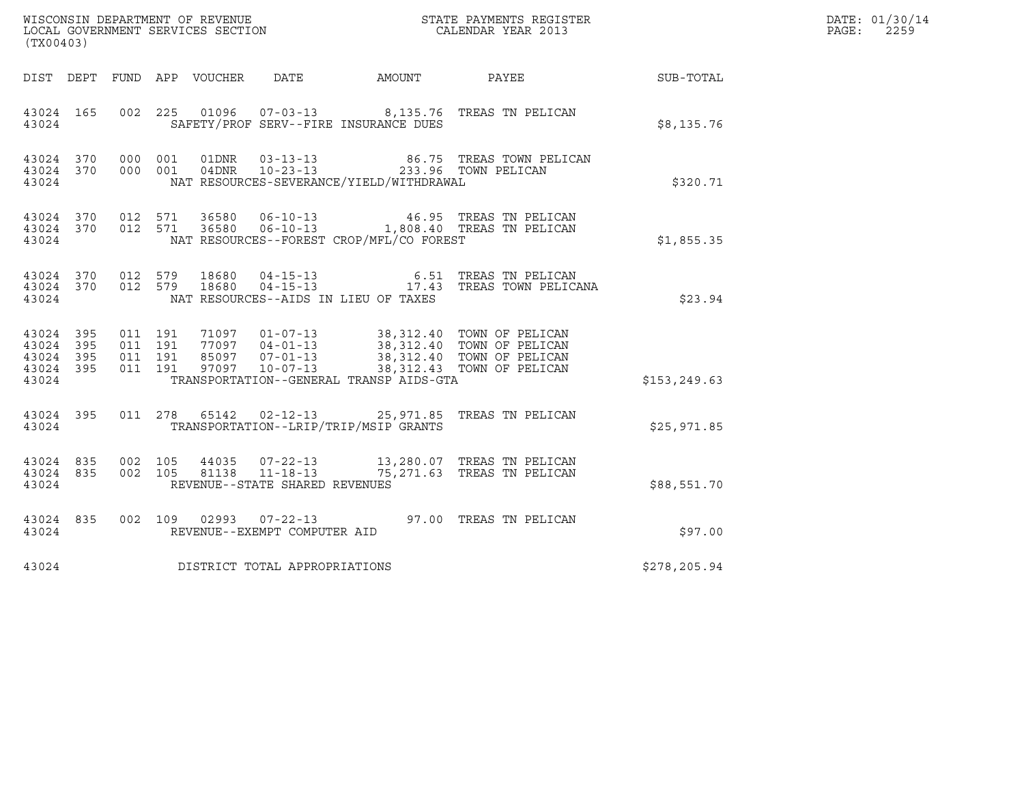| (TX00403)                                |                  |                              |                    |                                                   |  |                                                                                                                                                                                                                      |               | DATE: 01/30/14<br>$\mathtt{PAGE}$ :<br>2259 |
|------------------------------------------|------------------|------------------------------|--------------------|---------------------------------------------------|--|----------------------------------------------------------------------------------------------------------------------------------------------------------------------------------------------------------------------|---------------|---------------------------------------------|
|                                          |                  |                              |                    |                                                   |  | DIST DEPT FUND APP VOUCHER DATE AMOUNT PAYEE TO SUB-TOTAL                                                                                                                                                            |               |                                             |
| 43024                                    | 43024 165        |                              |                    | SAFETY/PROF SERV--FIRE INSURANCE DUES             |  | 002 225 01096 07-03-13 8,135.76 TREAS TN PELICAN                                                                                                                                                                     | \$8,135.76    |                                             |
| 43024                                    | 43024 370        | 43024 370 000 001<br>000 001 |                    | NAT RESOURCES-SEVERANCE/YIELD/WITHDRAWAL          |  | 01DNR  03-13-13  86.75 TREAS TOWN PELICAN<br>04DNR  10-23-13  233.96 TOWN PELICAN                                                                                                                                    | \$320.71      |                                             |
| 43024                                    |                  |                              |                    | NAT RESOURCES--FOREST CROP/MFL/CO FOREST          |  | $\begin{array}{cccccccc} 43024 & 370 & 012 & 571 & 36580 & 06-10-13 & & 46.95 & \text{TREAS TN PELICAN} \\ 43024 & 370 & 012 & 571 & 36580 & 06-10-13 & & 1,808.40 & \text{TREAS TN PELICAN} \end{array}$            | \$1,855.35    |                                             |
| 43024                                    |                  |                              |                    | NAT RESOURCES--AIDS IN LIEU OF TAXES              |  | $\begin{array}{cccccc} 43024 & 370 & 012 & 579 & 18680 & 04-15-13 & & & & & & 6.51 & \text{TREAS TN PELICAN} \\ 43024 & 370 & 012 & 579 & 18680 & 04-15-13 & & & & & 17.43 & \text{TREAS TOWN PELICANA} \end{array}$ | \$23.94       |                                             |
| 43024 395<br>43024<br>43024 395<br>43024 | 395<br>43024 395 | 011 191<br>011 191           | 011 191<br>011 191 | TRANSPORTATION--GENERAL TRANSP AIDS-GTA           |  | 71097   01-07-13   38,312.40   TOWN OF PELICAN<br>77097   04-01-13   38,312.40   TOWN OF PELICAN<br>85097   07-01-13   38,312.40   TOWN OF PELICAN<br>97097   10-07-13   38,312.43   TOWN OF PELICAN                 | \$153, 249.63 |                                             |
|                                          | 43024            |                              |                    | TRANSPORTATION--LRIP/TRIP/MSIP GRANTS             |  | 43024 395 011 278 65142 02-12-13 25,971.85 TREAS TN PELICAN                                                                                                                                                          | \$25,971.85   |                                             |
| 43024 835<br>43024                       |                  | 43024 835 002 105<br>002 105 |                    | 81138  11-18-13<br>REVENUE--STATE SHARED REVENUES |  | 44035  07-22-13  13,280.07  TREAS TN PELICAN<br>75,271.63 TREAS TN PELICAN                                                                                                                                           | \$88,551.70   |                                             |
| 43024                                    | 43024 835        |                              |                    | REVENUE--EXEMPT COMPUTER AID                      |  | 002 109 02993 07-22-13 97.00 TREAS TN PELICAN                                                                                                                                                                        | \$97.00       |                                             |
| 43024                                    |                  |                              |                    | DISTRICT TOTAL APPROPRIATIONS                     |  |                                                                                                                                                                                                                      | \$278,205.94  |                                             |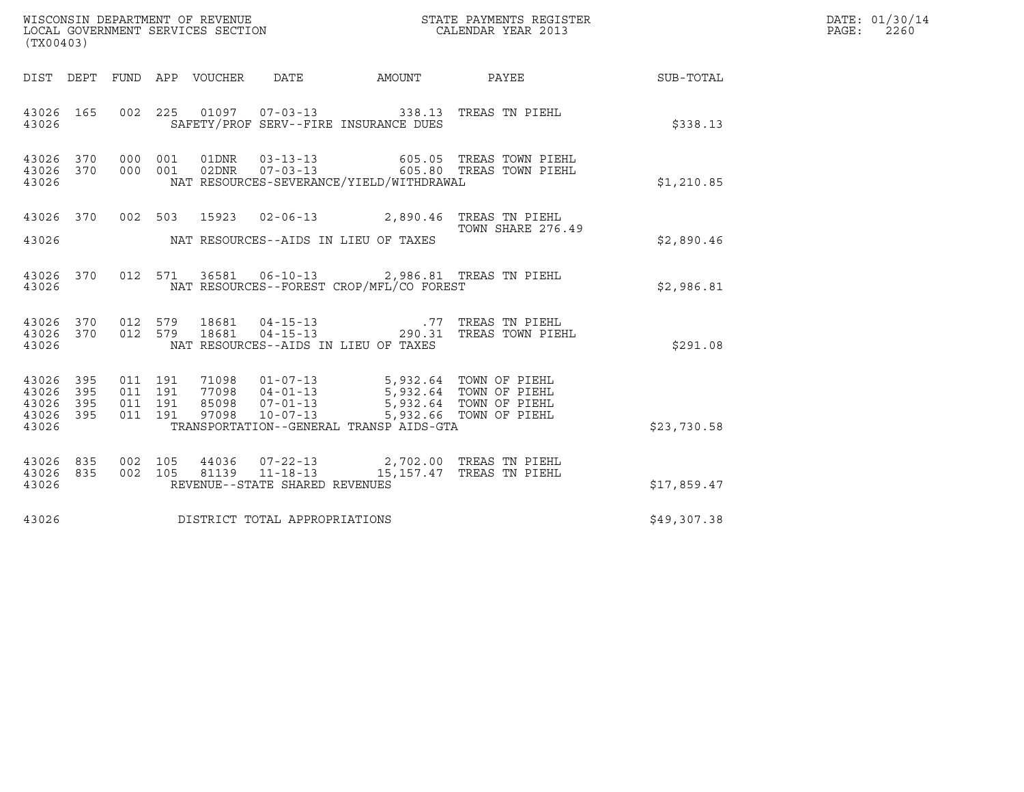| (TX00403)                                             |     |                                          |  |                                |                                                                                                                                                                                                                                     | % WISCONSIN DEPARTMENT OF REVENUE $$\tt STATE~PAYMENTS~REGISTER$ LOCAL GOVERNMENT SERVICES SECTION $$\tt CALENDAR~YEAR~2013$$                                                       |             | DATE: 01/30/14<br>$\mathtt{PAGE:}$<br>2260 |
|-------------------------------------------------------|-----|------------------------------------------|--|--------------------------------|-------------------------------------------------------------------------------------------------------------------------------------------------------------------------------------------------------------------------------------|-------------------------------------------------------------------------------------------------------------------------------------------------------------------------------------|-------------|--------------------------------------------|
|                                                       |     |                                          |  |                                |                                                                                                                                                                                                                                     | DIST DEPT FUND APP VOUCHER DATE AMOUNT PAYEE SUB-TOTAL                                                                                                                              |             |                                            |
| 43026 165<br>43026                                    |     |                                          |  |                                | 002 225 01097 07-03-13 338.13 TREAS TN PIEHL<br>SAFETY/PROF SERV--FIRE INSURANCE DUES                                                                                                                                               |                                                                                                                                                                                     | \$338.13    |                                            |
| 43026 370 000 001<br>43026 370 000 001<br>43026       |     |                                          |  |                                | NAT RESOURCES-SEVERANCE/YIELD/WITHDRAWAL                                                                                                                                                                                            |                                                                                                                                                                                     | \$1,210.85  |                                            |
| 43026                                                 |     |                                          |  |                                | 43026 370 002 503 15923 02-06-13 2,890.46 TREAS TN PIEHL<br>NAT RESOURCES--AIDS IN LIEU OF TAXES                                                                                                                                    | TOWN SHARE 276.49                                                                                                                                                                   | \$2,890.46  |                                            |
| 43026                                                 |     |                                          |  |                                | 43026 370 012 571 36581 06-10-13 2,986.81 TREAS TN PIEHL<br>NAT RESOURCES--FOREST CROP/MFL/CO FOREST                                                                                                                                |                                                                                                                                                                                     | \$2,986.81  |                                            |
| 43026                                                 |     |                                          |  |                                | NAT RESOURCES--AIDS IN LIEU OF TAXES                                                                                                                                                                                                | $\begin{array}{cccccccc} 43026 & 370 & 012 & 579 & 18681 & 04-15-13 & .77 & TREAS TN PIEHL \\ 43026 & 370 & 012 & 579 & 18681 & 04-15-13 & & 290.31 & TREAS TOWN PIEHL \end{array}$ | \$291.08    |                                            |
| 43026 395<br>43026<br>43026 395<br>43026 395<br>43026 | 395 | 011 191<br>011 191<br>011 191<br>011 191 |  |                                | 71098   01-07-13   5,932.64   TOWN OF PIEHL<br>77098   04-01-13   5,932.64   TOWN OF PIEHL<br>85098   07-01-13   5,932.64   TOWN OF PIEHL<br>97098   10-07-13   5,932.66   TOWN OF PIEHL<br>TRANSPORTATION--GENERAL TRANSP AIDS-GTA |                                                                                                                                                                                     | \$23,730.58 |                                            |
| 43026 835 002 105<br>43026 835<br>43026               |     | 002 105                                  |  | REVENUE--STATE SHARED REVENUES | 44036  07-22-13  2,702.00 TREAS TN PIEHL<br>81139  11-18-13  15,157.47 TREAS TN PIEHL                                                                                                                                               |                                                                                                                                                                                     | \$17,859.47 |                                            |
| 43026                                                 |     |                                          |  | DISTRICT TOTAL APPROPRIATIONS  |                                                                                                                                                                                                                                     |                                                                                                                                                                                     | \$49,307.38 |                                            |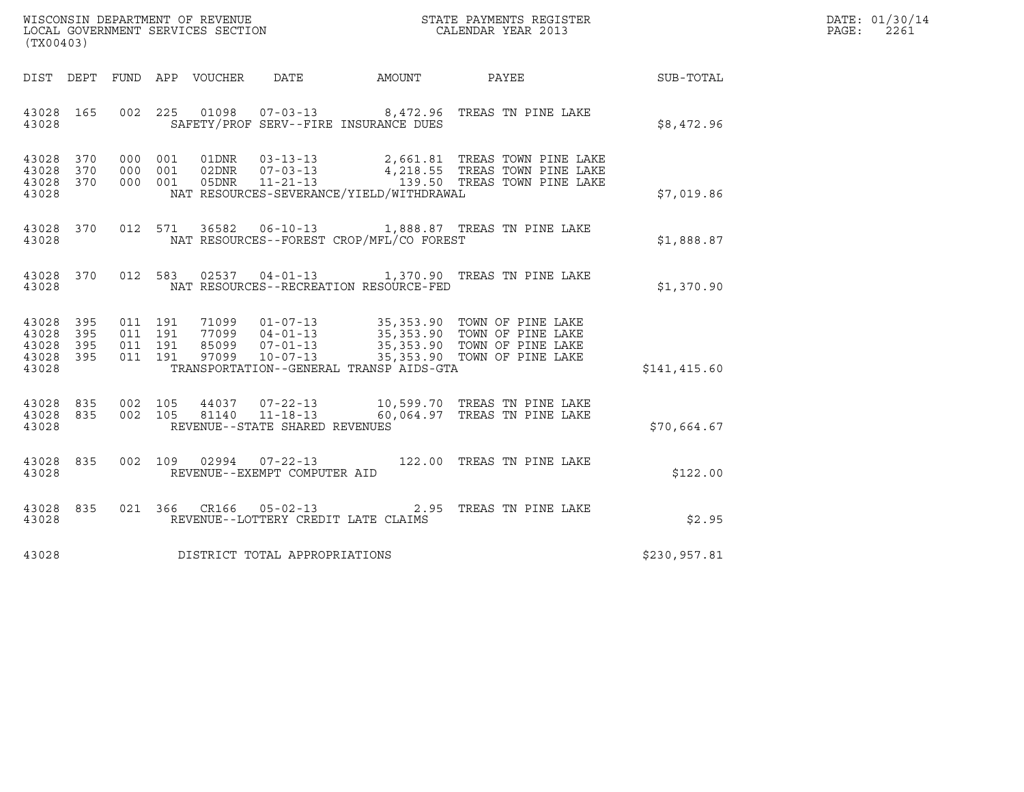| WISCONSIN DEPARTMENT OF REVENUE   | STATE PAYMENTS REGISTER | DATE: 01/30/14 |
|-----------------------------------|-------------------------|----------------|
| LOCAL GOVERNMENT SERVICES SECTION | CALENDAR YEAR 2013      | 2261<br>PAGE:  |

| (TX00403)                                                             |                                                                     |                                                                                                                   |                                       |                                                                                                                |              |
|-----------------------------------------------------------------------|---------------------------------------------------------------------|-------------------------------------------------------------------------------------------------------------------|---------------------------------------|----------------------------------------------------------------------------------------------------------------|--------------|
| DIST DEPT                                                             | APP VOUCHER DATE<br>FUND                                            |                                                                                                                   | <b>EXAMPLE THE PROPERTY OF AMOUNT</b> | PAYEE                                                                                                          | SUB-TOTAL    |
| 165<br>43028<br>43028                                                 | 002<br>225                                                          | SAFETY/PROF SERV--FIRE INSURANCE DUES                                                                             |                                       | 01098  07-03-13  8,472.96  TREAS TN PINE LAKE                                                                  | \$8,472.96   |
| 370<br>43028<br>43028<br>370<br>43028<br>370<br>43028                 | 01DNR<br>000<br>001<br>000<br>001<br>000<br>001<br>05DNR            | $03 - 13 - 13$<br>02DNR 07-03-13<br>$11 - 21 - 13$<br>NAT RESOURCES-SEVERANCE/YIELD/WITHDRAWAL                    |                                       | 2,661.81 TREAS TOWN PINE LAKE<br>4,218.55 TREAS TOWN PINE LAKE<br>139.50 TREAS TOWN PINE LAKE                  | \$7,019.86   |
| 43028<br>370<br>43028                                                 | 012<br>571<br>36582                                                 | NAT RESOURCES--FOREST CROP/MFL/CO FOREST                                                                          |                                       | 06-10-13 1,888.87 TREAS TN PINE LAKE                                                                           | \$1,888.87   |
| 370<br>43028<br>43028                                                 | 012<br>583                                                          | NAT RESOURCES--RECREATION RESOURCE-FED                                                                            |                                       | 02537  04-01-13  1,370.90  TREAS TN PINE LAKE                                                                  | \$1,370.90   |
| 43028<br>395<br>395<br>43028<br>43028<br>395<br>395<br>43028<br>43028 | 011 191<br>011<br>191<br>191<br>011<br>85099<br>011<br>191<br>97099 | 71099   01-07-13<br>77099 04-01-13<br>$07 - 01 - 13$<br>$10 - 07 - 13$<br>TRANSPORTATION--GENERAL TRANSP AIDS-GTA | 35, 353.90                            | 35,353.90 TOWN OF PINE LAKE<br>35,353.90 TOWN OF PINE LAKE<br>TOWN OF PINE LAKE<br>35,353.90 TOWN OF PINE LAKE | \$141,415.60 |
| 43028<br>835<br>835<br>43028<br>43028                                 | 002<br>105<br>44037<br>002<br>105<br>81140                          | REVENUE--STATE SHARED REVENUES                                                                                    |                                       | 07-22-13 10,599.70 TREAS TN PINE LAKE<br>11-18-13 60,064.97 TREAS TN PINE LAKE                                 | \$70,664.67  |
| 835<br>43028<br>43028                                                 | 002<br>109<br>02994                                                 | $07 - 22 - 13$<br>REVENUE--EXEMPT COMPUTER AID                                                                    | 122.00                                | TREAS TN PINE LAKE                                                                                             | \$122.00     |
| 43028<br>835<br>43028                                                 | 021<br>366                                                          | CR166 05-02-13 2.95<br>REVENUE--LOTTERY CREDIT LATE CLAIMS                                                        |                                       | TREAS TN PINE LAKE                                                                                             | \$2.95       |
| 43028                                                                 |                                                                     | DISTRICT TOTAL APPROPRIATIONS                                                                                     |                                       |                                                                                                                | \$230,957.81 |

(TX00403)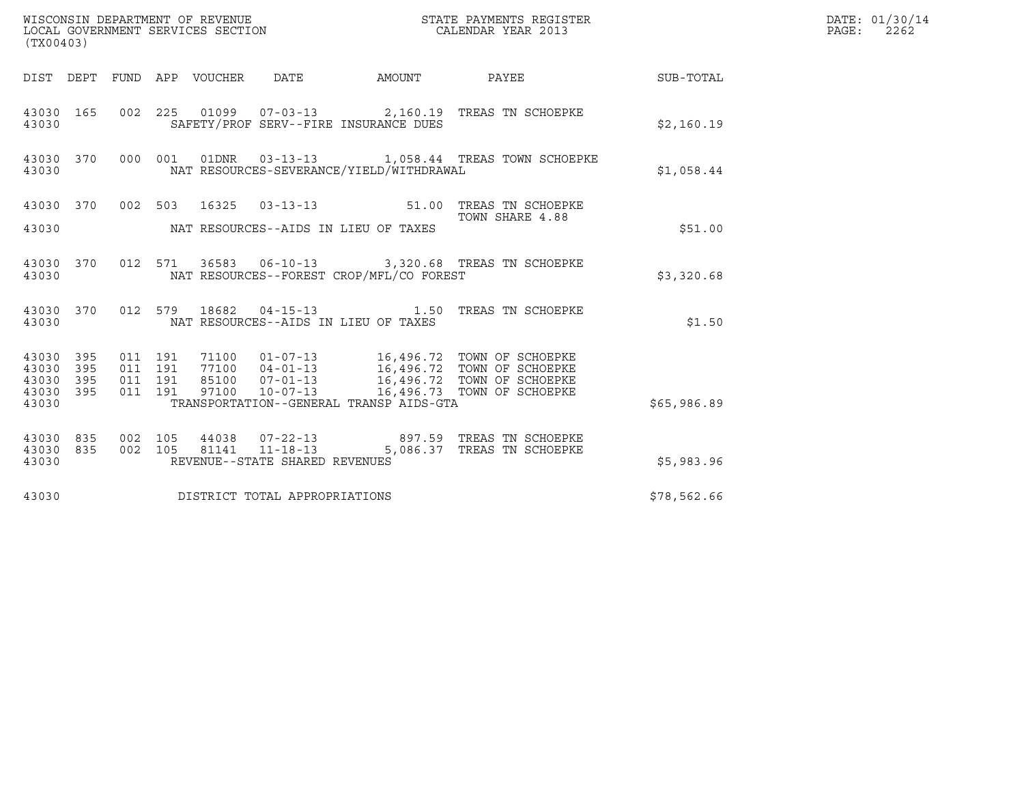| DATE: 01/30/14<br>PAGE: 2262<br>(TX00403)<br>DIST DEPT FUND APP VOUCHER DATE AMOUNT PAYEE TO SUB-TOTAL<br>002 225 01099 07-03-13 2,160.19 TREAS TN SCHOEPKE<br>43030 165<br>SAFETY/PROF SERV--FIRE INSURANCE DUES<br>\$2,160.19<br>43030<br>43030 370 000 001 01DNR 03-13-13 1,058.44 TREAS TOWN SCHOEPKE<br>NAT RESOURCES-SEVERANCE/YIELD/WITHDRAWAL<br>\$1,058.44<br>43030<br>43030 370 002 503 16325 03-13-13 51.00 TREAS TN SCHOEPKE<br>TOWN SHARE 4.88<br>NAT RESOURCES--AIDS IN LIEU OF TAXES<br>\$51.00<br>43030<br>43030 370 012 571 36583 06-10-13 3,320.68 TREAS TN SCHOEPKE<br>NAT RESOURCES--FOREST CROP/MFL/CO FOREST<br>\$3,320.68<br>43030<br>012 579 18682 04-15-13 1.50 TREAS TN SCHOEPKE<br>43030 370<br>NAT RESOURCES--AIDS IN LIEU OF TAXES<br>\$1.50<br>43030<br>71100  01-07-13  16,496.72  TOWN OF SCHOEPKE<br>77100  04-01-13  16,496.72  TOWN OF SCHOEPKE<br>85100  07-01-13  16,496.72  TOWN OF SCHOEPKE<br>97100  10-07-13  16,496.73  TOWN OF SCHOEPKE<br>011 191<br>43030 395<br>011 191<br>43030 395<br>011 191<br>395<br>43030<br>43030 395<br>011 191<br>TRANSPORTATION--GENERAL TRANSP AIDS-GTA<br>43030<br>\$65,986.89<br>44038  07-22-13  897.59  TREAS TN SCHOEPKE<br>002 105<br>43030 835<br>002 105 81141 11-18-13 5,086.37 TREAS TN SCHOEPKE<br>43030 835<br>REVENUE--STATE SHARED REVENUES<br>\$5,983.96<br>43030<br>DISTRICT TOTAL APPROPRIATIONS<br>43030<br>\$78,562.66 |  |  |  |  |  |
|--------------------------------------------------------------------------------------------------------------------------------------------------------------------------------------------------------------------------------------------------------------------------------------------------------------------------------------------------------------------------------------------------------------------------------------------------------------------------------------------------------------------------------------------------------------------------------------------------------------------------------------------------------------------------------------------------------------------------------------------------------------------------------------------------------------------------------------------------------------------------------------------------------------------------------------------------------------------------------------------------------------------------------------------------------------------------------------------------------------------------------------------------------------------------------------------------------------------------------------------------------------------------------------------------------------------------------------------------------------------------------------------------------------------|--|--|--|--|--|
|                                                                                                                                                                                                                                                                                                                                                                                                                                                                                                                                                                                                                                                                                                                                                                                                                                                                                                                                                                                                                                                                                                                                                                                                                                                                                                                                                                                                                    |  |  |  |  |  |
|                                                                                                                                                                                                                                                                                                                                                                                                                                                                                                                                                                                                                                                                                                                                                                                                                                                                                                                                                                                                                                                                                                                                                                                                                                                                                                                                                                                                                    |  |  |  |  |  |
|                                                                                                                                                                                                                                                                                                                                                                                                                                                                                                                                                                                                                                                                                                                                                                                                                                                                                                                                                                                                                                                                                                                                                                                                                                                                                                                                                                                                                    |  |  |  |  |  |
|                                                                                                                                                                                                                                                                                                                                                                                                                                                                                                                                                                                                                                                                                                                                                                                                                                                                                                                                                                                                                                                                                                                                                                                                                                                                                                                                                                                                                    |  |  |  |  |  |
|                                                                                                                                                                                                                                                                                                                                                                                                                                                                                                                                                                                                                                                                                                                                                                                                                                                                                                                                                                                                                                                                                                                                                                                                                                                                                                                                                                                                                    |  |  |  |  |  |
|                                                                                                                                                                                                                                                                                                                                                                                                                                                                                                                                                                                                                                                                                                                                                                                                                                                                                                                                                                                                                                                                                                                                                                                                                                                                                                                                                                                                                    |  |  |  |  |  |
|                                                                                                                                                                                                                                                                                                                                                                                                                                                                                                                                                                                                                                                                                                                                                                                                                                                                                                                                                                                                                                                                                                                                                                                                                                                                                                                                                                                                                    |  |  |  |  |  |
|                                                                                                                                                                                                                                                                                                                                                                                                                                                                                                                                                                                                                                                                                                                                                                                                                                                                                                                                                                                                                                                                                                                                                                                                                                                                                                                                                                                                                    |  |  |  |  |  |
|                                                                                                                                                                                                                                                                                                                                                                                                                                                                                                                                                                                                                                                                                                                                                                                                                                                                                                                                                                                                                                                                                                                                                                                                                                                                                                                                                                                                                    |  |  |  |  |  |
|                                                                                                                                                                                                                                                                                                                                                                                                                                                                                                                                                                                                                                                                                                                                                                                                                                                                                                                                                                                                                                                                                                                                                                                                                                                                                                                                                                                                                    |  |  |  |  |  |
|                                                                                                                                                                                                                                                                                                                                                                                                                                                                                                                                                                                                                                                                                                                                                                                                                                                                                                                                                                                                                                                                                                                                                                                                                                                                                                                                                                                                                    |  |  |  |  |  |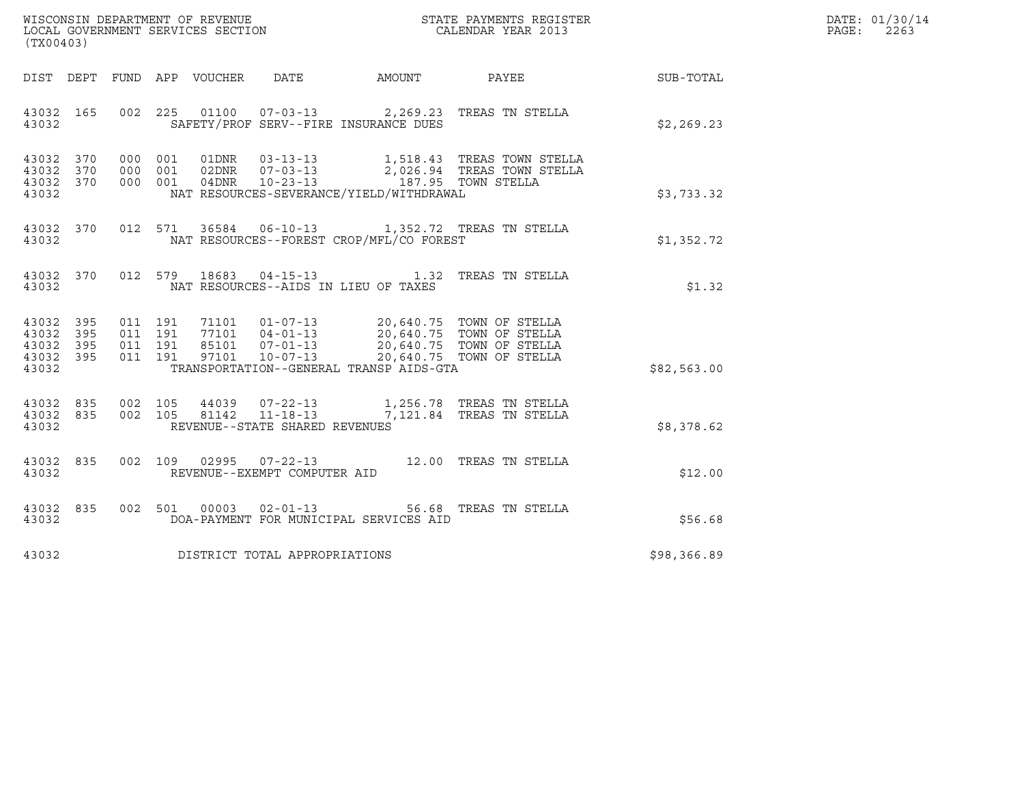| WISCONSIN DEPARTMENT OF REVENUE   | STATE PAYMENTS REGISTER | DATE: 01/30/14 |
|-----------------------------------|-------------------------|----------------|
| LOCAL GOVERNMENT SERVICES SECTION | CALENDAR YEAR 2013      | 2263<br>PAGE:  |

| (TX00403) |  |  |  |  |                                      |                                               |                                                                                                                                                                                                                                                                                                                                                                      |                                                              | DATE: 01/30/14<br>PAGE: 2263 |
|-----------|--|--|--|--|--------------------------------------|-----------------------------------------------|----------------------------------------------------------------------------------------------------------------------------------------------------------------------------------------------------------------------------------------------------------------------------------------------------------------------------------------------------------------------|--------------------------------------------------------------|------------------------------|
|           |  |  |  |  |                                      |                                               |                                                                                                                                                                                                                                                                                                                                                                      | DIST DEPT FUND APP VOUCHER DATE AMOUNT PAYEE PAYER SUB-TOTAL |                              |
| 43032 165 |  |  |  |  |                                      | 43032 SAFETY/PROF SERV--FIRE INSURANCE DUES   | 002 225 01100 07-03-13 2,269.23 TREAS TN STELLA                                                                                                                                                                                                                                                                                                                      | \$2,269.23                                                   |                              |
|           |  |  |  |  |                                      |                                               | $\begin{array}{cccccc} 43032 & 370 & 000 & 001 & 01 \text{DNR} & 03-13-13 & & 1,518.43 & \text{TREAS TOWN STELLA} \\ 43032 & 370 & 000 & 001 & 02 \text{DNR} & 07-03-13 & & 2,026.94 & \text{TREAS TOWN STELLA} \\ 43032 & 370 & 000 & 001 & 04 \text{DNR} & 10-23-13 & & 187.95 & \text{TOWN STELLA} \end{array}$<br>43032 NAT RESOURCES-SEVERANCE/YIELD/WITHDRAWAL | \$3,733.32                                                   |                              |
|           |  |  |  |  |                                      |                                               | 43032 370 012 571 36584 06-10-13 1,352.72 TREAS TN STELLA<br>43032 NAT RESOURCES--FOREST CROP/MFL/CO FOREST                                                                                                                                                                                                                                                          | \$1,352.72                                                   |                              |
|           |  |  |  |  |                                      | 43032 MAT RESOURCES--AIDS IN LIEU OF TAXES    | 43032 370 012 579 18683 04-15-13 1.32 TREAS TN STELLA                                                                                                                                                                                                                                                                                                                | \$1.32                                                       |                              |
|           |  |  |  |  |                                      | 43032 TRANSPORTATION--GENERAL TRANSP AIDS-GTA | $\begin{array}{cccccc} 43032 & 395 & 011 & 191 & 71101 & 01-07-13 & 20,640.75 & \text{TOWN OF STELLA} \\ 43032 & 395 & 011 & 191 & 77101 & 04-01-13 & 20,640.75 & \text{TOWN OF STELLA} \\ 43032 & 395 & 011 & 191 & 85101 & 07-01-13 & 20,640.75 & \text{TOWN OF STELLA} \\ 43032 & 395 & 011 & 191 & 97101 & 1$                                                    | \$82,563.00                                                  |                              |
|           |  |  |  |  | 43032 REVENUE--STATE SHARED REVENUES |                                               | $\begin{array}{cccccc} 43032 & 835 & 002 & 105 & 44039 & 07-22-13 & & 1,256.78 & \text{TREAS TN STELLA} \\ 43032 & 835 & 002 & 105 & 81142 & 11-18-13 & & 7,121.84 & \text{TREAS TN STELLA} \end{array}$                                                                                                                                                             | \$8,378.62                                                   |                              |
|           |  |  |  |  | 43032 REVENUE--EXEMPT COMPUTER AID   |                                               | 43032 835 002 109 02995 07-22-13 12.00 TREAS TN STELLA                                                                                                                                                                                                                                                                                                               | \$12.00                                                      |                              |
| 43032     |  |  |  |  |                                      |                                               | 43032 835 002 501 00003 02-01-13 56.68 TREAS TN STELLA                                                                                                                                                                                                                                                                                                               |                                                              |                              |
|           |  |  |  |  | 43032 DISTRICT TOTAL APPROPRIATIONS  |                                               |                                                                                                                                                                                                                                                                                                                                                                      | \$98,366.89                                                  |                              |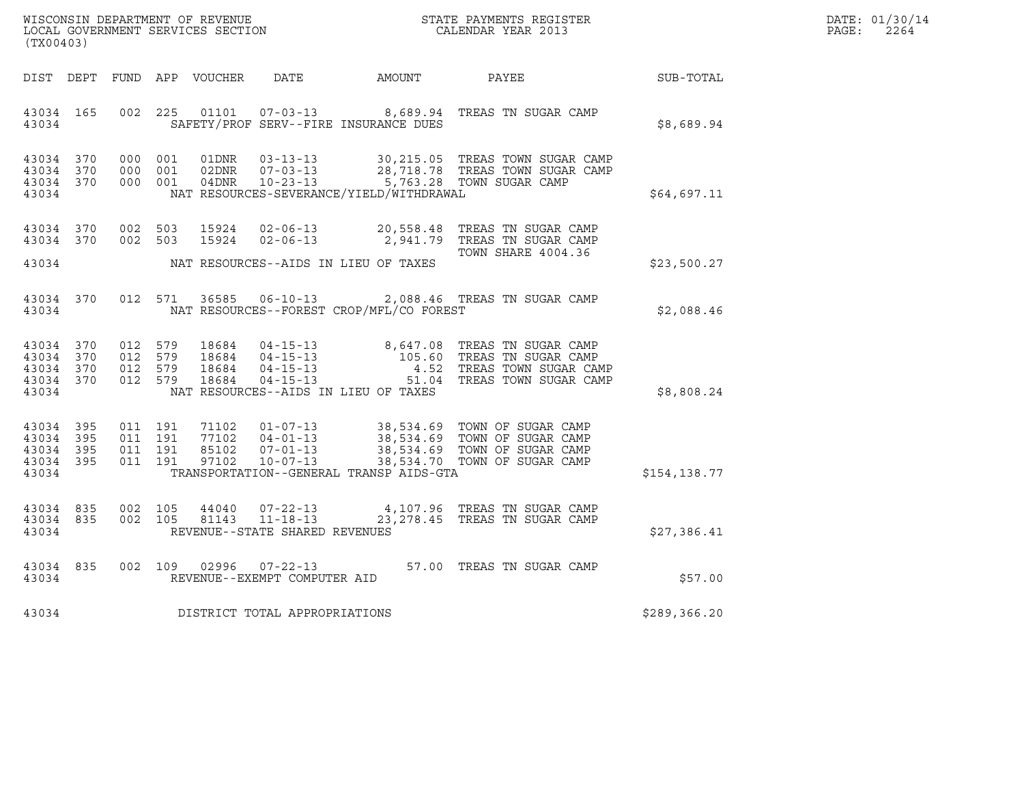| WISCONSIN DEPARTMENT OF REVENUE   | STATE PAYMENTS REGISTER | DATE: 01/30/14 |
|-----------------------------------|-------------------------|----------------|
| LOCAL GOVERNMENT SERVICES SECTION | CALENDAR YEAR 2013      | 2264<br>PAGE:  |

| WISCONSIN DEPARTMENT OF REVENUE<br>LOCAL GOVERNMENT SERVICES SECTION<br>(TWOO100) CALENDAR YEAR 2013<br>(TX00403) |  |  |                                          |                |                                     |                                              |                                                                                                                                                                                                                                                        |               | DATE: 01/30/14<br>2264<br>$\mathtt{PAGE}$ : |
|-------------------------------------------------------------------------------------------------------------------|--|--|------------------------------------------|----------------|-------------------------------------|----------------------------------------------|--------------------------------------------------------------------------------------------------------------------------------------------------------------------------------------------------------------------------------------------------------|---------------|---------------------------------------------|
|                                                                                                                   |  |  |                                          |                |                                     | DIST DEPT FUND APP VOUCHER DATE AMOUNT PAYEE |                                                                                                                                                                                                                                                        | SUB-TOTAL     |                                             |
| 43034 165<br>43034                                                                                                |  |  |                                          |                |                                     | SAFETY/PROF SERV--FIRE INSURANCE DUES        | 002 225 01101 07-03-13 8,689.94 TREAS TN SUGAR CAMP                                                                                                                                                                                                    | \$8,689.94    |                                             |
| 43034 370<br>43034 370<br>43034 370<br>43034                                                                      |  |  | 000 001<br>000 001<br>000 001            |                |                                     | NAT RESOURCES-SEVERANCE/YIELD/WITHDRAWAL     |                                                                                                                                                                                                                                                        | \$64,697.11   |                                             |
| 43034 370<br>43034 370<br>43034                                                                                   |  |  | 002 503<br>002 503                       | 15924<br>15924 |                                     | NAT RESOURCES--AIDS IN LIEU OF TAXES         | 02-06-13 20,558.48 TREAS TN SUGAR CAMP<br>02-06-13 2,941.79 TREAS TN SUGAR CAMP<br>TOWN SHARE 4004.36                                                                                                                                                  | \$23,500.27   |                                             |
| 43034 370<br>43034                                                                                                |  |  |                                          |                |                                     | NAT RESOURCES--FOREST CROP/MFL/CO FOREST     | 012 571 36585 06-10-13 2,088.46 TREAS TN SUGAR CAMP                                                                                                                                                                                                    | \$2,088.46    |                                             |
| 43034 370<br>43034 370<br>43034 370<br>43034 370<br>43034                                                         |  |  | 012 579<br>012 579<br>012 579<br>012 579 |                |                                     | NAT RESOURCES--AIDS IN LIEU OF TAXES         | 18684  04-15-13  8,647.08  TREAS TN SUGAR CAMP<br>18684  04-15-13  105.60  TREAS TN SUGAR CAMP<br>18684  04-15-13  4.52  TREAS TOWN SUGAR CAMP<br>18684  04-15-13  51.04  TREAS TOWN SUGAR CAM<br>TREAS TOWN SUGAR CAMP<br>51.04 TREAS TOWN SUGAR CAMP | \$8,808.24    |                                             |
| 43034 395<br>43034 395<br>43034 395<br>43034 395<br>43034                                                         |  |  | 011 191<br>011 191<br>011 191<br>011 191 |                |                                     | TRANSPORTATION--GENERAL TRANSP AIDS-GTA      | 71102  01-07-13  38,534.69  TOWN OF SUGAR CAMP<br>77102  04-01-13  38,534.69  TOWN OF SUGAR CAMP<br>85102  07-01-13  38,534.69  TOWN OF SUGAR CAMP<br>97102  10-07-13  38,534.70  TOWN OF SUGAR CAMP                                                   | \$154,138.77  |                                             |
| 43034 835<br>43034 835<br>43034                                                                                   |  |  | 002 105<br>002 105                       | 44040<br>81143 | REVENUE--STATE SHARED REVENUES      |                                              | 07-22-13 4,107.96 TREAS TN SUGAR CAMP<br>11-18-13 23,278.45 TREAS TN SUGAR CAMP                                                                                                                                                                        | \$27,386.41   |                                             |
| 43034 835<br>43034                                                                                                |  |  | 002 109                                  | 02996          | REVENUE--EXEMPT COMPUTER AID        |                                              | 07-22-13 57.00 TREAS TN SUGAR CAMP                                                                                                                                                                                                                     | \$57.00       |                                             |
|                                                                                                                   |  |  |                                          |                | 43034 DISTRICT TOTAL APPROPRIATIONS |                                              |                                                                                                                                                                                                                                                        | \$289, 366.20 |                                             |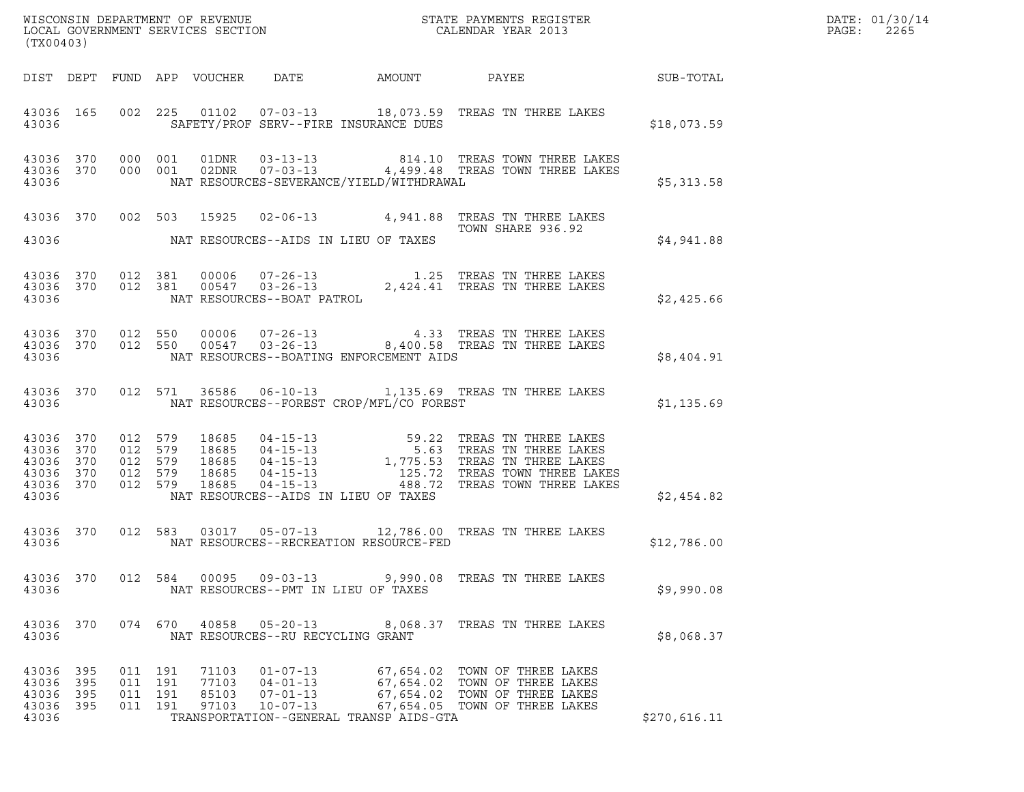| DATE: | 01/30/14 |
|-------|----------|
| PAGE: | 2265     |

| (TX00403)                                 |                          |                                  |            |                                  |                                                                      |                                               |                                                                                                                                                                                                                                                                                                                                              |              | WISCONSIN DEPARTMENT OF REVENUE<br>LOCAL GOVERNMENT SERVICES SECTION FOR THE STATE PAYMENTS REGISTER<br>(TWO0400) PAGE: 2265 |
|-------------------------------------------|--------------------------|----------------------------------|------------|----------------------------------|----------------------------------------------------------------------|-----------------------------------------------|----------------------------------------------------------------------------------------------------------------------------------------------------------------------------------------------------------------------------------------------------------------------------------------------------------------------------------------------|--------------|------------------------------------------------------------------------------------------------------------------------------|
|                                           |                          |                                  |            |                                  |                                                                      |                                               | DIST DEPT FUND APP VOUCHER DATE AMOUNT PAYEE SUB-TOTAL                                                                                                                                                                                                                                                                                       |              |                                                                                                                              |
| 43036                                     |                          |                                  |            |                                  |                                                                      | SAFETY/PROF SERV--FIRE INSURANCE DUES         | 43036 165 002 225 01102 07-03-13 18,073.59 TREAS TN THREE LAKES                                                                                                                                                                                                                                                                              | \$18,073.59  |                                                                                                                              |
|                                           |                          |                                  |            |                                  |                                                                      |                                               | $\begin{array}{cccc} 43036 & 370 & 000 & 001 & 01DNR & 03-13-13 & 814.10 & TREAS TOWN THREE LAKES \\ 43036 & 370 & 000 & 001 & 02DNR & 07-03-13 & 4,499.48 & TREAS TOWN THREE LAKES \end{array}$<br>43036 NAT RESOURCES-SEVERANCE/YIELD/WITHDRAWAL 3036 \$5,313.58                                                                           |              |                                                                                                                              |
|                                           |                          |                                  |            |                                  |                                                                      | 43036 MAT RESOURCES--AIDS IN LIEU OF TAXES    | 43036 370 002 503 15925 02-06-13 4,941.88 TREAS TN THREE LAKES<br>TOWN SHARE 936.92                                                                                                                                                                                                                                                          | \$4,941.88   |                                                                                                                              |
|                                           |                          |                                  |            |                                  |                                                                      |                                               |                                                                                                                                                                                                                                                                                                                                              | \$2,425.66   |                                                                                                                              |
|                                           |                          |                                  |            |                                  |                                                                      | 43036 MAT RESOURCES--BOATING ENFORCEMENT AIDS | $\begin{array}{cccc} 43036 & 370 & 012 & 550 & 00006 & 07-26-13 & 4.33 & \text{TREAS TN THREE LAKES} \\ 43036 & 370 & 012 & 550 & 00547 & 03-26-13 & 8,400.58 & \text{TREAS TN THREE LAKES} \end{array}$                                                                                                                                     | \$8,404.91   |                                                                                                                              |
|                                           |                          |                                  |            |                                  |                                                                      |                                               | 43036 370 012 571 36586 06-10-13 1,135.69 TREAS TN THREE LAKES<br>43036 NAT RESOURCES--FOREST CROP/MFL/CO FOREST                                                                                                                                                                                                                             | \$1,135.69   |                                                                                                                              |
| 43036                                     |                          |                                  |            |                                  |                                                                      | NAT RESOURCES--AIDS IN LIEU OF TAXES          | $\begin{tabular}{cccc} 43036 & 370 & 012 & 579 & 18685 & 04-15-13 & 59.22 \end{tabular} \begin{tabular}{cccc} 43036 & 370 & 012 & 579 & 18685 & 04-15-13 & 59.22 \end{tabular} \begin{tabular}{cccc} 43036 & 370 & 012 & 579 & 18685 & 04-15-13 & 59.32 \end{tabular} \end{tabular} \begin{tabular}{cccc} 43036 & 370 & 012 & 579 & 18685 &$ | \$2,454.82   |                                                                                                                              |
| 43036                                     |                          |                                  |            |                                  |                                                                      | NAT RESOURCES--RECREATION RESOURCE-FED        | 43036 370 012 583 03017 05-07-13 12,786.00 TREAS TN THREE LAKES                                                                                                                                                                                                                                                                              | \$12,786.00  |                                                                                                                              |
| 43036 370<br>43036                        |                          |                                  | 012 584    | 00095                            | $09 - 03 - 13$                                                       | NAT RESOURCES--PMT IN LIEU OF TAXES           | 9,990.08 TREAS TN THREE LAKES                                                                                                                                                                                                                                                                                                                | \$9,990.08   |                                                                                                                              |
| 43036 370<br>43036                        |                          |                                  | 074 670    | 40858                            | $05 - 20 - 13$<br>NAT RESOURCES--RU RECYCLING GRANT                  |                                               | 8,068.37 TREAS TN THREE LAKES                                                                                                                                                                                                                                                                                                                | \$8,068.37   |                                                                                                                              |
| 43036<br>43036<br>43036<br>43036<br>43036 | 395<br>395<br>395<br>395 | 011 191<br>011<br>011<br>011 191 | 191<br>191 | 71103<br>77103<br>85103<br>97103 | $01 - 07 - 13$<br>$04 - 01 - 13$<br>$07 - 01 - 13$<br>$10 - 07 - 13$ | TRANSPORTATION--GENERAL TRANSP AIDS-GTA       | 67,654.02 TOWN OF THREE LAKES<br>67,654.02 TOWN OF THREE LAKES<br>67,654.02 TOWN OF THREE LAKES<br>67,654.05 TOWN OF THREE LAKES                                                                                                                                                                                                             | \$270,616.11 |                                                                                                                              |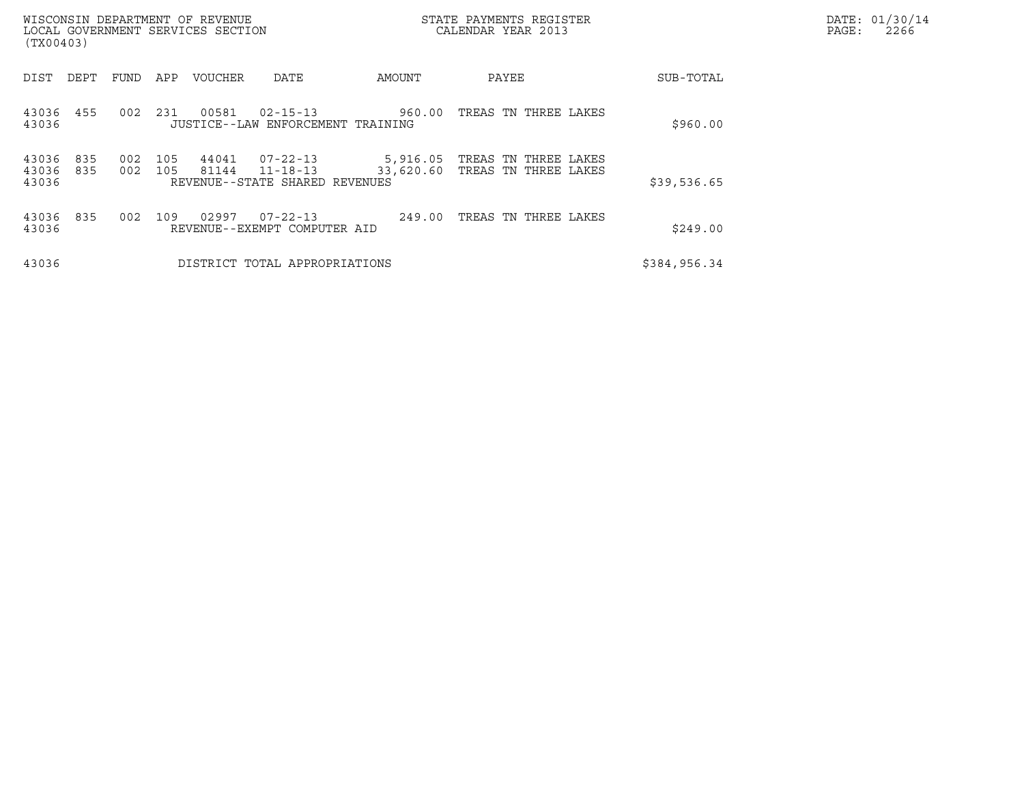| (TX00403)               |            |            |            | WISCONSIN DEPARTMENT OF REVENUE<br>LOCAL GOVERNMENT SERVICES SECTION |                                                              |                       | STATE PAYMENTS REGISTER<br>CALENDAR YEAR 2013 | DATE: 01/30/14<br>2266<br>PAGE: |  |
|-------------------------|------------|------------|------------|----------------------------------------------------------------------|--------------------------------------------------------------|-----------------------|-----------------------------------------------|---------------------------------|--|
| DIST                    | DEPT       | FUND       | APP        | <b>VOUCHER</b>                                                       | DATE                                                         | AMOUNT                | PAYEE                                         | SUB-TOTAL                       |  |
| 43036<br>43036          | 455        | 002        | 231        | 00581                                                                | $02 - 15 - 13$<br>JUSTICE--LAW ENFORCEMENT TRAINING          | 960.00                | TREAS TN THREE LAKES                          | \$960.00                        |  |
| 43036<br>43036<br>43036 | 835<br>835 | 002<br>002 | 105<br>105 | 44041<br>81144                                                       | 07-22-13<br>$11 - 18 - 13$<br>REVENUE--STATE SHARED REVENUES | 5,916.05<br>33,620.60 | TREAS TN THREE LAKES<br>TREAS TN THREE LAKES  | \$39,536.65                     |  |
| 43036<br>43036          | 835        | 002        | 109        | 02997                                                                | $07 - 22 - 13$<br>REVENUE--EXEMPT COMPUTER AID               | 249.00                | TREAS TN THREE LAKES                          | \$249.00                        |  |
| 43036                   |            |            |            |                                                                      | DISTRICT TOTAL APPROPRIATIONS                                |                       |                                               | \$384,956.34                    |  |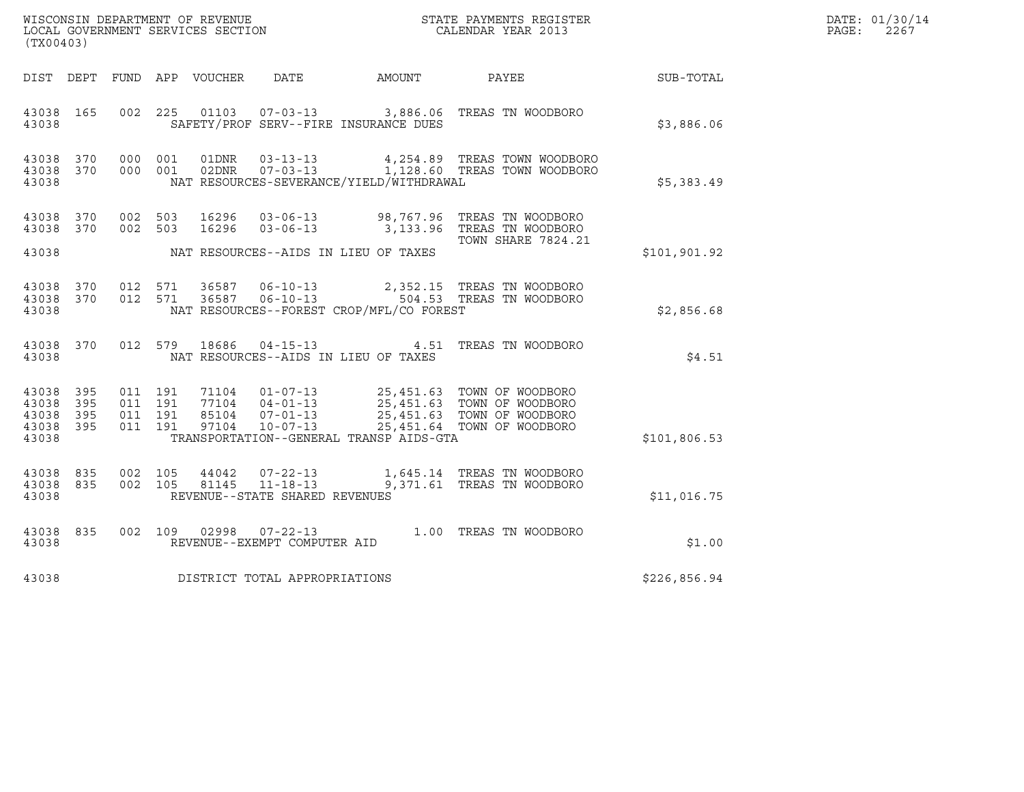| DATE: | 01/30/14 |
|-------|----------|
| PAGE: | 2267     |

| (TX00403)                                         |            |                                          |         |                |                                                  |                                          | $\tt WISCONSIM DEPARTMENT OF REVENUE$ $\tt WISCONSIM EN THE BAYMENTS REGISTERLOCAL GOVERNMENT SERVICES SECTION CALENDAR YEAR 2013$                                                           |              | DATE: 01/30/14<br>$\mathtt{PAGE:}$<br>2267 |
|---------------------------------------------------|------------|------------------------------------------|---------|----------------|--------------------------------------------------|------------------------------------------|----------------------------------------------------------------------------------------------------------------------------------------------------------------------------------------------|--------------|--------------------------------------------|
|                                                   |            |                                          |         |                | DIST DEPT FUND APP VOUCHER DATE                  | AMOUNT                                   | PAYEE                                                                                                                                                                                        | SUB-TOTAL    |                                            |
| 43038 165<br>43038                                |            |                                          |         |                |                                                  | SAFETY/PROF SERV--FIRE INSURANCE DUES    | 002 225 01103 07-03-13 3,886.06 TREAS TN WOODBORO                                                                                                                                            | \$3,886.06   |                                            |
| 43038 370<br>43038 370<br>43038                   |            | 000 001                                  | 000 001 | 01DNR<br>02DNR |                                                  | NAT RESOURCES-SEVERANCE/YIELD/WITHDRAWAL | 03-13-13 4,254.89 TREAS TOWN WOODBORO<br>07-03-13 1,128.60 TREAS TOWN WOODBORO                                                                                                               | \$5,383.49   |                                            |
| 43038 370<br>43038 370                            |            | 002 503                                  |         | 16296          |                                                  |                                          | 002 503 16296 03-06-13 98,767.96 TREAS TN WOODBORO<br>03-06-13 3,133.96 TREAS TN WOODBORO                                                                                                    |              |                                            |
| 43038                                             |            |                                          |         |                |                                                  | NAT RESOURCES--AIDS IN LIEU OF TAXES     | <b>TOWN SHARE 7824.21</b>                                                                                                                                                                    | \$101,901.92 |                                            |
| 43038 370<br>43038 370<br>43038                   |            |                                          |         |                |                                                  | NAT RESOURCES--FOREST CROP/MFL/CO FOREST | 012 571 36587 06-10-13 2,352.15 TREAS TN WOODBORO<br>012 571 36587 06-10-13 504.53 TREAS TN WOODBORO                                                                                         | \$2,856.68   |                                            |
| 43038 370<br>43038                                |            | 012 579                                  |         |                |                                                  | NAT RESOURCES--AIDS IN LIEU OF TAXES     | 18686  04-15-13  4.51  TREAS TN WOODBORO                                                                                                                                                     | \$4.51       |                                            |
| 43038<br>43038<br>43038 395<br>43038 395<br>43038 | 395<br>395 | 011 191<br>011 191<br>011 191<br>011 191 |         |                |                                                  | TRANSPORTATION--GENERAL TRANSP AIDS-GTA  | 71104  01-07-13  25,451.63  TOWN OF WOODBORO<br>77104  04-01-13  25,451.63  TOWN OF WOODBORO<br>85104  07-01-13  25,451.63  TOWN OF WOODBORO<br>97104  10-07-13  25,451.64  TOWN OF WOODBORO | \$101,806.53 |                                            |
| 43038 835<br>43038 835<br>43038                   |            | 002 105<br>002 105                       |         | 44042<br>81145 | $11 - 18 - 13$<br>REVENUE--STATE SHARED REVENUES |                                          | 07-22-13 1,645.14 TREAS TN WOODBORO<br>9,371.61 TREAS TN WOODBORO                                                                                                                            | \$11,016.75  |                                            |
| 43038 835<br>43038                                |            |                                          |         |                | REVENUE--EXEMPT COMPUTER AID                     |                                          | 002 109 02998 07-22-13 1.00 TREAS TN WOODBORO                                                                                                                                                | \$1.00       |                                            |
| 43038                                             |            |                                          |         |                | DISTRICT TOTAL APPROPRIATIONS                    |                                          |                                                                                                                                                                                              | \$226,856.94 |                                            |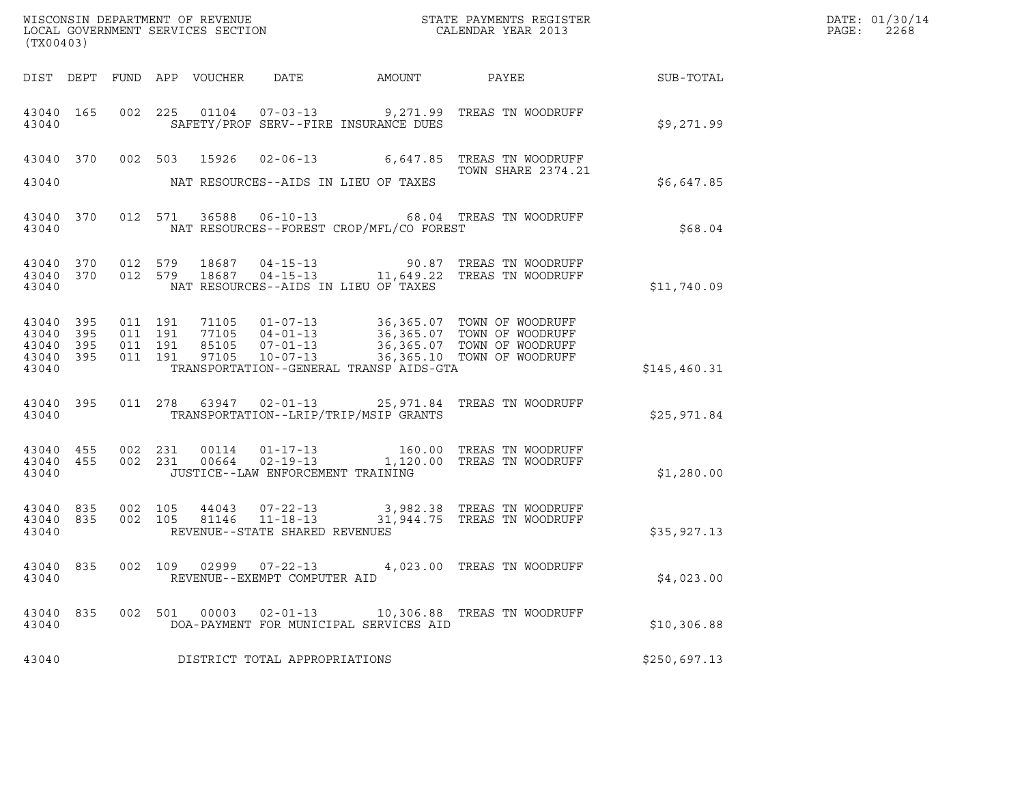| (TX00403)                                 |                          |         |         |                                 |                                                                  |                                          |                                                                                                                                                                                                                                                                                                                          | DATE: 01/30/14<br>PAGE:<br>2268 |  |
|-------------------------------------------|--------------------------|---------|---------|---------------------------------|------------------------------------------------------------------|------------------------------------------|--------------------------------------------------------------------------------------------------------------------------------------------------------------------------------------------------------------------------------------------------------------------------------------------------------------------------|---------------------------------|--|
|                                           |                          |         |         | DIST DEPT FUND APP VOUCHER DATE |                                                                  | AMOUNT PAYEE                             |                                                                                                                                                                                                                                                                                                                          | <b>SUB-TOTAL</b>                |  |
| 43040                                     |                          |         |         |                                 |                                                                  | SAFETY/PROF SERV--FIRE INSURANCE DUES    | 43040 165 002 225 01104 07-03-13 9,271.99 TREAS TN WOODRUFF                                                                                                                                                                                                                                                              | \$9,271.99                      |  |
| 43040                                     |                          |         |         |                                 |                                                                  | NAT RESOURCES--AIDS IN LIEU OF TAXES     | 43040 370 002 503 15926 02-06-13 6,647.85 TREAS TN WOODRUFF<br>TOWN SHARE 2374.21                                                                                                                                                                                                                                        | \$6,647.85                      |  |
| 43040                                     |                          |         |         |                                 |                                                                  | NAT RESOURCES--FOREST CROP/MFL/CO FOREST | 43040 370 012 571 36588 06-10-13 68.04 TREAS TN WOODRUFF                                                                                                                                                                                                                                                                 | \$68.04                         |  |
| 43040<br>43040<br>43040                   |                          |         |         |                                 |                                                                  | NAT RESOURCES--AIDS IN LIEU OF TAXES     | 370 012 579 18687 04-15-13 90.87 TREAS TN WOODRUFF<br>370 012 579 18687 04-15-13 11,649.22 TREAS TN WOODRUFF                                                                                                                                                                                                             | \$11,740.09                     |  |
| 43040<br>43040<br>43040<br>43040<br>43040 | 395<br>395<br>395<br>395 | 011 191 | 011 191 |                                 |                                                                  | TRANSPORTATION--GENERAL TRANSP AIDS-GTA  | $\begin{array}{cccccc} 011 & 191 & 71105 & 01-07-13 & 36,365.07 & \text{TOWN OF WOODRUFF} \\ 011 & 191 & 77105 & 04-01-13 & 36,365.07 & \text{TOWN OF WOODRUFF} \\ 011 & 191 & 85105 & 07-01-13 & 36,365.07 & \text{TOWN OF WOODRUFF} \\ 011 & 191 & 97105 & 10-07-13 & 36,365.10 & \text{TOWN OF WOODRUFF} \end{array}$ | \$145,460.31                    |  |
| 43040 395<br>43040                        |                          |         |         |                                 |                                                                  | TRANSPORTATION--LRIP/TRIP/MSIP GRANTS    | 011 278 63947 02-01-13 25,971.84 TREAS TN WOODRUFF                                                                                                                                                                                                                                                                       | \$25,971.84                     |  |
| 43040<br>43040<br>43040                   | 455<br>455               |         |         |                                 | JUSTICE--LAW ENFORCEMENT TRAINING                                |                                          | 002 231 00114 01-17-13 160.00 TREAS TN WOODRUFF<br>002 231 00664 02-19-13 1,120.00 TREAS TN WOODRUFF                                                                                                                                                                                                                     | \$1,280.00                      |  |
| 43040<br>43040                            | 835                      |         | 002 105 |                                 | REVENUE--STATE SHARED REVENUES                                   |                                          | 43040 835 002 105 44043 07-22-13 3,982.38 TREAS TN WOODRUFF<br>81146  11-18-13  31,944.75  TREAS TN WOODRUFF                                                                                                                                                                                                             | \$35,927.13                     |  |
| 43040                                     |                          |         |         |                                 | 43040 835 002 109 02999 07-22-13<br>REVENUE--EXEMPT COMPUTER AID |                                          | 4,023.00 TREAS TN WOODRUFF                                                                                                                                                                                                                                                                                               | \$4,023.00                      |  |
| 43040 835<br>43040                        |                          |         |         |                                 |                                                                  | DOA-PAYMENT FOR MUNICIPAL SERVICES AID   | 002 501 00003 02-01-13 10,306.88 TREAS TN WOODRUFF                                                                                                                                                                                                                                                                       | \$10,306.88                     |  |
| 43040                                     |                          |         |         |                                 | DISTRICT TOTAL APPROPRIATIONS                                    |                                          |                                                                                                                                                                                                                                                                                                                          | \$250,697.13                    |  |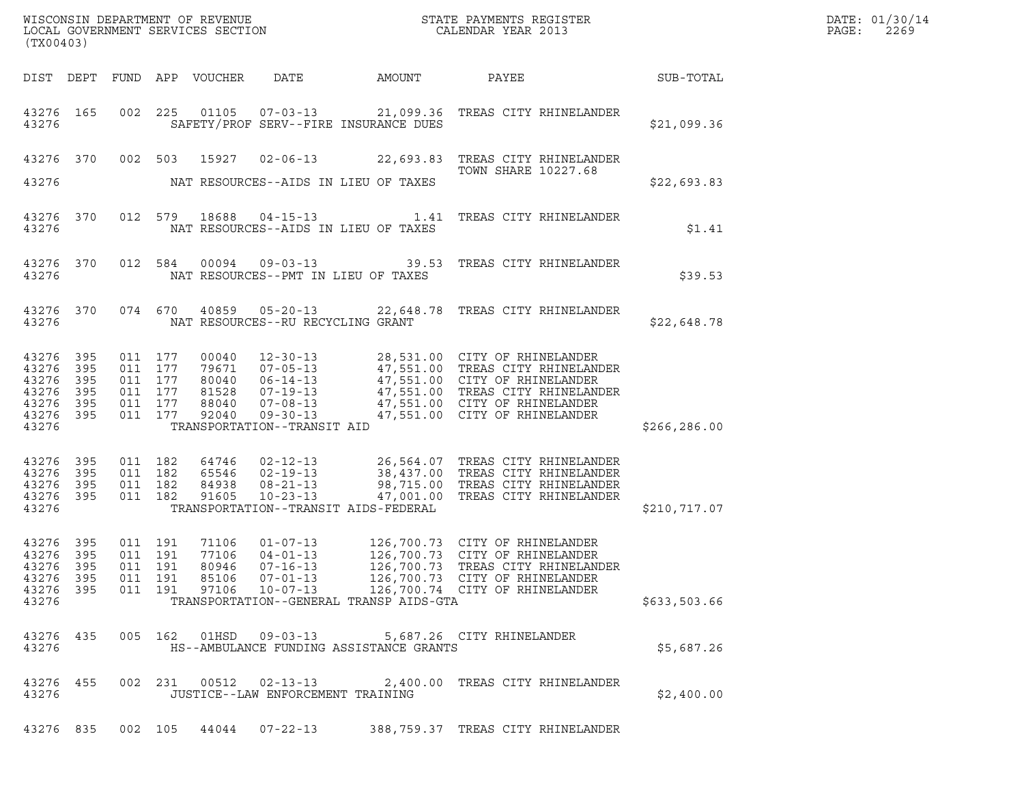| (TX00403)                                                              |                    |         |                                                                |                         |                                                                                  |                                           |                                                                                                                                                                                                                                        |              | DATE: 01/30/14<br>PAGE:<br>2269 |
|------------------------------------------------------------------------|--------------------|---------|----------------------------------------------------------------|-------------------------|----------------------------------------------------------------------------------|-------------------------------------------|----------------------------------------------------------------------------------------------------------------------------------------------------------------------------------------------------------------------------------------|--------------|---------------------------------|
|                                                                        |                    |         |                                                                |                         |                                                                                  | DIST DEPT FUND APP VOUCHER DATE AMOUNT    | PAYEE SUB-TOTAL                                                                                                                                                                                                                        |              |                                 |
| 43276                                                                  | 43276 165          |         |                                                                |                         |                                                                                  | SAFETY/PROF SERV--FIRE INSURANCE DUES     | 002 225 01105 07-03-13 21,099.36 TREAS CITY RHINELANDER                                                                                                                                                                                | \$21,099.36  |                                 |
|                                                                        |                    |         |                                                                |                         |                                                                                  |                                           | 43276 370 002 503 15927 02-06-13 22,693.83 TREAS CITY RHINELANDER<br>TOWN SHARE 10227.68                                                                                                                                               |              |                                 |
| 43276                                                                  |                    |         |                                                                |                         |                                                                                  | NAT RESOURCES--AIDS IN LIEU OF TAXES      |                                                                                                                                                                                                                                        | \$22,693.83  |                                 |
|                                                                        | 43276 370<br>43276 |         |                                                                |                         |                                                                                  | NAT RESOURCES--AIDS IN LIEU OF TAXES      | 012 579 18688 04-15-13 1.41 TREAS CITY RHINELANDER                                                                                                                                                                                     | \$1.41       |                                 |
|                                                                        | 43276 370          |         |                                                                |                         |                                                                                  | 43276 NAT RESOURCES--PMT IN LIEU OF TAXES | 012 584 00094 09-03-13 39.53 TREAS CITY RHINELANDER                                                                                                                                                                                    | \$39.53      |                                 |
|                                                                        | 43276 370          |         |                                                                |                         |                                                                                  | 43276 NAT RESOURCES--RU RECYCLING GRANT   | 074 670 40859 05-20-13 22,648.78 TREAS CITY RHINELANDER                                                                                                                                                                                | \$22,648.78  |                                 |
| 43276 395<br>43276 395<br>43276 395<br>43276 395<br>43276 395<br>43276 | 43276 395          |         | 011 177<br>011 177<br>011 177<br>011 177<br>011 177<br>011 177 |                         | TRANSPORTATION--TRANSIT AID                                                      |                                           | 00040 12-30-13 28,531.00 CITY OF RHINELANDER<br>79671 07-05-13 47,551.00 TREAS CITY RHINELANDER<br>80040 06-14-13 47,551.00 CITY OF RHINELANDER<br>81528 07-19-13 47,551.00 TREAS CITY RHINELANDER<br>88040 07-08-13 47,551.00 CITY OF | \$266,286.00 |                                 |
|                                                                        |                    |         |                                                                |                         |                                                                                  |                                           |                                                                                                                                                                                                                                        |              |                                 |
| 43276 395<br>43276 395<br>43276 395<br>43276 395<br>43276              |                    | 011 182 | 011 182<br>011 182<br>011 182                                  |                         |                                                                                  | TRANSPORTATION--TRANSIT AIDS-FEDERAL      | 4746 02-12-13 26,564.07 TREAS CITY RHINELANDER<br>65546 02-19-13 38,437.00 TREAS CITY RHINELANDER<br>84938 08-21-13 98,715.00 TREAS CITY RHINELANDER<br>91605 10-23-13 47,001.00 TREAS CITY RHINELANDER                                | \$210,717.07 |                                 |
| 43276 395<br>43276 395<br>43276 395<br>43276 395<br>43276 395<br>43276 |                    |         | 011 191<br>011 191<br>011 191<br>011 191<br>011 191            | 77106<br>85106<br>97106 | 71106 01-07-13<br>$04 - 01 - 13$<br>80946 07-16-13<br>07-01-13<br>$10 - 07 - 13$ | TRANSPORTATION--GENERAL TRANSP AIDS-GTA   | 126,700.73 CITY OF RHINELANDER<br>126,700.73 CITY OF RHINELANDER<br>126,700.73   TREAS CITY RHINELANDER<br>126,700.73 CITY OF RHINELANDER<br>126,700.74 CITY OF RHINELANDER                                                            | \$633,503.66 |                                 |
| 43276 435                                                              |                    |         |                                                                |                         |                                                                                  |                                           |                                                                                                                                                                                                                                        |              |                                 |
| 43276                                                                  |                    |         |                                                                |                         | 005 162 01HSD 09-03-13                                                           | HS--AMBULANCE FUNDING ASSISTANCE GRANTS   | 5,687.26 CITY RHINELANDER                                                                                                                                                                                                              | \$5,687.26   |                                 |
| 43276 455<br>43276                                                     |                    |         |                                                                |                         | 002 231 00512 02-13-13<br>JUSTICE--LAW ENFORCEMENT TRAINING                      |                                           | 2,400.00 TREAS CITY RHINELANDER                                                                                                                                                                                                        | \$2,400.00   |                                 |
|                                                                        |                    |         |                                                                |                         |                                                                                  |                                           | 43276 835 002 105 44044 07-22-13 388,759.37 TREAS CITY RHINELANDER                                                                                                                                                                     |              |                                 |